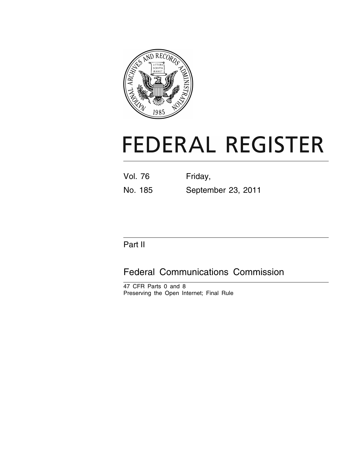

# **FEDERAL REGISTER**

| <b>Vol. 76</b> | Friday,            |
|----------------|--------------------|
| No. 185        | September 23, 2011 |

## Part II

## Federal Communications Commission

47 CFR Parts 0 and 8 Preserving the Open Internet; Final Rule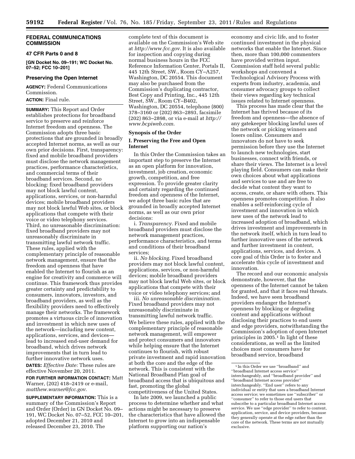#### **FEDERAL COMMUNICATIONS COMMISSION**

#### **47 CFR Parts 0 and 8**

**[GN Docket No. 09–191; WC Docket No. 07–52; FCC 10–201]** 

#### **Preserving the Open Internet**

**AGENCY:** Federal Communications Commission.

#### **ACTION:** Final rule.

**SUMMARY:** This Report and Order establishes protections for broadband service to preserve and reinforce Internet freedom and openness. The Commission adopts three basic protections that are grounded in broadly accepted Internet norms, as well as our own prior decisions. First, transparency: fixed and mobile broadband providers must disclose the network management practices, performance characteristics, and commercial terms of their broadband services. Second, no blocking: fixed broadband providers may not block lawful content, applications, services, or non-harmful devices; mobile broadband providers may not block lawful Web sites, or block applications that compete with their voice or video telephony services. Third, no unreasonable discrimination: fixed broadband providers may not unreasonably discriminate in transmitting lawful network traffic. These rules, applied with the complementary principle of reasonable network management, ensure that the freedom and openness that have enabled the Internet to flourish as an engine for creativity and commerce will continue. This framework thus provides greater certainty and predictability to consumers, innovators, investors, and broadband providers, as well as the flexibility providers need to effectively manage their networks. The framework promotes a virtuous circle of innovation and investment in which new uses of the network—including new content, applications, services, and devices lead to increased end-user demand for broadband, which drives network improvements that in turn lead to further innovative network uses.

**DATES:** *Effective Date:* These rules are effective November 20, 2011.

**FOR FURTHER INFORMATION CONTACT:** Matt Warner, (202) 418–2419 or e-mail, *matthew.warner@fcc.gov*.

**SUPPLEMENTARY INFORMATION:** This is a summary of the Commission's Report and Order (Order) in GN Docket No. 09– 191, WC Docket No. 07–52, FCC 10–201, adopted December 21, 2010 and released December 23, 2010. The

complete text of this document is available on the Commission's Web site at *http://www.fcc.gov*. It is also available for inspection and copying during normal business hours in the FCC Reference Information Center, Portals II, 445 12th Street, SW., Room CY–A257, Washington, DC 20554. This document may also be purchased from the Commission's duplicating contractor, Best Copy and Printing, Inc., 445 12th Street, SW., Room CY–B402, Washington, DC 20554, telephone (800) 378–3160 or (202) 863–2893, facsimile (202) 863–2898, or via e-mail at *http:// www.bcpiweb.com*.

#### **Synopsis of the Order**

#### **I. Preserving the Free and Open Internet**

In this Order the Commission takes an important step to preserve the Internet as an open platform for innovation, investment, job creation, economic growth, competition, and free expression. To provide greater clarity and certainty regarding the continued freedom and openness of the Internet, we adopt three basic rules that are grounded in broadly accepted Internet norms, as well as our own prior decisions:

i. *Transparency.* Fixed and mobile broadband providers must disclose the network management practices, performance characteristics, and terms and conditions of their broadband services;

ii. *No blocking.* Fixed broadband providers may not block lawful content, applications, services, or non-harmful devices; mobile broadband providers may not block lawful Web sites, or block applications that compete with their voice or video telephony services; and

iii. *No unreasonable discrimination.*  Fixed broadband providers may not unreasonably discriminate in transmitting lawful network traffic. We believe these rules, applied with the complementary principle of reasonable network management, will empower and protect consumers and innovators while helping ensure that the Internet continues to flourish, with robust private investment and rapid innovation at both the core and the edge of the network. This is consistent with the National Broadband Plan goal of broadband access that is ubiquitous and fast, promoting the global competitiveness of the United States.

In late 2009, we launched a public process to determine whether and what actions might be necessary to preserve the characteristics that have allowed the Internet to grow into an indispensable platform supporting our nation's

economy and civic life, and to foster continued investment in the physical networks that enable the Internet. Since then, more than 100,000 commenters have provided written input. Commission staff held several public workshops and convened a Technological Advisory Process with experts from industry, academia, and consumer advocacy groups to collect their views regarding key technical issues related to Internet openness.

This process has made clear that the Internet has thrived because of its freedom and openness—the absence of any gatekeeper blocking lawful uses of the network or picking winners and losers online. Consumers and innovators do not have to seek permission before they use the Internet to launch new technologies, start businesses, connect with friends, or share their views. The Internet is a level playing field. Consumers can make their own choices about what applications and services to use and are free to decide what content they want to access, create, or share with others. This openness promotes competition. It also enables a self-reinforcing cycle of investment and innovation in which new uses of the network lead to increased adoption of broadband, which drives investment and improvements in the network itself, which in turn lead to further innovative uses of the network and further investment in content, applications, services, and devices. A core goal of this Order is to foster and accelerate this cycle of investment and innovation.

The record and our economic analysis demonstrate, however, that the openness of the Internet cannot be taken for granted, and that it faces real threats. Indeed, we have seen broadband providers endanger the Internet's openness by blocking or degrading content and applications without disclosing their practices to end users and edge providers, notwithstanding the Commission's adoption of open Internet principles in 2005.1 In light of these considerations, as well as the limited choices most consumers have for broadband service, broadband

<sup>1</sup> In this Order we use ''broadband'' and ''broadband Internet access service'' interchangeably, and ''broadband provider'' and ''broadband Internet access provider'' interchangeably. ''End user'' refers to any individual or entity that uses a broadband Internet access service; we sometimes use ''subscriber'' or ''consumer'' to refer to those end users that subscribe to a particular broadband Internet access service. We use ''edge provider'' to refer to content, application, service, and device providers, because they generally operate at the edge rather than the core of the network. These terms are not mutually exclusive.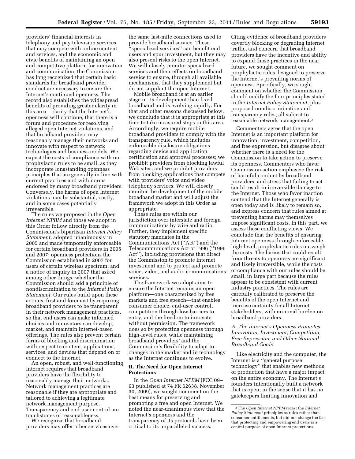providers' financial interests in telephony and pay television services that may compete with online content and services, and the economic and civic benefits of maintaining an open and competitive platform for innovation and communication, the Commission has long recognized that certain basic standards for broadband provider conduct are necessary to ensure the Internet's continued openness. The record also establishes the widespread benefits of providing greater clarity in this area—clarity that the Internet's openness will continue, that there is a forum and procedure for resolving alleged open Internet violations, and that broadband providers may reasonably manage their networks and innovate with respect to network technologies and business models. We expect the costs of compliance with our prophylactic rules to be small, as they incorporate longstanding openness principles that are generally in line with current practices and with norms endorsed by many broadband providers. Conversely, the harms of open Internet violations may be substantial, costly, and in some cases potentially irreversible.

The rules we proposed in the *Open Internet NPRM* and those we adopt in this Order follow directly from the Commission's bipartisan *Internet Policy Statement,* adopted unanimously in 2005 and made temporarily enforceable for certain broadband providers in 2005 and 2007; openness protections the Commission established in 2007 for users of certain wireless spectrum; and a notice of inquiry in 2007 that asked, among other things, whether the Commission should add a principle of nondiscrimination to the *Internet Policy Statement*. Our rules build upon these actions, first and foremost by requiring broadband providers to be transparent in their network management practices, so that end users can make informed choices and innovators can develop, market, and maintain Internet-based offerings. The rules also prevent certain forms of blocking and discrimination with respect to content, applications, services, and devices that depend on or connect to the Internet.

An open, robust, and well-functioning Internet requires that broadband providers have the flexibility to reasonably manage their networks. Network management practices are reasonable if they are appropriate and tailored to achieving a legitimate network management purpose. Transparency and end-user control are touchstones of reasonableness.

We recognize that broadband providers may offer other services over the same last-mile connections used to provide broadband service. These 'specialized services'' can benefit end users and spur investment, but they may also present risks to the open Internet. We will closely monitor specialized services and their effects on broadband service to ensure, through all available mechanisms, that they supplement but do not supplant the open Internet.

Mobile broadband is at an earlier stage in its development than fixed broadband and is evolving rapidly. For that and other reasons discussed below, we conclude that it is appropriate at this time to take measured steps in this area. Accordingly, we require mobile broadband providers to comply with the transparency rule, which includes enforceable disclosure obligations regarding device and application certification and approval processes; we prohibit providers from blocking lawful Web sites; and we prohibit providers from blocking applications that compete with providers' voice and video telephony services. We will closely monitor the development of the mobile broadband market and will adjust the framework we adopt in this Order as appropriate.

These rules are within our jurisdiction over interstate and foreign communications by wire and radio. Further, they implement specific statutory mandates in the Communications Act (''Act'') and the Telecommunications Act of 1996 (''1996 Act''), including provisions that direct the Commission to promote Internet investment and to protect and promote voice, video, and audio communications services.

The framework we adopt aims to ensure the Internet remains an open platform—one characterized by free markets and free speech—that enables consumer choice, end-user control, competition through low barriers to entry, and the freedom to innovate without permission. The framework does so by protecting openness through high-level rules, while maintaining broadband providers' and the Commission's flexibility to adapt to changes in the market and in technology as the Internet continues to evolve.

#### **II. The Need for Open Internet Protections**

In the *Open Internet NPRM* (FCC 09– 93 published at 74 FR 62638, November 30, 2009), we sought comment on the best means for preserving and promoting a free and open Internet. We noted the near-unanimous view that the Internet's openness and the transparency of its protocols have been critical to its unparalleled success.

Citing evidence of broadband providers covertly blocking or degrading Internet traffic, and concern that broadband providers have the incentive and ability to expand those practices in the near future, we sought comment on prophylactic rules designed to preserve the Internet's prevailing norms of openness. Specifically, we sought comment on whether the Commission should codify the four principles stated in the *Internet Policy Statement,* plus proposed nondiscrimination and transparency rules, all subject to reasonable network management.2

Commenters agree that the open Internet is an important platform for innovation, investment, competition, and free expression, but disagree about whether there is a need for the Commission to take action to preserve its openness. Commenters who favor Commission action emphasize the risk of harmful conduct by broadband providers, and stress that failing to act could result in irreversible damage to the Internet. Those who favor inaction contend that the Internet generally is open today and is likely to remain so, and express concern that rules aimed at preventing harms may themselves impose significant costs. In this part, we assess these conflicting views. We conclude that the benefits of ensuring Internet openness through enforceable, high-level, prophylactic rules outweigh the costs. The harms that could result from threats to openness are significant and likely irreversible, while the costs of compliance with our rules should be small, in large part because the rules appear to be consistent with current industry practices. The rules are carefully calibrated to preserve the benefits of the open Internet and increase certainty for all Internet stakeholders, with minimal burden on broadband providers.

#### *A. The Internet's Openness Promotes Innovation, Investment, Competition, Free Expression, and Other National Broadband Goals*

Like electricity and the computer, the Internet is a ''general purpose technology'' that enables new methods of production that have a major impact on the entire economy. The Internet's founders intentionally built a network that is open, in the sense that it has no gatekeepers limiting innovation and

<sup>2</sup>The *Open Internet NPRM* recast the *Internet Policy Statement* principles as rules rather than consumer entitlements, but did not change the fact that protecting and empowering end users is a central purpose of open Internet protections.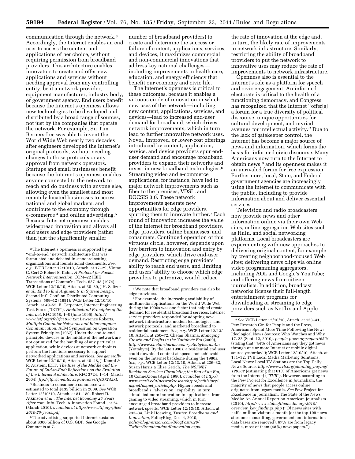communication through the network.3 Accordingly, the Internet enables an end user to access the content and applications of her choice, without requiring permission from broadband providers. This architecture enables innovators to create and offer new applications and services without needing approval from any controlling entity, be it a network provider, equipment manufacturer, industry body, or government agency. End users benefit because the Internet's openness allows new technologies to be developed and distributed by a broad range of sources, not just by the companies that operate the network. For example, Sir Tim Berners-Lee was able to invent the World Wide Web nearly two decades after engineers developed the Internet's original protocols, without needing changes to those protocols or any approval from network operators. Startups and small businesses benefit because the Internet's openness enables anyone connected to the network to reach and do business with anyone else, allowing even the smallest and most remotely located businesses to access national and global markets, and contribute to the economy through e-commerce 4 and online advertising.5 Because Internet openness enables widespread innovation and allows all end users and edge providers (rather than just the significantly smaller

4Business-to-consumer e-commerce was estimated to total \$135 billion in 2009. *See* WCB Letter 12/10/10, Attach. at 81–180, Robert D. Atkinson *et al., The Internet Economy 25 Years After.com,* Info. Tech. & Innovation Found., at 24 (March 2010), *available at http://www.itif.org/files/ 2010-25-years.pdf*.

5The advertising-supported Internet sustains about \$300 billion of U.S. GDP. *See* Google Comments at 7.

number of broadband providers) to create and determine the success or failure of content, applications, services, and devices, it maximizes commercial and non-commercial innovations that address key national challenges including improvements in health care, education, and energy efficiency that benefit our economy and civic life.

The Internet's openness is critical to these outcomes, because it enables a virtuous circle of innovation in which new uses of the network—including new content, applications, services, and devices—lead to increased end-user demand for broadband, which drives network improvements, which in turn lead to further innovative network uses. Novel, improved, or lower-cost offerings introduced by content, application, service, and device providers spur enduser demand and encourage broadband providers to expand their networks and invest in new broadband technologies.6 Streaming video and e-commerce applications, for instance, have led to major network improvements such as fiber to the premises, VDSL, and DOCSIS 3.0. These network improvements generate new opportunities for edge providers, spurring them to innovate further.7 Each round of innovation increases the value of the Internet for broadband providers, edge providers, online businesses, and consumers. Continued operation of this virtuous circle, however, depends upon low barriers to innovation and entry by edge providers, which drive end-user demand. Restricting edge providers' ability to reach end users, and limiting end users' ability to choose which edge providers to patronize, would reduce

 $^7\rm{For}$  example, the increasing availability of multimedia applications on the World Wide Web during the 1990s was one factor that helped create demand for residential broadband services. Internet service providers responded by adopting new network infrastructure, modem technologies, and network protocols, and marketed broadband to residential customers. *See, e.g.,* WCB Letter 12/13/ 10, Attach. at 250–72, Chetan Sharma, *Managing Growth and Profits in the Yottabyte Era* (2009), *http://www.chetansharma.com/yottabyteera.htm*  (Yottabyte). By the late 1990s, a residential end user could download content at speeds not achievable even on the Internet backbone during the 1980s. *See, e.g.,* WCB Letter 12/13/10, Attach. at 226–32, Susan Harris & Elise Gerich, *The NSFNET Backbone Service: Chronicling the End of an Era,*  10 ConneXions (April 1996), *available at http:// www.merit.edu/networkresearch/projecthistory/ nsfnet/nsfnet*\_*article.php*. Higher speeds and broadband's ''always on'' capability, in turn, stimulated more innovation in applications, from gaming to video streaming, which in turn encouraged broadband providers to increase network speeds. WCB Letter 12/13/10, Attach. at 233–34, Link Hoewing, *Twitter, Broadband and Innovation,* PolicyBlog, Dec. 4, 2010, *policyblog.verizon.com/BlogPost/626/ TwitterBroadbandandInnovation.aspx.* 

the rate of innovation at the edge and, in turn, the likely rate of improvements to network infrastructure. Similarly, restricting the ability of broadband providers to put the network to innovative uses may reduce the rate of improvements to network infrastructure.

Openness also is essential to the Internet's role as a platform for speech and civic engagement. An informed electorate is critical to the health of a functioning democracy, and Congress has recognized that the Internet ''offer[s] a forum for a true diversity of political discourse, unique opportunities for cultural development, and myriad avenues for intellectual activity.'' Due to the lack of gatekeeper control, the Internet has become a major source of news and information, which forms the basis for informed civic discourse. Many Americans now turn to the Internet to obtain news,8 and its openness makes it an unrivaled forum for free expression. Furthermore, local, State, and Federal government agencies are increasingly using the Internet to communicate with the public, including to provide information about and deliver essential services.

Television and radio broadcasters now provide news and other information online via their own Web sites, online aggregation Web sites such as Hulu, and social networking platforms. Local broadcasters are experimenting with new approaches to delivering original content, for example by creating neighborhood-focused Web sites; delivering news clips via online video programming aggregators, including AOL and Google's YouTube; and offering news from citizen journalists. In addition, broadcast networks license their full-length entertainment programs for downloading or streaming to edge providers such as Netflix and Apple.

<sup>3</sup>The Internet's openness is supported by an ''end-to-end'' network architecture that was formulated and debated in standard-setting organizations and foundational documents. *See, e.g.,* WCB Letter 12/10/10, Attach. at 17–29, Vinton G. Cerf & Robert E. Kahn, *A Protocol for Packet Network Interconnection,* COM–22 IEEE Transactions of Commc'ns Tech. 637–48 (1974); WCB Letter 12/10/10, Attach. at 30–39, J.H. Saltzer *et al., End to End Arguments in System Design,*  Second Int'l Conf. on Distributed Computing Systems, 509–12 (1981); WCB Letter 12/10/10, Attach. at 49–55, B. Carpenter, Internet Engineering Task Force (''IETF''), *Architectural Principles of the Internet,* RFC 1958, 1–8 (June 1996), *http:// www.ietf.org/rfc/rfc1958.txt;* Lawrence Roberts, *Multiple Computer Networks and Intercomputer Communication,* ACM Symposium on Operation System Principles (1967). Under the end-to-end principle, devices in the middle of the network are not optimized for the handling of any particular application, while devices at network endpoints perform the functions necessary to support networked applications and services. *See generally*  WCB Letter 12/10/10, Attach. at 40–48, J. Kempf & R. Austein, IETF, *The Rise of the Middle and the Future of End-to-End: Reflections on the Evolution of the Internet Architecture,* RFC 3724, 1–14 (March 2004), *ftp://ftp.rfc-editor.org/in-notes/rfc3724.txt*.

<sup>6</sup>We note that broadband providers can also be

<sup>8</sup>*See* WCB Letter 12/10/10, Attach. at 133–41, Pew Research Ctr. for People and the Press, Americans Spend More Time Following the News; Ideological News Sources: Who Watches and Why 17, 22 (Sept. 12, 2010), *people-press.org/report/652/*  (stating that ''44% of Americans say they got news through one or more Internet or mobile digital source yesterday''); WCB Letter 12/10/10, Attach. at 131–32, TVB Local Media Marketing Solutions, Local News: Local TV Stations are the Top Daily News Source, *http://www.tvb.org/planning*\_*buying/ 120562* (estimating that 61% of Americans get news from the Internet) (''*TVB*''). However, according to the Pew Project for Excellence in Journalism, the majority of news that people access online originates from legacy media. *See* Pew Project for Excellence in Journalism, The State of the News Media: An Annual Report on American Journalism (2010), *http://www.stateofthemedia.org/2010/ overview*\_*key*\_*findings.php* (''Of news sites with half a million visitors a month (or the top 199 news sites once consulting, government and information data bases are removed), 67% are from legacy media, most of them (48%) newspapers.'').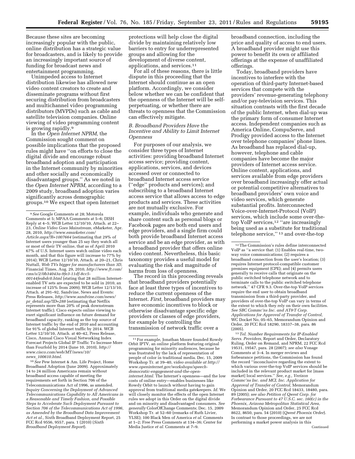Because these sites are becoming increasingly popular with the public, online distribution has a strategic value for broadcasters, and is likely to provide an increasingly important source of funding for broadcast news and entertainment programming.

Unimpeded access to Internet distribution likewise has allowed new video content creators to create and disseminate programs without first securing distribution from broadcasters and multichannel video programming distributors (MVPDs) such as cable and satellite television companies. Online viewing of video programming content is growing rapidly.9

In the *Open Internet NPRM,* the Commission sought comment on possible implications that the proposed rules might have ''on efforts to close the digital divide and encourage robust broadband adoption and participation in the Internet community by minorities and other socially and economically disadvantaged groups.'' As we noted in the *Open Internet NPRM,* according to a 2009 study, broadband adoption varies significantly across demographic groups.10 We expect that open Internet

enabled TV sets are expected to be sold in 2010, an increase of 125% from 2009); WCB Letter 12/13/10, Attach. at 291–92, Sandvine, News and Events: Press Releases, *http://www.sandvine.com/news/ pr*\_*detail.asp?ID=288* (estimating that Netflix represents more than 20% of peak downstream Internet traffic). Cisco expects online viewing to exert significant influence on future demand for broadband capacity, ranking as the top source of Internet traffic by the end of 2010 and accounting for 91% of global Internet traffic by 2014. WCB Letter 12/10/10, Attach. at 40–42, Press Release, Cisco, Annual Cisco Visual Networking Index Forecast Projects Global IP Traffic To Increase More than Fourfold by 2014 (June 10, 2010), *http:// www.cisco.com/web/MT/news/10/ news*\_*100610.html*.

10*See* Pew Internet & Am. Life Project, Home Broadband Adoption (June 2009). Approximately 14 to 24 million Americans remain without broadband access capable of meeting the requirements set forth in Section 706 of the Telecommunications Act of 1996, as amended. *Inquiry Concerning the Deployment of Advanced Telecommunications Capability to All Americans in a Reasonable and Timely Fashion, and Possible Steps to Accelerate Such Deployment Pursuant to Section 706 of the Telecommunications Act of 1996, as Amended by the Broadband Data Improvement Act et al.,* Sixth Broadband Deployment Report, 25 FCC Rcd 9556, 9557, para. 1 (2010) (*Sixth Broadband Deployment Report*).

protections will help close the digital divide by maintaining relatively low barriers to entry for underrepresented groups and allowing for the development of diverse content, applications, and services.11

For all of these reasons, there is little dispute in this proceeding that the Internet should continue as an open platform. Accordingly, we consider below whether we can be confident that the openness of the Internet will be selfperpetuating, or whether there are threats to openness that the Commission can effectively mitigate.

#### *B. Broadband Providers Have the Incentive and Ability to Limit Internet Openness*

For purposes of our analysis, we consider three types of Internet activities: providing broadband Internet access service; providing content, applications, services, and devices accessed over or connected to broadband Internet access service (''edge'' products and services); and subscribing to a broadband Internet access service that allows access to edge products and services. These activities are not mutually exclusive. For example, individuals who generate and share content such as personal blogs or Facebook pages are both end users and edge providers, and a single firm could both provide broadband Internet access service and be an edge provider, as with a broadband provider that offers online video content. Nevertheless, this basic taxonomy provides a useful model for evaluating the risk and magnitude of harms from loss of openness.

The record in this proceeding reveals that broadband providers potentially face at least three types of incentives to reduce the current openness of the Internet. *First,* broadband providers may have economic incentives to block or otherwise disadvantage specific edge providers or classes of edge providers, for example by controlling the transmission of network traffic over a

broadband connection, including the price and quality of access to end users. A broadband provider might use this power to benefit its own or affiliated offerings at the expense of unaffiliated offerings.

Today, broadband providers have incentives to interfere with the operation of third-party Internet-based services that compete with the providers' revenue-generating telephony and/or pay-television services. This situation contrasts with the first decade of the public Internet, when dial-up was the primary form of consumer Internet access. Independent companies such as America Online, CompuServe, and Prodigy provided access to the Internet over telephone companies' phone lines. As broadband has replaced dial-up, however, telephone and cable companies have become the major providers of Internet access service. Online content, applications, and services available from edge providers over broadband increasingly offer actual or potential competitive alternatives to broadband providers' own voice and video services, which generate substantial profits. Interconnected Voice-over-Internet-Protocol (VoIP) services, which include some over-thetop VoIP services,<sup>12</sup> "are increasingly being used as a substitute for traditional telephone service,'' 13 and over-the-top

13*Tel. Number Requirements for IP-Enabled Servs. Providers,* Report and Order, Declaratory Ruling, Order on Remand, and NPRM, 22 FCC Rcd 19531, 19547, para. 28 (2007); *see also* Vonage Comments at 3–4. In merger reviews and forbearance petitions, the Commission has found the record ''inconclusive regarding the extent to which various over-the-top VoIP services should be included in the relevant product market for [mass market] local services.'' *See, e.g., Verizon Commc'ns Inc. and MCI, Inc. Application for Approval of Transfer of Control,* Memorandum Opinion and Order, 20 FCC Rcd 18433, 18480, para. 89 (2005); *see also Petition of Qwest Corp. for Forbearance Pursuant to 47 U.S.C. sec. 160(c) in the Phoenix, Arizona Metropolitan Statistical Area,*  Memorandum Opinion and Order, 25 FCC Rcd 8622, 8650, para. 54 (2010) (*Qwest Phoenix Order*). In contrast to those proceedings, we are not performing a market power analysis in this Continued

<sup>9</sup>*See* Google Comments at 28; Motorola Comments at 5; MPAA Comments at 5–6; DISH Reply at 4–5; WCB Letter 12/10/10, Attach. at 22– 23, *Online Video Goes Mainstream,* eMarketer, Apr. 28, 2010, *http://www.emarketer.com/ Article.aspx?R=1007664* (estimating that 29% of Internet users younger than 25 say they watch all or most of their TV online, that as of April 2010 67% of U.S. Internet users watch online video each month, and that this figure will increase to 77% by 2014); WCB Letter 12/10/10, Attach. at 20–21, Chris Nuttall, *Web TVs bigger for manufacturers than 3D*, Financial Times, Aug. 29, 2010, *http://www.ft.com/ cms/s/2/0b34043a-9fe3-11df-8cc5- 00144feabdc0.html* (stating that 28 million Internet-

<sup>11</sup>For example, Jonathan Moore founded Rowdy Orbit IPTV, an online platform featuring original programming for minority audiences, because he was frustrated by the lack of representation of people of color in traditional media. Dec. 15, 2009 Workshop Tr. at 39–40, *video available at http:// www.openinternet.gov/workshops/speechdemocratic-engagement-and-the-openinternet.html.* The Internet's openness—and the low costs of online entry—enables businesses like Rowdy Orbit to launch without having to gain approval from traditional media gatekeepers. *Id.* We will closely monitor the effects of the open Internet rules we adopt in this Order on the digital divide and on minority and disadvantaged consumers. *See generally* ColorOfChange Comments; Dec. 15, 2009 Workshop Tr. at 52–60 (remarks of Ruth Livier, YLSE); 100 Black Men of America *et al.* Comments at 1–2; Free Press Comments at 134–36; Center for Media Justice *et al.* Comments at 7–9.

 $^{\rm 12}$  The Commission's rules define interconnected VoIP as ''a service that: (1) Enables real-time, twoway voice communications; (2) requires a broadband connection from the user's location; (3) requires Internet protocol-compatible customer premises equipment (CPE); and (4) permits users generally to receive calls that originate on the public switched telephone network and to terminate calls to the public switched telephone network.'' 47 CFR 9.3. Over-the-top VoIP services require the end user to obtain broadband transmission from a third-party provider, and providers of over-the-top VoIP can vary in terms of the extent to which they rely on their own facilities. *See SBC Commc'ns Inc. and AT&T Corp. Applications for Approval of Transfer of Control,*  WC Docket No, 05–65, Memorandum Opinion and Order, 20 FCC Rcd 18290, 18337–38, para. 86 (2005).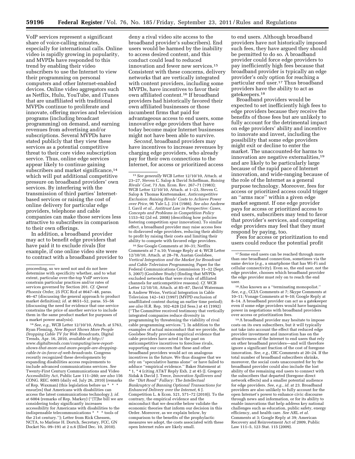VoIP services represent a significant share of voice-calling minutes, especially for international calls. Online video is rapidly growing in popularity, and MVPDs have responded to this trend by enabling their video subscribers to use the Internet to view their programming on personal computers and other Internet-enabled devices. Online video aggregators such as Netflix, Hulu, YouTube, and iTunes that are unaffiliated with traditional MVPDs continue to proliferate and innovate, offering movies and television programs (including broadcast programming) on demand, and earning revenues from advertising and/or subscriptions. Several MVPDs have stated publicly that they view these services as a potential competitive threat to their core video subscription service. Thus, online edge services appear likely to continue gaining subscribers and market significance,<sup>14</sup> which will put additional competitive pressure on broadband providers' own services. By interfering with the transmission of third parties' Internetbased services or raising the cost of online delivery for particular edge providers, telephone and cable companies can make those services less attractive to subscribers in comparison to their own offerings.

In addition, a broadband provider may act to benefit edge providers that have paid it to exclude rivals (for example, if one online video site were to contract with a broadband provider to

14*See, e.g.,* WCB Letter 12/10/10, Attach. at 5763, Ryan Fleming, *New Report Shows More People Dropping Cable TV for Web Broadcasts,* Digital Trends, Apr. 16, 2010, *available at http:// www.digitaltrends.com/computing/new-reportshows-that-more-and-more-people-are-droppingcable-tv-in-favor-of-web-broadcasts.* Congress recently recognized these developments by expanding disabilities access requirements to include advanced communications services. *See*  Twenty-First Century Communications and Video Accessibility Act, Public Law 111–260; *see also* 156 CONG. REC. 6005 (daily ed. July 26, 2010) (remarks of Rep. Waxman) (this legislation before us \* \* \* ensur[es] that Americans with disabilities can access the latest communications technology.); *id.*  at 6004 (remarks of Rep. Markey) (''[T]he bill we are considering today significantly increases accessibility for Americans with disabilities to the indispensable telecommunications \* \* \* tools of the 21st century.''); Letter from Rick Chessen, NCTA, to Marlene H. Dortch, Secretary, FCC, GN Docket No. 09–191 at 2 n.6 (filed Dec. 10, 2010).

deny a rival video site access to the broadband provider's subscribers). End users would be harmed by the inability to access desired content, and this conduct could lead to reduced innovation and fewer new services.15 Consistent with these concerns, delivery networks that are vertically integrated with content providers, including some MVPDs, have incentives to favor their own affiliated content.16 If broadband providers had historically favored their own affiliated businesses or those incumbent firms that paid for advantageous access to end users, some innovative edge providers that have today become major Internet businesses might not have been able to survive.

*Second,* broadband providers may have incentives to increase revenues by charging edge providers, who already pay for their own connections to the Internet, for access or prioritized access

15*See generally* WCB Letter 12/10/10, Attach. at 23–27, Steven C. Salop & David Scheffman, *Raising Rivals' Cost,* 73 Am. Econ. Rev. 267–71 (1983); WCB Letter 12/10/10, Attach. at 1–23, Steven C. Salop & Thomas Krattenmaker, *Anticompetitive Exclusion: Raising Rivals' Costs to Achieve Power over Price,* 96 Yale L.J. 214 (1986). *See also* Andrew I. Gavil *et al., Antitrust Law in Perspective: Cases, Concepts and Problems in Competition Policy*  1153–92 (2d ed. 2008) (describing how policies fostering competition spur innovation). To similar effect, a broadband provider may raise access fees to disfavored edge providers, reducing their ability to profit by raising their costs and limiting their ability to compete with favored edge providers.

16*See* Google Comments at 30–31; Netflix Comments at 7 n.10; Vonage Reply at 4; WCB Letter 12/10/10, Attach. at 28–78, Austan Goolsbee, *Vertical Integration and the Market for Broadcast and Cable Television Programming,* Paper for the Federal Communications Commission 31–32 (Sept. 5, 2007) (Goolsbee Study) (finding that MVPDs excluded networks that were rivals of affiliated channels for anticompetitive reasons). *Cf.* WCB Letter 12/10/10, Attach. at 85–87, David Waterman & Andrew Weiss, Vertical Integration in Cable Television 142–143 (1997) (MVPD exclusion of unaffiliated content during an earlier time period); *see also* H.R. Rep. 102–628 (2d Sess.) at 41 (1992) (''The Committee received testimony that vertically integrated companies reduce diversity in programming by threatening the viability of rival cable programming services.''). In addition to the examples of actual misconduct that we provide, the Goolsbee Study provides empirical evidence that cable providers have acted in the past on anticompetitive incentives to foreclose rivals, supporting our concern that these and other broadband providers would act on analogous incentives in the future. We thus disagree that we rely on ''speculative harms alone'' or have failed to adduce ''empirical evidence.'' Baker Statement at \* 1, \* 4 (citing AT&T Reply Exh. 2 at 45 (J. Gregory Sidak & David J. Teece, *Innovation Spillovers and the ''Dirt Road'' Fallacy: The Intellectual Bankruptcy of Banning Optional Transactions for Enhanced Delivery over the Internet,* 6 J. Competition L. & Econ. 521, 571–72 (2010)). To the contrary, the empirical evidence and the misconduct that we describe below validate the economic theories that inform our decision in this Order. Moreover, as we explain below, by comparison to the benefits of the prophylactic measures we adopt, the costs associated with these open Internet rules are likely small.

to end users. Although broadband providers have not historically imposed such fees, they have argued they should be permitted to do so. A broadband provider could force edge providers to pay inefficiently high fees because that broadband provider is typically an edge provider's only option for reaching a particular end user.17 Thus broadband providers have the ability to act as gatekeepers.18

Broadband providers would be expected to set inefficiently high fees to edge providers because they receive the benefits of those fees but are unlikely to fully account for the detrimental impact on edge providers' ability and incentive to innovate and invest, including the possibility that some edge providers might exit or decline to enter the market. The unaccounted-for harms to innovation are negative externalities,<sup>19</sup> and are likely to be particularly large because of the rapid pace of Internet innovation, and wide-ranging because of the role of the Internet as a general purpose technology. Moreover, fees for access or prioritized access could trigger an ''arms race'' within a given edge market segment. If one edge provider pays for access or prioritized access to end users, subscribers may tend to favor that provider's services, and competing edge providers may feel that they must respond by paying, too.

Fees for access or prioritization to end users could reduce the potential profit

18Also known as a ''terminating monopolist.'' *See, e.g.,* CCIA Comments at 7; Skype Comments at 10–11; Vonage Comments at 9–10; Google Reply at 8–14. A broadband provider can act as a gatekeeper even if some edge providers would have bargaining power in negotiations with broadband providers over access or prioritization fees.

19A broadband provider may hesitate to impose costs on its own subscribers, but it will typically not take into account the effect that reduced edge provider investment and innovation has on the attractiveness of the Internet to end users that rely on other broadband providers—and will therefore ignore a significant fraction of the cost of foregone innovation. *See, e.g.,* OIC Comments at 20–24. If the total number of broadband subscribers shrinks, moreover, the social costs unaccounted for by the broadband provider could also include the lost ability of the remaining end users to connect with the subscribers that departed (foregone direct network effects) and a smaller potential audience for edge providers. *See, e.g., id.* at 23. Broadband providers are also unlikely to fully account for the open Internet's power to enhance civic discourse through news and information, or for its ability to enable innovations that help address key national challenges such as education, public safety, energy efficiency, and health care. *See* ARL *et al.*  Comments at 3; Google Reply at 39; American Recovery and Reinvestment Act of 2009, Public Law 111–5, 123 Stat. 115 (2009).

proceeding, so we need not and do not here determine with specificity whether, and to what extent, particular over-the-top VoIP services constrain particular practices and/or rates of services governed by Section 201. *Cf. Qwest Phoenix Order,* 25 FCC Rcd at 8647–48, paras. 46–47 (discussing the general approach to product market definition); *id.* at 8651–52, paras. 55–56 (discussing the need for evidence that one service constrains the price of another service to include them in the same product market for purposes of a market power analysis).

<sup>17</sup>Some end users can be reached through more than one broadband connection, sometimes via the same device (*e.g.,* a smartphone that has Wi-Fi and cellular connectivity). Even so, the end user, not the edge provider, chooses which broadband provider the edge provider must rely on to reach the end user.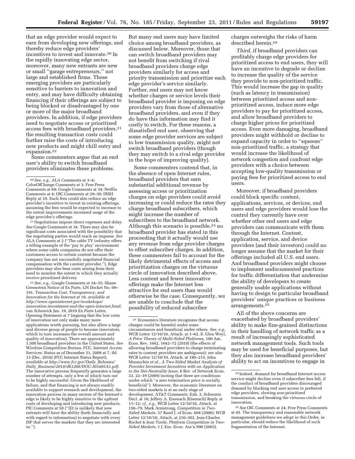that an edge provider would expect to earn from developing new offerings, and thereby reduce edge providers' incentives to invest and innovate.20 In the rapidly innovating edge sector, moreover, many new entrants are new or small ''garage entrepreneurs,'' not large and established firms. These emerging providers are particularly sensitive to barriers to innovation and entry, and may have difficulty obtaining financing if their offerings are subject to being blocked or disadvantaged by one or more of the major broadband providers. In addition, if edge providers need to negotiate access or prioritized access fees with broadband providers,21 the resulting transaction costs could further raise the costs of introducing new products and might chill entry and expansion.22

Some commenters argue that an end user's ability to switch broadband providers eliminates these problems.

21Negotiations impose direct expenses and delay. *See* Google Comments at 34. There may also be significant costs associated with the possibility that the negotiating parties would reach an impasse. *See*  ALA Comments at 2 (''The cable TV industry offers a telling example of the 'pay to play' environment where some cable companies do not offer their customers access to certain content because the company has not successfully negotiated financial compensation with the content provider.''). Edge providers may also bear costs arising from their need to monitor the extent to which they actually receive prioritized delivery.

22*See, e.g.,* Google Comments at 34–35; Shane Greenstein Notice of Ex Parte, GN Docket No. 09– 191, *Transaction Cost, Transparency, and Innovation for the Internet* at 19, *available at http://www.openinternet.gov/workshops/ innovation-investment-and-the-open-internet.html;*  van Schewick Jan. 19, 2010 *Ex Parte* Letter, Opening Statement at 7 (arguing that the low costs of innovation not only make many more applications worth pursuing, but also allow a large and diverse group of people to become innovators, which in turn increases the overall amount and quality of innovation). There are approximately 1,500 broadband providers in the United States. *See*  Wireline Competition Bureau, FCC, Internet Access Services: Status as of December 31, 2009 at 7, tbl. 13 (Dec. 2010) (FCC Internet Status Report), *available at http://www.fcc.gov/Daily*\_*Releases/ Daily*\_*Business/2010/db1208/DOC-303405A1.pdf.*  The innovative process frequently generates a large number of attempts, only a few of which turn out to be highly successful. Given the likelihood of failure, and that financing is not always readily available to support research and development, the innovation process in many sectors of the Internet's edge is likely to be highly sensitive to the upfront costs of developing and introducing new products. PIC Comments at 50 (''[I]t is unlikely that new entrants will have the ability (both financially and with regard to information) to negotiate with every ISP that serves the markets that they are interested in.'').

But many end users may have limited choice among broadband providers, as discussed below. Moreover, those that can switch broadband providers may not benefit from switching if rival broadband providers charge edge providers similarly for access and priority transmission and prioritize each edge provider's service similarly. Further, end users may not know whether charges or service levels their broadband provider is imposing on edge providers vary from those of alternative broadband providers, and even if they do have this information may find it costly to switch. For these reasons, a dissatisfied end user, observing that some edge provider services are subject to low transmission quality, might not switch broadband providers (though they may switch to a rival edge provider in the hope of improving quality).

Some commenters contend that, in the absence of open Internet rules, broadband providers that earn substantial additional revenue by assessing access or prioritization charges on edge providers could avoid increasing or could reduce the rates they charge broadband subscribers, which might increase the number of subscribers to the broadband network. Although this scenario is possible,<sup>23</sup> no broadband provider has stated in this proceeding that it actually would use any revenue from edge provider charges to offset subscriber charges. In addition, these commenters fail to account for the likely detrimental effects of access and prioritization charges on the virtuous circle of innovation described above. Less content and fewer innovative offerings make the Internet less attractive for end users than would otherwise be the case. Consequently, we are unable to conclude that the possibility of reduced subscriber

charges outweighs the risks of harm described herein.24

*Third,* if broadband providers can profitably charge edge providers for prioritized access to end users, they will have an incentive to degrade or decline to increase the quality of the service they provide to non-prioritized traffic. This would increase the gap in quality (such as latency in transmission) between prioritized access and nonprioritized access, induce more edge providers to pay for prioritized access, and allow broadband providers to charge higher prices for prioritized access. Even more damaging, broadband providers might withhold or decline to expand capacity in order to ''squeeze'' non-prioritized traffic, a strategy that would increase the likelihood of network congestion and confront edge providers with a choice between accepting low-quality transmission or paying fees for prioritized access to end users.

Moreover, if broadband providers could block specific content, applications, services, or devices, end users and edge providers would lose the control they currently have over whether other end users and edge providers can communicate with them through the Internet. Content, application, service, and device providers (and their investors) could no longer assume that the market for their offerings included all U.S. end users. And broadband providers might choose to implement undocumented practices for traffic differentiation that undermine the ability of developers to create generally usable applications without having to design to particular broadband providers' unique practices or business arrangements.25

All of the above concerns are exacerbated by broadband providers' ability to make fine-grained distinctions in their handling of network traffic as a result of increasingly sophisticated network management tools. Such tools may be used for beneficial purposes, but they also increase broadband providers' ability to act on incentives to engage in

<sup>20</sup>*See, e.g.,* ALA Comments at 3–4; ColorOfChange Comments at 3; Free Press Comments at 69; Google Comments at 34; Netflix Comments at 4; OIC Comments at 29–30; DISH Reply at 10. Such fees could also reduce an edge provider's incentive to invest in existing offerings, assuming the fees would be expected to increase to the extent improvements increased usage of the edge provider's offerings.

<sup>23</sup> Economics literature recognizes that access charges could be harmful under some circumstances and beneficial under others. *See, e.g.,*  WCB Letter 12/10/10, Attach. at 1–62, E. Glen Weyl, *A Price Theory of Multi-Sided Platforms,* 100 Am. Econ. Rev. 1642, 1642–72 (2010) (the effects of allowing broadband providers to charge terminating rates to content providers are ambiguous); *see also*  WCB Letter 12/10/10, Attach. at 180–215, John Musacchio *et al., A Two-Sided Market Analysis of Provider Investment Incentives with an Application to the Net-Neutrality Issue,* 8 Rev. of Network Econ. 22, 22–39 (2009) (noting that there are conditions under which ''a zero termination price is socially beneficial''). Moreover, the economic literature on two-sided markets is at an early stage of development. AT&T Comments, Exh. 3, Schwartz Decl. at 16; Jeffrey A. Eisenach (Eisenach) Reply at 11–12; *cf., e.g.,* WCB Letter 12/10/10, Attach. at 156–79, Mark Armstrong, *Competition in Two-Sided Markets,* 37 Rand J. of Econ. 668 (2006); WCB Letter 12/10/10, Attach. at 216–302, Jean-Charles Rochet & Jean Tirole, *Platform Competition in Two-Sided Markets,* 1 J. Eur. Econ. Ass'n 990 (2003).

<sup>24</sup> Indeed, demand for broadband Internet access service might decline even if subscriber fees fell, if the conduct of broadband providers discouraged demand by blocking end user access to preferred edge providers, slowing non-prioritized transmission, and breaking the virtuous circle of innovation.

<sup>25</sup>*See* OIC Comments at 24; Free Press Comments at 45. The transparency and reasonable network management guidelines we adopt in this Order, in particular, should reduce the likelihood of such fragmentation of the Internet.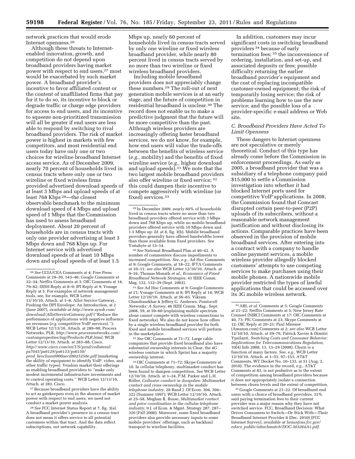network practices that would erode Internet openness.26

Although these threats to Internetenabled innovation, growth, and competition do not depend upon broadband providers having market power with respect to end users,27 most would be exacerbated by such market power. A broadband provider's incentive to favor affiliated content or the content of unaffiliated firms that pay for it to do so, its incentive to block or degrade traffic or charge edge providers for access to end users, and its incentive to squeeze non-prioritized transmission will all be greater if end users are less able to respond by switching to rival broadband providers. The risk of market power is highest in markets with few competitors, and most residential end users today have only one or two choices for wireline broadband Internet access service. As of December 2009, nearly 70 percent of households lived in census tracts where only one or two wireline or fixed wireless firms provided advertised download speeds of at least 3 Mbps and upload speeds of at least 768 Kbps 28—the closest observable benchmark to the minimum download speed of 4 Mbps and upload speed of 1 Mbps that the Commission has used to assess broadband deployment. About 20 percent of households are in census tracts with only one provider advertising at least 3 Mbps down and 768 Kbps up. For Internet service with advertised download speeds of at least 10 Mbps down and upload speeds of at least 1.5

*prod*\_*brochure0900aecd8025258e.pdf* (marketing the ability of equipment to identify VoIP, video, and other traffic types). Vendors market their offerings as enabling broadband providers to ''make only modest incremental infrastructure investments and to control operating costs.'' WCB Letter 12/13/10, Attach. at 283, Cisco.

27Because broadband providers have the ability to act as gatekeepers even in the absence of market power with respect to end users, we need not conduct a market power analysis.

28*See* FCC Internet Status Report at 7, fig. 3(a). A broadband provider's presence in a census tract does not mean it offers service to all potential customers within that tract. And the data reflect subscriptions, not network capability.

Mbps up, nearly 60 percent of households lived in census tracts served by only one wireline or fixed wireless broadband provider, while nearly 80 percent lived in census tracts served by no more than two wireline or fixed wireless broadband providers.

Including mobile broadband providers does not appreciably change these numbers.29 The roll-out of next generation mobile services is at an early stage, and the future of competition in residential broadband is unclear.30 The record does not enable us to make a predictive judgment that the future will be more competitive than the past. Although wireless providers are increasingly offering faster broadband services, we do not know, for example, how end users will value the trade-offs between the benefits of wireless service (*e.g.,* mobility) and the benefits of fixed wireline service (*e.g.,* higher download and upload speeds).31 We note that the two largest mobile broadband providers also offer wireline or fixed service; 32 this could dampen their incentive to compete aggressively with wireline (or fixed) services.<sup>33</sup>

30*See* National Broadband Plan at 40–42. A number of commenters discuss impediments to increased competition. *See, e.g.,* Ad Hoc Comments at 9; Google Comments, at 18–22; IFTA Comments at 10–11; *see also* WCB Letter 12/10/10, Attach. at 9–16, Thomas Monath *et al., Economics of Fixed Broadband Network Strategies,* 41 IEEE Comm. Mag. 132, 132–39 (Sept. 2003).

31*See* Ad Hoc Comments at 9; Google Comments at 21; Vonage Comments at 8; IPI Reply at 14; WCB Letter 12/10/10, Attach. at 56–65, Vikram Chandrasekhar & Jeffrey G. Andrews, *Femtocell Networks: A Survey,* 46 IEEE Comm. Mag., Sept. 2008, 59, at 59–60 (explaining mobile spectrum alone cannot compete with wireless connections to fixed networks). We also do not know how offers by a single wireless broadband provider for both fixed and mobile broadband services will perform in the marketplace.

32*See* OIC Comments at 71–72. Large cable companies that provide fixed broadband also have substantial ownership interests in Clear, the 4G wireless venture in which Sprint has a majority ownership interest.

33OIC Comments at 71–72; Skype Comments at 10. In cellular telephony, multimarket conduct has been found to dampen competition. *See* WCB Letter 12/10/10, Attach. at 1–24, P.M. Parker and L.H. Ro¨ller, *Collusive conduct in duopolies: Multimarket contact and cross ownership in the mobile telephone industry,* 28 Rand J. Of Econ. 304, 304– 322 (Summer 1997); WCB Letter 12/10/10, Attach. at 25–58, Meghan R. Busse, *Multimarket contact and price coordination in the cellular telephone industry,* 9 J. of Econ. & Mgmt. Strategy 287, 287– 320 (Fall 2000). Moreover, some fixed broadband providers also provide necessary inputs to some mobile providers' offerings, such as backhaul transport to wireline facilities.

In addition, customers may incur significant costs in switching broadband providers 34 because of early termination fees; 35 the inconvenience of ordering, installation, and set-up, and associated deposits or fees; possible difficulty returning the earlier broadband provider's equipment and the cost of replacing incompatible customer-owned equipment; the risk of temporarily losing service; the risk of problems learning how to use the new service; and the possible loss of a provider-specific e-mail address or Web site.

#### *C. Broadband Providers Have Acted To Limit Openness*

These dangers to Internet openness are not speculative or merely theoretical. Conduct of this type has already come before the Commission in enforcement proceedings. As early as 2005, a broadband provider that was a subsidiary of a telephone company paid \$15,000 to settle a Commission investigation into whether it had blocked Internet ports used for competitive VoIP applications. In 2008, the Commission found that Comcast disrupted certain peer-to-peer (P2P) uploads of its subscribers, without a reasonable network management justification and without disclosing its actions. Comparable practices have been observed in the provision of mobile broadband services. After entering into a contract with a company to handle online payment services, a mobile wireless provider allegedly blocked customers' attempts to use competing services to make purchases using their mobile phones. A nationwide mobile provider restricted the types of lawful applications that could be accessed over its 3G mobile wireless network.

35 Google Comments at 21–22. Of broadband end users with a choice of broadband providers, 32% said paying termination fees to their current provider was a major reason why they have not switched service. FCC, Broadband Decision: What Drives Consumers to Switch—Or Stick With—Their Broadband Internet Provider 8 (Dec. 2010) (FCC Internet Survey), *available at hraunfoss.fcc.gov/ edocs*\_*public/attachmatch/DOC-303264A1.pdf.* 

<sup>26</sup>*See* CCIA/CEA Comments at 4; Free Press Comments at 29–30, 143–46; Google Comments at 32–34; Netflix Comments at 3; OIC Comments at 14, 79–82; DISH Reply at 8–9; IPI Reply at 9; Vonage Reply at 5. For examples of network management tools, see, for example, WCB Letter 12/10/10, Attach. at 1–8, Allot Service Gateway, Pushing the DPI Envelope: An Introduction, at 2 (June 2007), *available at http://www.sysob.com/ download/AllotServiceGateway.pdf* (''Reduce the performance of applications with negative influence on revenues (*e.g.* competitive VoIP services).''); WCB Letter 12/13/10, Attach. at 289–90, Procera Networks, PLR, *http://www.proceranetworks.com/ customproperties/tag/Products-PLR.html;* WCB Letter 12/13/10, Attach. at 283–88, Cisco, *http//:www.cisco.com/en/US/prod/collateral/ ps7045/ps6129/ps6133/ps6150/* 

<sup>29</sup> In December 2009, nearly 60% of households lived in census tracts where no more than two broadband providers offered service with 3 Mbps down and 768 Kbps up, while no mobile broadband providers offered service with 10 Mbps down and 1.5 Mbps up. *Id.* at 8, fig. 3(b). Mobile broadband providers generally have offered bandwidths lower than those available from fixed providers. *See*  Yottabyte at 13–14.

<sup>34</sup>ARL *et al.* Comments at 5; Google Comments at 21–22; Netflix Comments at 5; New Jersey Rate Counsel (NJRC) Comments at 17; OIC Comments at 40, 73; PIC Comments at 23; Skype Comments at 12; OIC Reply at 20–21; Paul Misener (Amazon.com) Comments at 2; *see also* WCB Letter 12/10/10, Attach. at 59–76, Patrick Xavier & Dimitri Ypsilanti, *Switching Costs and Consumer Behavior: Implications for Telecommunications Regulation,*  10(4) Info 2008, 13, 13–29 (2008). Churn is a function of many factors. *See, e.g.,* WCB Letter 12/10/10, Attach. at 1–53, 97–153, AT&T Comments, WT Docket No. 10–133, at 51 (Aug. 2, 2010). The evidence in the record, *e.g.,* AT&T Comments at 83, is not probative as to the extent of competition among broadband providers because it does not appropriately isolate a connection between churn levels and the extent of competition.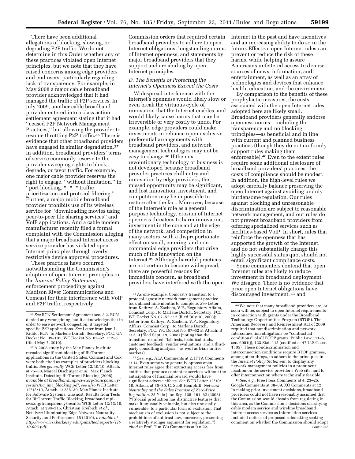There have been additional allegations of blocking, slowing, or degrading P2P traffic. We do not determine in this Order whether any of these practices violated open Internet principles, but we note that they have raised concerns among edge providers and end users, particularly regarding lack of transparency. For example, in May 2008 a major cable broadband provider acknowledged that it had managed the traffic of P2P services. In July 2009, another cable broadband provider entered into a class action settlement agreement stating that it had ''ceased P2P Network Management Practices,'' but allowing the provider to resume throttling P2P traffic.36 There is evidence that other broadband providers have engaged in similar degradation.<sup>37</sup> In addition, broadband providers' terms of service commonly reserve to the provider sweeping rights to block, degrade, or favor traffic. For example, one major cable provider reserves the right to engage, ''without limitation,'' in ''port blocking, \* \* \* traffic prioritization and protocol filtering.'' Further, a major mobile broadband provider prohibits use of its wireless service for ''downloading movies using peer-to-peer file sharing services'' and VoIP applications. And a cable modem manufacturer recently filed a formal complaint with the Commission alleging that a major broadband Internet access service provider has violated open Internet principles through overly restrictive device approval procedures.

These practices have occurred notwithstanding the Commission's adoption of open Internet principles in the *Internet Policy Statement;*  enforcement proceedings against Madison River Communications and Comcast for their interference with VoIP and P2P traffic, respectively;

<sup>37</sup> A 2008 study by the Max Planck Institute revealed significant blocking of BitTorrent applications in the United States. Comcast and Cox were both cited as examples of providers blocking traffic. *See generally* WCB Letter 12/10/10, Attach. at 75–80, Marcel Dischinger *et al*., Max Planck Institute, Detecting BitTorrent Blocking (2008), *available at broadband.mpi-sws.org/transparency/ results/08*\_*imc*\_*blocking.pdf; see also* WCB Letter 12/13/10, Attach. at 235–39, Max Planck Institute for Software Systems, Glasnost: Results from Tests for BitTorrent Traffic Blocking, broadband.mpisws.org/transparency/results; WCB Letter 12/13/10, Attach. at 298–315, Christian Kreibich *et al*., Netalyzr: Illuminating Edge Network Neutrality, Security, and Performance 15 (2010), *available at http://www.icsi.berkeley.edu/pubs/techreports/TR-10-006.pdf.* 

Commission orders that required certain broadband providers to adhere to open Internet obligations; longstanding norms of Internet openness; and statements by major broadband providers that they support and are abiding by open Internet principles.

#### *D. The Benefits of Protecting the Internet's Openness Exceed the Costs*

Widespread interference with the Internet's openness would likely slow or even break the virtuous cycle of innovation that the Internet enables, and would likely cause harms that may be irreversible or very costly to undo. For example, edge providers could make investments in reliance upon exclusive preferential arrangements with broadband providers, and network management technologies may not be easy to change.38 If the next revolutionary technology or business is not developed because broadband provider practices chill entry and innovation by edge providers, the missed opportunity may be significant, and lost innovation, investment, and competition may be impossible to restore after the fact. Moreover, because of the Internet's role as a general purpose technology, erosion of Internet openness threatens to harm innovation, investment in the core and at the edge of the network, and competition in many sectors, with a disproportionate effect on small, entering, and noncommercial edge providers that drive much of the innovation on the Internet.39 Although harmful practices are not certain to become widespread, there are powerful reasons for immediate concern, as broadband providers have interfered with the open

<sup>39</sup> See, e.g., ALA Comments at 2; IFTA Comments at 14. Even some who generally oppose open Internet rules agree that extracting access fees from entities that produce content or services without the anticipation of financial reward would have significant adverse effects. *See* WCB Letter 12/10/ 10, Attach. at 35–80, C. Scott Hemphill, *Network Neutrality and the False Promise of Zero-Price Regulation,* 25 Yale J. on Reg. 135, 161–62 (2008) (''[S]ocial production has distinctive features that make it unusually valuable, but also unusually vulnerable, to a particular form of exclusion. That mechanism of exclusion is not subject to the prohibitions of antitrust law, moreover, presenting a relatively stronger argument for regulation.''), *cited in* Prof. Tim Wu Comments at 9 n.22.

Internet in the past and have incentives and an increasing ability to do so in the future. Effective open Internet rules can prevent or reduce the risk of these harms, while helping to assure Americans unfettered access to diverse sources of news, information, and entertainment, as well as an array of technologies and devices that enhance health, education, and the environment.

By comparison to the benefits of these prophylactic measures, the costs associated with the open Internet rules adopted here are likely small. Broadband providers generally endorse openness norms—including the transparency and no blocking principles—as beneficial and in line with current and planned business practices (though they do not uniformly support rules making them enforceable).40 Even to the extent rules require some additional disclosure of broadband providers' practices, the costs of compliance should be modest. In addition, the high-level rules we adopt carefully balance preserving the open Internet against avoiding unduly burdensome regulation. Our rules against blocking and unreasonable discrimination are subject to reasonable network management, and our rules do not prevent broadband providers from offering specialized services such as facilities-based VoIP. In short, rules that reinforce the openness that has supported the growth of the Internet, and do not substantially change this highly successful status quo, should not entail significant compliance costs.

Some commenters contend that open Internet rules are likely to reduce investment in broadband deployment. We disagree. There is no evidence that prior open Internet obligations have discouraged investment; 41 and

41*See, e.g.,* Free Press Comments at 4, 23–25; Google Comments at 38–39; XO Comments at 12. In making prior investment decisions, broadband providers could not have reasonably assumed that the Commission would abstain from regulating in this area, as the Commission's decisions classifying cable modem service and wireline broadband Internet access service as information services included notices of proposed rulemaking seeking comment on whether the Commission should adopt Continued

<sup>36</sup>*See* RCN Settlement Agreement sec. 3.2. RCN denied any wrongdoing, but it acknowledges that in order to ease network congestion, it targeted specific P2P applications. *See* Letter from Jean L. Kiddo, RCN, to Marlene Dortch, Secretary, FCC, GN Docket No. 09–191, WC Docket No. 07–52, at 2–5 (filed May 7, 2010).

<sup>38</sup>As one example, Comcast's transition to a protocol-agnostic network management practice took almost nine months to complete. *See* Letter from Kathryn A. Zachem, V.P., Regulatory Affairs, Comcast Corp., to Marlene Dortch, Secretary, FCC, WC Docket No. 07–52 at 2 (filed July 10, 2008); Letter from Kathryn A. Zachem, V.P., Regulatory Affairs, Comcast Corp., to Marlene Dortch, Secretary, FCC, WC Docket No. 07–52 at Attach. B at 3, 9 (filed Sept. 19, 2008) (noting that the transition required ''lab tests, technical trials, customer feedback, vendor evaluations, and a thirdparty consulting analysis,'' as well as trials in five

<sup>40</sup>We note that many broadband providers are, or soon will be, subject to open Internet requirements in connection with grants under the Broadband Technology Opportunities Program (BTOP). The American Recovery and Reinvestment Act of 2009 required that nondiscrimination and network interconnection obligations be ''contractual conditions'' of all BTOP grants. Public Law 111–5, sec. 6001(j), 123 Stat. 115 (codified at 47 U.S.C. sec. 1305). These nondiscrimination and interconnection conditions require BTOP grantees, among other things, to adhere to the principles in the *Internet Policy Statement;* to display any network management policies in a prominent location on the service provider's Web site; and to offer interconnection where technically feasible.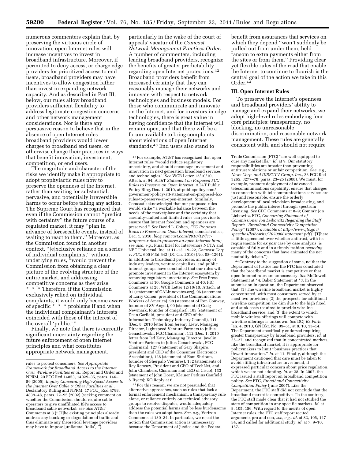numerous commenters explain that, by preserving the virtuous circle of innovation, open Internet rules will increase incentives to invest in broadband infrastructure. Moreover, if permitted to deny access, or charge edge providers for prioritized access to end users, broadband providers may have incentives to allow congestion rather than invest in expanding network capacity. And as described in Part III, below, our rules allow broadband providers sufficient flexibility to address legitimate congestion concerns and other network management considerations. Nor is there any persuasive reason to believe that in the absence of open Internet rules broadband providers would lower charges to broadband end users, or otherwise change their practices in ways that benefit innovation, investment, competition, or end users.

The magnitude and character of the risks we identify make it appropriate to adopt prophylactic rules now to preserve the openness of the Internet, rather than waiting for substantial, pervasive, and potentially irreversible harms to occur before taking any action. The Supreme Court has recognized that even if the Commission cannot ''predict with certainty'' the future course of a regulated market, it may ''plan in advance of foreseeable events, instead of waiting to react to them.'' Moreover, as the Commission found in another context, ''[e]xclusive reliance on a series of individual complaints,'' without underlying rules, ''would prevent the Commission from obtaining a clear picture of the evolving structure of the entire market, and addressing competitive concerns as they arise. \* \* \* Therefore, if the Commission exclusively relied on individual complaints, it would only become aware of specific \* \* \* problems if and when the individual complainant's interests coincided with those of the interest of the overall 'public.' ''

Finally, we note that there is currently significant uncertainty regarding the future enforcement of open Internet principles and what constitutes appropriate network management,

particularly in the wake of the court of appeals' vacatur of the *Comcast Network Management Practices Order.*  A number of commenters, including leading broadband providers, recognize the benefits of greater predictability regarding open Internet protections.42 Broadband providers benefit from increased certainty that they can reasonably manage their networks and innovate with respect to network technologies and business models. For those who communicate and innovate on the Internet, and for investors in edge technologies, there is great value in having confidence that the Internet will remain open, and that there will be a forum available to bring complaints about violations of open Internet standards.43 End users also stand to

42For example, AT&T has recognized that open Internet rules ''would reduce regulatory uncertainty, and should encourage investment and innovation in next generation broadband services and technologies.'' *See* WCB Letter 12/10/10, Attach. at 94, AT&T *Statement on Proposed FCC Rules to Preserve an Open Internet,* AT&T Public Policy Blog, Dec. 1, 2010, attpublicpolicy.com/ government-policy/att-statement-on-proposed-fccrules-to-preserve-an-open-internet. Similarly, Comcast acknowledged that our proposed rules would strike ''a workable balance between the needs of the marketplace and the certainty that carefully-crafted and limited rules can provide to ensure that Internet freedom and openness are preserved.'' *See* David L. Cohen, *FCC Proposes Rules to Preserve an Open Internet,* comcastvoices, Dec. 1, 2010, *blog.comcast.com/2010/12/fccproposes-rules-to-preserve-an-open-internet.html; see also, e.g.,* Final Brief for Intervenors NCTA and NBC Universal, Inc. at 11–13; 19–22, *Comcast Corp.*  v. *FCC,* 600 F.3d 642 (DC Cir. 2010) (No. 08–1291). In addition to broadband providers, an array of industry leaders, venture capitalists, and public interest groups have concluded that our rules will promote investment in the Internet ecosystem by removing regulatory uncertainty. *See* Free Press Comments at 10; Google Comments at 40; PIC Comments at 28; WCB Letter 12/10/10, Attach. at 91 (statement of CALinnovates.org), 96 (statement of Larry Cohen, president of the Communications Workers of America), 98 (statement of Ron Conway, founder of SV Angel), 99 (statement of Craig Newmark, founder of craigslist), 105 (statement of Dean Garfield, president and CEO of the Information Technology Industry Council), 111 (Dec. 8, 2010 letter from Jeremy Liew, Managing Director, Lightspeed Venture Partners to Julius Genachowski, FCC Chairman), 112 (Dec. 1, 2010 letter from Jed Katz, Managing Director, Javelin Venture Partners to Julius Genachowski, FCC Chairman), 127 (statement of Gary Shapiro, president and CEO of the Consumer Electronics Association), 128 (statement of Ram Shriram, founder of Sherpalo Ventures), 132 (statements of Rey Ramsey, President and CEO of TechNet, and John Chambers, Chairman and CEO of Cisco), 133 (statement of John Doerr, Kleiner Perkins Caufield & Byers); XO Reply at 6.

43For this reason, we are not persuaded that alternative approaches, such as rules that lack a formal enforcement mechanism, a transparency rule alone, or reliance entirely on technical advisory groups to resolve disputes, would adequately address the potential harms and be less burdensome than the rules we adopt here. *See, e.g.,* Verizon Comments at 130–34. In particular, we reject the notion that Commission action is unnecessary because the Department of Justice and the Federal

benefit from assurances that services on which they depend ''won't suddenly be pulled out from under them, held ransom to extra payments either from the sites or from them.'' Providing clear yet flexible rules of the road that enable the Internet to continue to flourish is the central goal of the action we take in this Order.44

#### **III. Open Internet Rules**

To preserve the Internet's openness and broadband providers' ability to manage and expand their networks, we adopt high-level rules embodying four core principles: transparency, no blocking, no unreasonable discrimination, and reasonable network management. These rules are generally consistent with, and should not require

44Contrary to the suggestion of some, neither the Department of Justice nor the FTC has concluded that the broadband market is competitive or that open Internet rules are unnecessary. *See* McDowell Statement at \*4; Baker Statement at \*3. In the submission in question, the Department observed that: (1) The wireline broadband market is highly concentrated, with most consumers served by at most two providers; (2) the prospects for additional wireline competition are dim due to the high fixed and sunk costs required to provide wireline broadband service; and (3) the extent to which mobile wireless offerings will compete with wireline offerings is unknown. *See* DOJ *Ex Parte*  Jan. 4, 2010, GN Dkt. No. 09–51, at 8, 10, 13–14. The Department specifically endorsed requiring greater transparency by broadband providers, *id.* at 25–27, and recognized that in concentrated markets, like the broadband market, it is appropriate for policymakers to limit ''business practices that thwart innovation.'' *Id.* at 11. Finally, although the Department cautioned that care must be taken to avoid stifling infrastructure investment, it expressed particular concern about price regulation, which we are not adopting. *Id.* at 28. In 2007, the FTC issued a staff report on broadband competition policy. *See* FTC, *Broadband Connectivity Competition Policy* (June 2007). Like the Department, the FTC staff did not conclude that the broadband market is competitive. To the contrary, the FTC staff made clear that it had not studied the state of competition in any specific markets. *Id.* at 8, 105, 156. With regard to the merits of open Internet rules, the FTC staff report recited arguments pro and con, *see, e.g., id.* at 82, 105, 147– 54, and called for additional study, *id.* at 7, 9–10, 157.

rules to protect consumers. *See Appropriate Framework for Broadband Access to the Internet Over Wireline Facilities et al.,* Report and Order and NPRM, 20 FCC Rcd 14853, 14929–35, paras. 146– 59 (2005); *Inquiry Concerning High-Speed Access to the Internet Over Cable & Other Facilities et al.,*  Declaratory Ruling and NPRM, 17 FCC\_ Rcd 4798, 4839–48, paras. 72–95 (2002) (seeking comment on whether the Commission should require cable operators to give unaffiliated ISPs access to broadband cable networks); *see also* AT&T Comments at 8 (''[T]he existing principles already address any blocking or degradation of traffic and thus eliminate any theoretical leverage providers may have to impose [unilateral 'tolls'].

Trade Commission (FTC) ''are well equipped to cure any market ills.'' *Id.* at 9. Our statutory responsibilities are broader than preventing antitrust violations or unfair competition. See, e.g. *News Corp. and DIRECTV Group, Inc.,* 23 FCC Rcd 3265,  $3277 - 78$ , paras. 23–25 (2008). We must, for example, promote deployment of advanced telecommunications capability, ensure that charges in connection with telecommunications services are just and reasonable, ensure the orderly development of local television broadcasting, and promote the public interest through spectrum licensing. *See* CDT Comments at 8–9; Comm'r Jon Liebowitz, FTC, *Concurring Statement of Commissioner Jon Leibowitz Regarding the Staff Report: ''Broadband Connectivity Competition Policy''* (2007), *available at http://www.ftc.gov/ speeches/leibowitz/V070000statement.pdf* (''[T]here is little agreement over whether antitrust, with its requirements for *ex post* case by case analysis, is capable of fully and in a timely fashion *resolving*  many of the concerns that have animated the net neutrality debate.'').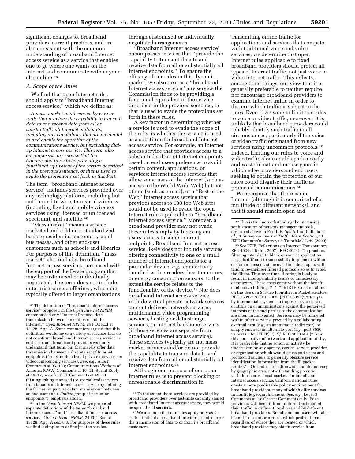significant changes to, broadband providers' current practices, and are also consistent with the common understanding of broadband Internet access service as a service that enables one to go where one wants on the Internet and communicate with anyone else online.45

#### *A. Scope of the Rules*

We find that open Internet rules should apply to ''broadband Internet access service,'' which we define as:

*A mass-market retail service by wire or radio that provides the capability to transmit data to and receive data from all or substantially all Internet endpoints, including any capabilities that are incidental to and enable the operation of the communications service, but excluding dialup Internet access service. This term also encompasses any service that the Commission finds to be providing a functional equivalent of the service described in the previous sentence, or that is used to evade the protections set forth in this Part.* 

The term ''broadband Internet access service'' includes services provided over any technology platform, including but not limited to wire, terrestrial wireless (including fixed and mobile wireless services using licensed or unlicensed spectrum), and satellite.46

''Mass market'' means a service marketed and sold on a standardized basis to residential customers, small businesses, and other end-user customers such as schools and libraries. For purposes of this definition, ''mass market'' also includes broadband Internet access services purchased with the support of the E-rate program that may be customized or individually negotiated. The term does not include enterprise service offerings, which are typically offered to larger organizations

46 In the *Open Internet NPRM,* we proposed separate definitions of the terms ''broadband Internet access,'' and ''broadband Internet access service.'' *Open Internet NPRM,* 24 FCC Rcd at 13128, App. A sec. 8.3. For purposes of these rules, we find it simpler to define just the service.

through customized or individually negotiated arrangements.

''Broadband Internet access service'' encompasses services that ''provide the capability to transmit data to and receive data from all or substantially all Internet endpoints.'' To ensure the efficacy of our rules in this dynamic market, we also treat as a ''broadband Internet access service'' any service the Commission finds to be providing a functional equivalent of the service described in the previous sentence, or that is used to evade the protections set forth in these rules.

A key factor in determining whether a service is used to evade the scope of the rules is whether the service is used as a substitute for broadband Internet access service. For example, an Internet access service that provides access to a substantial subset of Internet endpoints based on end users preference to avoid certain content, applications, or services; Internet access services that allow some uses of the Internet (such as access to the World Wide Web) but not others (such as e-mail); or a ''Best of the Web'' Internet access service that provides access to 100 top Web sites could not be used to evade the open Internet rules applicable to ''broadband Internet access service.'' Moreover, a broadband provider may not evade these rules simply by blocking end users' access to some Internet endpoints. Broadband Internet access service likely does not include services offering connectivity to one or a small number of Internet endpoints for a particular device, *e.g.,* connectivity bundled with e-readers, heart monitors, or energy consumption sensors, to the extent the service relates to the functionality of the device.47 Nor does broadband Internet access service include virtual private network services, content delivery network services, multichannel video programming services, hosting or data storage services, or Internet backbone services (if those services are separate from broadband Internet access service). These services typically are not mass market services and/or do not provide the capability to transmit data to and receive data from all or substantially all Internet endpoints.48

Although one purpose of our open Internet rules is to prevent blocking or unreasonable discrimination in

transmitting online traffic for applications and services that compete with traditional voice and video services, we determine that open Internet rules applicable to fixed broadband providers should protect all types of Internet traffic, not just voice or video Internet traffic. This reflects, among other things, our view that it is generally preferable to neither require nor encourage broadband providers to examine Internet traffic in order to discern which traffic is subject to the rules. Even if we were to limit our rules to voice or video traffic, moreover, it is unlikely that broadband providers could reliably identify such traffic in all circumstances, particularly if the voice or video traffic originated from new services using uncommon protocols.49 Indeed, limiting our rules to voice and video traffic alone could spark a costly and wasteful cat-and-mouse game in which edge providers and end users seeking to obtain the protection of our rules could disguise their traffic as protected communications.50

We recognize that there is one Internet (although it is comprised of a multitude of different networks), and that it should remain open and

50*See* IETF, Reflections on Internet Transparency, RFC 4924 at 5 (Jul. 2007) (RFC 4924) (''In practice, filtering intended to block or restrict application usage is difficult to successfully implement without customer consent, since over time developers will tend to re-engineer filtered protocols so as to avoid the filters. Thus over time, filtering is likely to result in interoperability issues or unnecessary complexity. These costs come without the benefit of effective filtering. \* \* \*''); IETF, Considerations on the Use of a Service Identifier in Packet Headers, RFC 3639 at 3 (Oct. 2003) (RFC 3639) (''Attempts by intermediate systems to impose service-based controls on communications against the perceived interests of the end parties to the communication are often circumvented. Services may be tunneled within other services, proxied by a collaborating external host (*e.g.,* an anonymous redirector), or simply run over an alternate port (*e.g.,* port 8080 vs port 80 for HTTP).''). *Cf.* RFC 3639 at 4 (''From this perspective of network and application utility, it is preferable that no action or activity be undertaken by any agency, carrier, service provider, or organization which would cause end-users and protocol designers to generally obscure service identification information from the IP packet header.''). Our rules are nationwide and do not vary by geographic area, notwithstanding potential variations across local markets for broadband Internet access service. Uniform national rules create a more predictable policy environment for broadband providers, many of which offer services in multiple geographic areas. *See, e.g.,* Level 3 Comments at 13; Charter Comments at iv. Edge providers will benefit from uniform treatment of their traffic in different localities and by different broadband providers. Broadband end users will also benefit from uniform rules, which protect them regardless of where they are located or which broadband provider they obtain service from.

<sup>45</sup>The definition of ''broadband Internet access service'' proposed in the *Open Internet NPRM*  encompassed any ''Internet Protocol data transmission between an end user and the Internet.'' *Open Internet NPRM,* 24 FCC Rcd at 13128, App. A. Some commenters argued that this definition would cover a variety of services that do not constitute broadband Internet access service as end users and broadband providers generally understand that term, but that merely offer data transmission between a discrete set of Internet endpoints (for example, virtual private networks, or videoconferencing services). *See, e.g.,* AT&T Comments at 96–100; Communications Workers of America (CWA) Comments at 10–12; Sprint Reply at 16–17; *see also* CDT Comments at 49–50 (distinguishing managed (or specialized) services from broadband Internet access service by defining the former, in part, as data transmission ''between an end user and a *limited* group of parties or endpoints'') (emphasis added).

<sup>47</sup>To the extent these services are provided by broadband providers over last-mile capacity shared with broadband Internet access service, they would be specialized services.

<sup>48</sup>We also note that our rules apply only as far as the limits of a broadband provider's control over the transmission of data to or from its broadband customers.

<sup>49</sup>This is true notwithstanding the increasing sophistication of network management tools, described above in Part II.B. *See* Arthur Callado *et al., A Survey on Internet Traffic Identification,* 11 IEEE Commnc'ns Surveys & Tutorials 37, 49 (2009).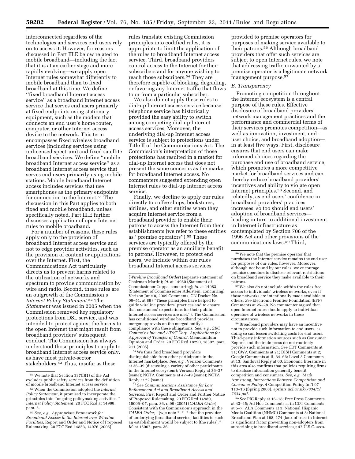interconnected regardless of the technologies and services end users rely on to access it. However, for reasons discussed in Part III.E below related to mobile broadband—including the fact that it is at an earlier stage and more rapidly evolving—we apply open Internet rules somewhat differently to mobile broadband than to fixed broadband at this time. We define ''fixed broadband Internet access service'' as a broadband Internet access service that serves end users primarily at fixed endpoints using stationary equipment, such as the modem that connects an end user's home router, computer, or other Internet access device to the network. This term encompasses fixed wireless broadband services (including services using unlicensed spectrum) and fixed satellite broadband services. We define ''mobile broadband Internet access service'' as a broadband Internet access service that serves end users primarily using mobile stations. Mobile broadband Internet access includes services that use smartphones as the primary endpoints for connection to the Internet.51 The discussion in this Part applies to both fixed and mobile broadband, unless specifically noted. Part III.E further discusses application of open Internet rules to mobile broadband.

For a number of reasons, these rules apply only to the provision of broadband Internet access service and not to edge provider activities, such as the provision of content or applications over the Internet. First, the Communications Act particularly directs us to prevent harms related to the utilization of networks and spectrum to provide communication by wire and radio. Second, these rules are an outgrowth of the Commission's *Internet Policy Statement.*52 The *Statement* was issued in 2005 when the Commission removed key regulatory protections from DSL service, and was intended to protect against the harms to the open Internet that might result from broadband providers' subsequent conduct. The Commission has always understood those principles to apply to broadband Internet access service only, as have most private-sector stakeholders.53 Thus, insofar as these

rules translate existing Commission principles into codified rules, it is appropriate to limit the application of the rules to broadband Internet access service. Third, broadband providers control access to the Internet for their subscribers and for anyone wishing to reach those subscribers.54 They are therefore capable of blocking, degrading, or favoring any Internet traffic that flows to or from a particular subscriber.

We also do not apply these rules to dial-up Internet access service because telephone service has historically provided the easy ability to switch among competing dial-up Internet access services. Moreover, the underlying dial-up Internet access service is subject to protections under Title II of the Communications Act. The Commission's interpretation of those protections has resulted in a market for dial-up Internet access that does not present the same concerns as the market for broadband Internet access. No commenters suggested extending open Internet rules to dial-up Internet access service.

Finally, we decline to apply our rules directly to coffee shops, bookstores, airlines, and other entities when they acquire Internet service from a broadband provider to enable their patrons to access the Internet from their establishments (we refer to these entities as ''premise operators'').55 These services are typically offered by the premise operator as an ancillary benefit to patrons. However, to protect end users, we include within our rules broadband Internet access services

54We thus find broadband providers distinguishable from other participants in the Internet marketplace. *See, e.g.,* Verizon Comments at 36–39 (discussing a variety of other participants in the Internet ecosystem); Verizon Reply at 36–37 (same); NCTA Comments at 47–49 (same); NCTA Reply at 22 (same).

55*See Communications Assistance for Law Enforcement Act and Broadband Access and Services,* First Report and Order and Further Notice of Proposed Rulemaking, 20 FCC Rcd 14989, 15006–07, para. 36, n.99 (2005) (*CALEA Order*). Consistent with the Commission's approach in the *CALEA Order,* ''[w]e note \* \* \* that the provider of underlying [broadband service] facilities to such an establishment would be subject to [the rules].'' *Id.* at 15007, para. 36.

provided to premise operators for purposes of making service available to their patrons.56 Although broadband providers that offer such services are subject to open Internet rules, we note that addressing traffic unwanted by a premise operator is a legitimate network management purpose.57

#### *B. Transparency*

Promoting competition throughout the Internet ecosystem is a central purpose of these rules. Effective disclosure of broadband providers' network management practices and the performance and commercial terms of their services promotes competition—as well as innovation, investment, enduser choice, and broadband adoption in at least five ways. First, disclosure ensures that end users can make informed choices regarding the purchase and use of broadband service, which promotes a more competitive market for broadband services and can thereby reduce broadband providers' incentives and ability to violate open Internet principles.58 Second, and relatedly, as end users' confidence in broadband providers' practices increases, so too should end users' adoption of broadband services leading in turn to additional investment in Internet infrastructure as contemplated by Section 706 of the 1996 Act and other provisions of the communications laws.59 Third,

57We also do not include within the rules free access to individuals' wireless networks, even if those networks are intentionally made available to others. *See* Electronic Frontier Foundation (EFF) Comments at 25–28. No commenter argued that open Internet rules should apply to individual operators of wireless networks in these circumstances.

58Broadband providers may have an incentive not to provide such information to end users, as doing so can lessen switching costs for end users. Third-party information sources such as Consumer Reports and the trade press do not routinely provide such information. *See* CDT Comments at 31; CWA Comments at 21; DISH Comments at 2; Google Comments at ii, 64–66; Level 3 Comments at 13; Sandoval Reply at 60. Economic literature in this area also confirms that policies requiring firms to disclose information generally benefit competition and consumers. *See, e.g.,* Mark Armstrong, *Interactions Between Competition and Consumer Policy,* 4 Competition Policy Int'l 97 113–16 (Spring 2008), *eprints.ucl.ac.uk/7634/1/ 7634.pdf.* 

59*See* PIC Reply at 16–18; Free Press Comments at 43–45; Ad Hoc Comments at ii; CDT Comments at 5–7; ALA Comments at 3; National Hispanic Media Coalition (NHMC) Comments at 8; National Broadband Plan at 168, 174 (lack of trust in Internet is significant factor preventing non-adopters from subscribing to broadband services);  $47 \text{ }\mathrm{\dot{U}}$ .S.C. secs.

 $^{51}\mathrm{We}$  note that Section 337(f)(1) of the Act excludes public safety services from the definition of mobile broadband Internet access service.

<sup>52</sup>When the Commission adopted the *Internet Policy Statement,* it promised to incorporate the principles into ''ongoing policymaking activities.'' *Internet Policy Statement,* 20 FCC Rcd at 14988, para. 5.

<sup>53</sup>*See, e.g., Appropriate Framework for Broadband Access to the Internet over Wireline Facilities,* Report and Order and Notice of Proposed Rulemaking, 20 FCC Rcd 14853, 14976 (2005)

<sup>(</sup>*Wireline Broadband Order*) (separate statement of Chairman Martin); *id.* at 14980 (Statement of Commissioner Copps, concurring); *id.* at 14983 (Statement of Commissioner Adelstein, concurring); Verizon June 8, 2009 Comments, GN Docket No. 09–51, at 86 (''These principles have helped to guide wireline providers' practices and to ensure that consumers' expectations for their public Internet access services are met.''). The Commission has conditioned wireline broadband provider merger approvals on the merged entity's compliance with these obligations. *See, e.g., SBC Commc'ns Inc. and AT&T Corp. Applications for Approval of Transfer of Control,* Memorandum Opinion and Order, 20 FCC Rcd 18290, 18392, para.  $211$  (2005).

<sup>56</sup>We note that the premise operator that purchases the Internet service remains the end user for purposes of our rules, however. Moreover, although not bound by our rules, we encourage premise operators to disclose relevant restrictions on broadband service they make available to their patrons.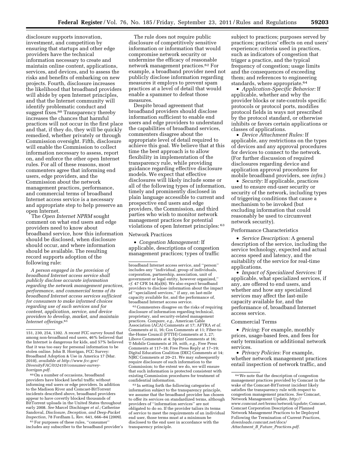disclosure supports innovation, investment, and competition by ensuring that startups and other edge providers have the technical information necessary to create and maintain online content, applications, services, and devices, and to assess the risks and benefits of embarking on new projects. Fourth, disclosure increases the likelihood that broadband providers will abide by open Internet principles, and that the Internet community will identify problematic conduct and suggest fixes.<sup>60</sup> Transparency thereby increases the chances that harmful practices will not occur in the first place and that, if they do, they will be quickly remedied, whether privately or through Commission oversight. Fifth, disclosure will enable the Commission to collect information necessary to assess, report on, and enforce the other open Internet rules. For all of these reasons, most commenters agree that informing end users, edge providers, and the Commission about the network management practices, performance, and commercial terms of broadband Internet access service is a necessary and appropriate step to help preserve an open Internet.

The *Open Internet NPRM* sought comment on what end users and edge providers need to know about broadband service, how this information should be disclosed, when disclosure should occur, and where information should be available. The resulting record supports adoption of the following rule:

*A person engaged in the provision of broadband Internet access service shall publicly disclose accurate information regarding the network management practices, performance, and commercial terms of its broadband Internet access services sufficient for consumers to make informed choices regarding use of such services and for content, application, service, and device providers to develop, market, and maintain Internet offerings.*61

60On a number of occasions, broadband providers have blocked lawful traffic without informing end users or edge providers. In addition to the Madison River and Comcast-BitTorrent incidents described above, broadband providers appear to have covertly blocked thousands of BitTorrent uploads in the United States throughout early 2008. *See* Marcel Dischinger *et al.;* Catherine Sandoval, *Disclosure, Deception, and Deep-Packet Inspection,* 78 Fordham L. Rev. 641, 666–84 (2009).

61For purposes of these rules, ''consumer'' includes any subscriber to the broadband provider's

The rule does not require public disclosure of competitively sensitive information or information that would compromise network security or undermine the efficacy of reasonable network management practices.62 For example, a broadband provider need not publicly disclose information regarding measures it employs to prevent spam practices at a level of detail that would enable a spammer to defeat those measures.

Despite broad agreement that broadband providers should disclose information sufficient to enable end users and edge providers to understand the capabilities of broadband services, commenters disagree about the appropriate level of detail required to achieve this goal. We believe that at this time the best approach is to allow flexibility in implementation of the transparency rule, while providing guidance regarding effective disclosure models. We expect that effective disclosures will likely include some or all of the following types of information, timely and prominently disclosed in plain language accessible to current and prospective end users and edge providers, the Commission, and third parties who wish to monitor network management practices for potential violations of open Internet principles: 63

#### Network Practices

• *Congestion Management:* If applicable, descriptions of congestion management practices; types of traffic

62Commenters disagree on the risks of requiring disclosure of information regarding technical, proprietary, and security-related management practices. *Compare, e.g.,* American Cable Association (ACA) Comments at 17; AFTRA *et al.*  Comments at ii, 16; Cox Comments at 11; Fiber-tothe-Home Council (FTTH) Comments at 3, 27; Libove Comments at 4; Sprint Comments at 16; T-Mobile Comments at 39, *with, e.g.,* Free Press Comments at 117–18; Free Press Reply at 17–19; Digital Education Coalition (DEC) Comments at 14; NJRC Comments at 20–21. We may subsequently require disclosure of such information to the Commission; to the extent we do, we will ensure that such information is protected consistent with existing Commission procedures for treatment of confidential information.

63 In setting forth the following categories of information subject to the transparency principle, we assume that the broadband provider has chosen to offer its services on standardized terms, although providers of ''information services'' are not obligated to do so. If the provider tailors its terms of service to meet the requirements of an individual end user, those terms must at a minimum be disclosed to the end user in accordance with the transparency principle.

subject to practices; purposes served by practices; practices' effects on end users' experience; criteria used in practices, such as indicators of congestion that trigger a practice, and the typical frequency of congestion; usage limits and the consequences of exceeding them; and references to engineering standards, where appropriate.64

• *Application-Specific Behavior:* If applicable, whether and why the provider blocks or rate-controls specific protocols or protocol ports, modifies protocol fields in ways not prescribed by the protocol standard, or otherwise inhibits or favors certain applications or classes of applications.

• *Device Attachment Rules:* If applicable, any restrictions on the types of devices and any approval procedures for devices to connect to the network. (For further discussion of required disclosures regarding device and application approval procedures for mobile broadband providers, see *infra.*)

• *Security:* If applicable, practices used to ensure end-user security or security of the network, including types of triggering conditions that cause a mechanism to be invoked (but excluding information that could reasonably be used to circumvent network security).

#### Performance Characteristics

• *Service Description:* A general description of the service, including the service technology, expected and actual access speed and latency, and the suitability of the service for real-time applications.

• *Impact of Specialized Services:* If applicable, what specialized services, if any, are offered to end users, and whether and how any specialized services may affect the last-mile capacity available for, and the performance of, broadband Internet access service.

#### Commercial Terms

• *Pricing:* For example, monthly prices, usage-based fees, and fees for early termination or additional network services.

• *Privacy Policies:* For example, whether network management practices entail inspection of network traffic, and

<sup>151, 230, 254, 1302.</sup> A recent FCC survey found that among non-broadband end users, 46% believed that the Internet is dangerous for kids, and 57% believed that it was too easy for personal information to be stolen online. John B. Horrigan, FCC Survey: Broadband Adoption & Use in America 17 (Mar. 2010), *available at http://www.fcc.gov/ DiversityFAC/032410/consumer-surveyhorrigan.pdf.* 

broadband Internet access service, and ''person'' includes any ''individual, group of individuals, corporation, partnership, association, unit of government or legal entity, however organized,'' *cf.* 47 CFR 54.8(a)(6). We also expect broadband providers to disclose information about the impact of ''specialized services,'' if any, on last-mile capacity available for, and the performance of, broadband Internet access service.

 $^{64}\mathrm{We}$  note that the description of congestion management practices provided by Comcast in the wake of the Comcast-BitTorrent incident likely satisfies the transparency rule with respect to congestion management practices. *See* Comcast, Network Management Update, *http:// www.comcast.net/terms/network/update;* Comcast, Comcast Corporation Description of Planned Network Management Practices to be Deployed Following the Termination of Current Practices, *downloads.comcast.net/docs/ Attachment*\_*B*\_*Future*\_*Practices.pdf.*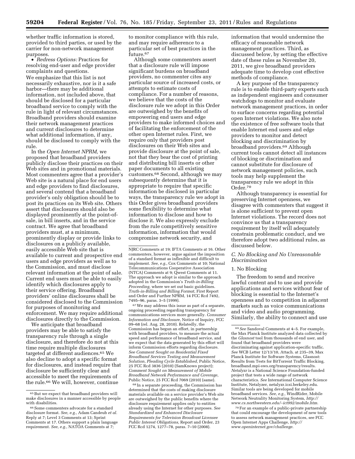whether traffic information is stored, provided to third parties, or used by the carrier for non-network management purposes.

• *Redress Options:* Practices for resolving end-user and edge provider complaints and questions. We emphasize that this list is not necessarily exhaustive, nor is it a safe harbor—there may be additional information, not included above, that should be disclosed for a particular broadband service to comply with the rule in light of relevant circumstances. Broadband providers should examine their network management practices and current disclosures to determine what additional information, if any, should be disclosed to comply with the rule.

In the *Open Internet NPRM,* we proposed that broadband providers publicly disclose their practices on their Web sites and in promotional materials. Most commenters agree that a provider's Web site is a natural place for end users and edge providers to find disclosures, and several contend that a broadband provider's only obligation should be to post its practices on its Web site. Others assert that disclosures should also be displayed prominently at the point-ofsale, in bill inserts, and in the service contract. We agree that broadband providers must, at a minimum, prominently display or provide links to disclosures on a publicly available, easily accessible Web site that is available to current and prospective end users and edge providers as well as to the Commission, and must disclose relevant information at the point of sale. Current end users must be able to easily identify which disclosures apply to their service offering. Broadband providers' online disclosures shall be considered disclosed to the Commission for purposes of monitoring and enforcement. We may require additional disclosures directly to the Commission.

We anticipate that broadband providers may be able to satisfy the transparency rule through a single disclosure, and therefore do not at this time require multiple disclosures targeted at different audiences.<sup>65</sup> We also decline to adopt a specific format for disclosures, and instead require that disclosure be sufficiently clear and accessible to meet the requirements of the rule.66 We will, however, continue

to monitor compliance with this rule, and may require adherence to a particular set of best practices in the future.<sup>67</sup>

Although some commenters assert that a disclosure rule will impose significant burdens on broadband providers, no commenter cites any particular source of increased costs, or attempts to estimate costs of compliance. For a number of reasons, we believe that the costs of the disclosure rule we adopt in this Order are outweighed by the benefits of empowering end users and edge providers to make informed choices and of facilitating the enforcement of the other open Internet rules. First, we require only that providers post disclosures on their Web sites and provide disclosure at the point of sale, not that they bear the cost of printing and distributing bill inserts or other paper documents to all existing customers.68 Second, although we may subsequently determine that it is appropriate to require that specific information be disclosed in particular ways, the transparency rule we adopt in this Order gives broadband providers some flexibility to determine what information to disclose and how to disclose it. We also expressly exclude from the rule competitively sensitive information, information that would compromise network security, and

NJRC Comments at 19; IFTA Comments at 16. Other commenters, however, argue against the imposition of a standard format as inflexible and difficult to implement. *See, e.g.,* Cox Comments at 10; National Telecommunications Cooperative Association (NTCA) Comments at 9; Qwest Comments at 11. The approach we adopt is similar to the approach adopted in the Commission's *Truth-in-Billing Proceeding,* where we set out basic guidelines. *Truth-in-Billing and Billing Format,* First Report and Order and Further NPRM, 14 FCC Rcd 7492, 7495–96, paras. 3–5 (1999).

67We may address this issue as part of a separate, ongoing proceeding regarding transparency for communications services more generally. *Consumer Information and Disclosure,* Notice of Inquiry, FCC 09–68 (rel. Aug. 28, 2010). Relatedly, the Commission has begun an effort, in partnership with broadband providers, to measure the actual speed and performance of broadband service, and we expect that the data generated by this effort will inform Commission efforts regarding disclosure. *See Comment Sought on Residential Fixed Broadband Services Testing and Measurement Solution, Pleading Cycle Established,* Public Notice, 25 FCC Rcd 3836 (2010) (SamKnows project); *Comment Sought on Measurement of Mobile Broadband Network Performance and Coverage,*  Public Notice, 25 FCC Rcd 7069 (2010) (same).

68 In a separate proceeding, the Commission has determined that the costs of making disclosure materials available on a service provider's Web site are outweighed by the public benefits where the disclosure requirement applies only to entities already using the Internet for other purposes. *See Standardized and Enhanced Disclosure Requirements for Television Broadcast Licensee Public Interest Obligations,* Report and Order, 23 FCC Rcd 1274, 1277–78, paras. 7–10 (2008).

information that would undermine the efficacy of reasonable network management practices. Third, as discussed below, by setting the effective date of these rules as November 20, 2011, we give broadband providers adequate time to develop cost effective methods of compliance.

A key purpose of the transparency rule is to enable third-party experts such as independent engineers and consumer watchdogs to monitor and evaluate network management practices, in order to surface concerns regarding potential open Internet violations. We also note the existence of free software tools that enable Internet end users and edge providers to monitor and detect blocking and discrimination by broadband providers.69 Although current tools cannot detect all instances of blocking or discrimination and cannot substitute for disclosure of network management policies, such tools may help supplement the transparency rule we adopt in this Order.70

Although transparency is essential for preserving Internet openness, we disagree with commenters that suggest it is alone sufficient to prevent open Internet violations. The record does not convince us that a transparency requirement by itself will adequately constrain problematic conduct, and we therefore adopt two additional rules, as discussed below.

#### *C. No Blocking and No Unreasonable Discrimination*

#### 1. No Blocking

The freedom to send and receive lawful content and to use and provide applications and services without fear of blocking is essential to the Internet's openness and to competition in adjacent markets such as voice communications and video and audio programming. Similarly, the ability to connect and use

70For an example of a public-private partnership that could encourage the development of new tools to assess network management practices, see FCC Open Internet Apps Challenge, *http:// www.openinternet.gov/challenge.* 

<sup>65</sup>But we expect that broadband providers will make disclosures in a manner accessible by people with disabilities.

 $\rm ^{66}Some$  commenters advocate for a standard disclosure format. *See, e.g.,* Adam Candeub *et al.*  Reply at 7; Level 3 Comments at 13; Sprint Comments at 17. Others support a plain language requirement. *See, e.g.,* NATOA Comments at 7;

<sup>69</sup>*See* Sandoval Comments at 4–5. For example, the Max Planck Institute analyzed data collected by the *Glasnost* tool from thousands of end user, and found that broadband providers were discriminating against application-specific traffic. *See* WCB Letter 12/13/10, Attach. at 235–39, Max Planck Institute for Software Systems, Glasnost: Results from Tests for BitTorrent Traffic Blocking, broadband.mpi-sws.org/transparency/results. *Netalyzr* is a National Science Foundation-funded project that tests a wide range of network characteristics. *See* International Computer Science Institute, Netalyzer, netalyzr.icsi.berkeley.edu. Similar tools are being developed for mobile broadband services. *See, e.g.,* WindRider, Mobile Network Neutrality Monitoring System, *http:// www.cs.northwestern.edu/*∼*ict992/mobile.htm.*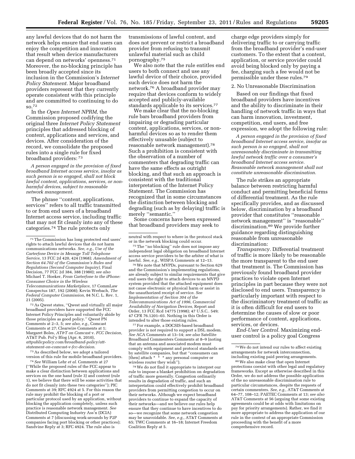any lawful devices that do not harm the network helps ensure that end users can enjoy the competition and innovation that result when device manufacturers can depend on networks' openness.71 Moreover, the no-blocking principle has been broadly accepted since its inclusion in the Commission's *Internet Policy Statement.* Major broadband providers represent that they currently operate consistent with this principle and are committed to continuing to do so.72

In the *Open Internet NPRM,* the Commission proposed codifying the original three *Internet Policy Statement*  principles that addressed blocking of content, applications and services, and devices. After consideration of the record, we consolidate the proposed rules into a single rule for fixed broadband providers: 73

*A person engaged in the provision of fixed broadband Internet access service, insofar as such person is so engaged, shall not block lawful content, applications, services, or nonharmful devices, subject to reasonable network management.* 

The phrase ''content, applications, services'' refers to all traffic transmitted to or from end users of a broadband Internet access service, including traffic that may not fit cleanly into any of these categories.74 The rule protects only

72As Qwest states, ''Qwest and virtually all major broadband providers have supported the FCC Internet Policy Principles and voluntarily abide by those principles as good policy.'' Qwest PN Comments at 2–3, 5; *see also, e.g.,* Comcast Comments at 27; Clearwire Comments at 1; Margaret Boles, *AT&T on Comcast* v. *FCC Decision,*  AT&T Pub. Pol'y Blog (Apr. 6, 2010), *attpublicpolicy.com/broadband-policy/attstatement-on-comcast-v-fcc-decision*.

73As described below, we adopt a tailored version of this rule for mobile broadband providers.

74*See* William Lehr *et al.* Comments at 27 (''While the proposed rules of the FCC appear to make a clear distinction between applications and services on the one hand (rule 3) and content (rule 1), we believe that there will be some activities that do not fit cleanly into these two categories''); PIC Comments at 39; RFC 4924 at 5. For this reason the rule may prohibit the blocking of a port or particular protocol used by an application, without blocking the application completely, unless such practice is reasonable network management. *See*  Distributed Computing Industry Ass'n (DCIA) Comments at 7 (discussing work-arounds by P2P companies facing port blocking or other practices); Sandvine Reply at 3; RFC 4924. The rule also is

transmissions of lawful content, and does not prevent or restrict a broadband provider from refusing to transmit unlawful material such as child pornography.75

We also note that the rule entitles end users to both connect and use any lawful device of their choice, provided such device does not harm the network.76 A broadband provider may require that devices conform to widely accepted and publicly-available standards applicable to its services.77

We make clear that the no-blocking rule bars broadband providers from impairing or degrading particular content, applications, services, or nonharmful devices so as to render them effectively unusable (subject to reasonable network management).78 Such a prohibition is consistent with the observation of a number of commenters that degrading traffic can have the same effects as outright blocking, and that such an approach is consistent with the traditional interpretation of the Internet Policy Statement. The Commission has recognized that in some circumstances the distinction between blocking and degrading (such as by delaying) traffic is merely ''semantic.''

Some concerns have been expressed that broadband providers may seek to

76We note that MVPDs, pursuant to Section 629 and the Commission's implementing regulations, are already subject to similar requirements that give end users the right to attach devices to an MVPD system provided that the attached equipment does not cause electronic or physical harm or assist in the unauthorized receipt of service. *See Implementation of Section 304 of the Telecommunications Act of 1996, Commercial Availability of Navigation Devices,* Report and Order, 13 FCC Rcd 14775 (1998); 47 U.S.C.. 549; 47 CFR 76.1201–03. Nothing in this Order is intended to alter those existing rules.

77For example, a DOCSIS-based broadband provider is not required to support a DSL modem. *See* ACA Comments at 13–14; *see also* Satellite Broadband Commenters Comments at 8–9 (noting that an antenna and associated modem must comply with equipment and protocol standards set by satellite companies, but that ''consumers can [then] attach \* \* \* any personal computer or wireless router they wish'').

78We do not find it appropriate to interpret our rule to impose a blanket prohibition on degradation of traffic more generally. Congestion ordinarily results in degradation of traffic, and such an interpretation could effectively prohibit broadband providers from permitting congestion to occur on their networks. Although we expect broadband providers to continue to expand the capacity of their networks—and we believe our rules help ensure that they continue to have incentives to do so—we recognize that some network congestion may be unavoidable. *See, e.g.,* AT&T Comments at 65; TWC Comments at 16–18; Internet Freedom Coalition Reply at 5.

charge edge providers simply for delivering traffic to or carrying traffic from the broadband provider's end-user customers. To the extent that a content, application, or service provider could avoid being blocked only by paying a fee, charging such a fee would not be permissible under these rules.79

#### 2. No Unreasonable Discrimination

Based on our findings that fixed broadband providers have incentives and the ability to discriminate in their handling of network traffic in ways that can harm innovation, investment, competition, end users, and free expression, we adopt the following rule:

*A person engaged in the provision of fixed broadband Internet access service, insofar as such person is so engaged, shall not unreasonably discriminate in transmitting lawful network traffic over a consumer's broadband Internet access service. Reasonable network management shall not constitute unreasonable discrimination.* 

The rule strikes an appropriate balance between restricting harmful conduct and permitting beneficial forms of differential treatment. As the rule specifically provides, and as discussed below, discrimination by a broadband provider that constitutes ''reasonable network management'' is ''reasonable'' discrimination.80 We provide further guidance regarding distinguishing reasonable from unreasonable discrimination:

*Transparency.* Differential treatment of traffic is more likely to be reasonable the more transparent to the end user that treatment is. The Commission has previously found broadband provider practices to violate open Internet principles in part because they were not disclosed to end users. Transparency is particularly important with respect to the discriminatory treatment of traffic as it is often difficult for end users to determine the causes of slow or poor performance of content, applications, services, or devices.

*End-User Control.* Maximizing enduser control is a policy goal Congress

80We also make clear that open Internet protections coexist with other legal and regulatory frameworks. Except as otherwise described in this Order, we do not address the possible application of the no unreasonable discrimination rule to particular circumstances, despite the requests of certain commenters. *See, e.g.,* AT&T Comments at 64–77, 108–12; PAETEC Comments at 13; *see also*  AT&T Comments at 56 (arguing that some existing agreements could be at odds with limitations on pay for priority arrangements). Rather, we find it more appropriate to address the application of our rule in the context of an appropriate Commission proceeding with the benefit of a more comprehensive record.

<sup>71</sup>The Commission has long protected end users' rights to attach lawful devices that do not harm communications networks. *See, e.g., Use of the Carterfone Device in Message Toll Telephone Service,* 13 FCC 2d 420, 424 (1968); *Amendment of Section 64.702 of the Commission's Rules and Regulations (Second Computer Inquiry),* Final Decision, 77 FCC 2d 384, 388 (1980); *see also*  Michael T. Hoeker, *From Carterfone to the iPhone: Consumer Choice in the Wireless Telecommunications Marketplace,* 17 CommLaw Conspectus 187, 192 (2008); Kevin Werbach, *The Federal Computer Commission,* 84 N.C. L. Rev. 1, 21 (2005).

neutral with respect to where in the protocol stack or in the network blocking could occur.

<sup>75</sup>The ''no blocking'' rule does not impose any independent legal obligation on broadband Internet access service providers to be the arbiter of what is lawful. *See, e.g.,* WISPA Comments at 12–13.

<sup>79</sup>We do not intend our rules to affect existing arrangements for network interconnection, including existing paid peering arrangements.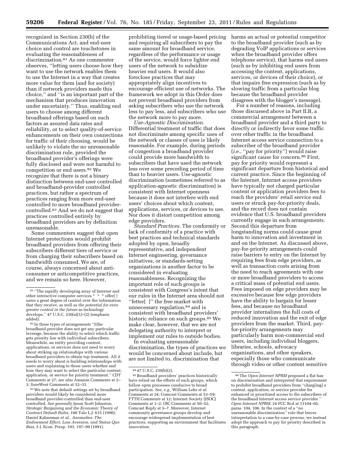recognized in Section 230(b) of the Communications Act, and end-user choice and control are touchstones in evaluating the reasonableness of discrimination.81 As one commenter observes, ''letting users choose how they want to use the network enables them to use the Internet in a way that creates more value for them (and for society) than if network providers made this choice,'' and ''is an important part of the mechanism that produces innovation under uncertainty.'' Thus, enabling end users to choose among different broadband offerings based on such factors as assured data rates and reliability, or to select quality-of-service enhancements on their own connections for traffic of their choosing, would be unlikely to violate the no unreasonable discrimination rule, provided the broadband provider's offerings were fully disclosed and were not harmful to competition or end users.82 We recognize that there is not a binary distinction between end-user controlled and broadband-provider controlled practices, but rather a spectrum of practices ranging from more end-user controlled to more broadband providercontrolled.83 And we do not suggest that practices controlled entirely by broadband providers are by definition unreasonable.

Some commenters suggest that open Internet protections would prohibit broadband providers from offering their subscribers different tiers of service or from charging their subscribers based on bandwidth consumed. We are, of course, always concerned about anticonsumer or anticompetitive practices, and we remain so here. However,

83 We note that default settings set by broadband providers would likely be considered more broadband provider-controlled than end-user controlled. *See generally* Jason Scott Johnston, *Strategic Bargaining and the Economic Theory of Contract Default Rules,* 100 Yale L.J. 615 (1990); Daniel Kahneman *et al., Anomalies: The Endowment Effect, Loss Aversion, and Status Quo Bias,* 5 J. Econ. Persp. 193, 197–99 (1991).

prohibiting tiered or usage-based pricing and requiring all subscribers to pay the same amount for broadband service, regardless of the performance or usage of the service, would force lighter end users of the network to subsidize heavier end users. It would also foreclose practices that may appropriately align incentives to encourage efficient use of networks. The framework we adopt in this Order does not prevent broadband providers from asking subscribers who use the network less to pay less, and subscribers who use the network more to pay more.

*Use-Agnostic Discrimination.*  Differential treatment of traffic that does not discriminate among specific uses of the network or classes of uses is likely reasonable. For example, during periods of congestion a broadband provider could provide more bandwidth to subscribers that have used the network less over some preceding period of time than to heavier users. Use-agnostic discrimination (sometimes referred to as application-agnostic discrimination) is consistent with Internet openness because it does not interfere with end users' choices about which content, applications, services, or devices to use. Nor does it distort competition among edge providers.

*Standard Practices.* The conformity or lack of conformity of a practice with best practices and technical standards adopted by open, broadly representative, and independent Internet engineering, governance initiatives, or standards-setting organizations is another factor to be considered in evaluating reasonableness. Recognizing the important role of such groups is consistent with Congress's intent that our rules in the Internet area should not ''fetter[ ]'' the free market with unnecessary regulation,<sup>84</sup> and is consistent with broadband providers' historic reliance on such groups.85 We make clear, however, that we are not delegating authority to interpret or implement our rules to outside bodies.

In evaluating unreasonable discrimination, the types of practices we would be concerned about include, but are not limited to, discrimination that

harms an actual or potential competitor to the broadband provider (such as by degrading VoIP applications or services when the broadband provider offers telephone service), that harms end users (such as by inhibiting end users from accessing the content, applications, services, or devices of their choice), or that impairs free expression (such as by slowing traffic from a particular blog because the broadband provider disagrees with the blogger's message).

For a number of reasons, including those discussed above in Part II.B, a commercial arrangement between a broadband provider and a third party to directly or indirectly favor some traffic over other traffic in the broadband Internet access service connection to a subscriber of the broadband provider (*i.e.,* ''pay for priority'') would raise significant cause for concern.<sup>86</sup> First, pay for priority would represent a significant departure from historical and current practice. Since the beginning of the Internet, Internet access providers have typically not charged particular content or application providers fees to reach the providers' retail service end users or struck pay-for-priority deals, and the record does not contain evidence that U.S. broadband providers currently engage in such arrangements. Second this departure from longstanding norms could cause great harm to innovation and investment in and on the Internet. As discussed above, pay-for-priority arrangements could raise barriers to entry on the Internet by requiring fees from edge providers, as well as transaction costs arising from the need to reach agreements with one or more broadband providers to access a critical mass of potential end users. Fees imposed on edge providers may be excessive because few edge providers have the ability to bargain for lesser fees, and because no broadband provider internalizes the full costs of reduced innovation and the exit of edge providers from the market. Third, payfor-priority arrangements may particularly harm non-commercial end users, including individual bloggers, libraries, schools, advocacy organizations, and other speakers, especially those who communicate through video or other content sensitive

<sup>81</sup> ''The rapidly developing array of Internet and other interactive computer services \* \* \* offer[] users a great degree of control over the information that they receive, as well as *the potential for even greater control in the future* as technology develops.'' 47 U.S.C. 230(a)(1)–(2) (emphasis added).

<sup>82</sup> In these types of arrangements ''[t]he broadband provider does not get any particular leverage, because the ability to select which traffic gets priority lies with individual subscribers. Meanwhile, an entity providing content, applications, or services does not need to worry about striking up relationships with various broadband providers to obtain top treatment. All it needs to worry about is building relationships with users and explaining to those users whether and how they may want to select the particular content, application, or service for priority treatment.'' CDT Comments at 27; *see also* Amazon Comments at 2– 3; SureWest Comments at 32–33.

<sup>84</sup> 47 U.S.C. 230(b)(2).

<sup>85</sup>Broadband providers' practices historically have relied on the efforts of such groups, which follow open processes conducive to broad participation. *See, e.g.,* William Lehr *et al.*  Comments at 24; Comcast Comments at 53–59; FTTH Comments at 12; Internet Society (ISOC) Comments at 1–2; OIC Comments at 50–52; Comcast Reply at 5–7. Moreover, Internet community governance groups develop and encourage widespread implementation of best practices, supporting an environment that facilitates innovation.

<sup>86</sup>The *Open Internet NPRM* proposed a flat ban on discrimination and interpreted that requirement to prohibit broadband providers from ''charg[ing] a content, application, or service provider for enhanced or prioritized access to the subscribers of the broadband Internet access service provider.'' *Open Internet NPRM,* 24 FCC Rcd at 13104–05, paras. 104, 106. In the context of a ''no unreasonable discrimination'' rule that leaves interpretation to a case-by-case process, we instead adopt the approach to pay for priority described in this paragraph.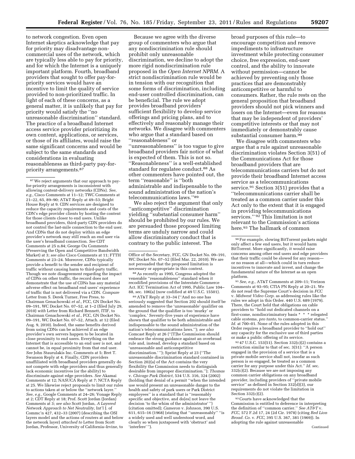to network congestion. Even open Internet skeptics acknowledge that pay for priority may disadvantage noncommercial uses of the network, which are typically less able to pay for priority, and for which the Internet is a uniquely important platform. Fourth, broadband providers that sought to offer pay-forpriority services would have an incentive to limit the quality of service provided to non-prioritized traffic. In light of each of these concerns, as a general matter, it is unlikely that pay for priority would satisfy the ''no unreasonable discrimination'' standard. The practice of a broadband Internet access service provider prioritizing its own content, applications, or services, or those of its affiliates, would raise the same significant concerns and would be subject to the same standards and considerations in evaluating reasonableness as third-party pay-forpriority arrangements.87

Because we agree with the diverse group of commenters who argue that any nondiscrimination rule should prohibit only unreasonable discrimination, we decline to adopt the more rigid nondiscrimination rule proposed in the *Open Internet NPRM.* A strict nondiscrimination rule would be in tension with our recognition that some forms of discrimination, including end-user controlled discrimination, can be beneficial. The rule we adopt provides broadband providers' sufficient flexibility to develop service offerings and pricing plans, and to effectively and reasonably manage their networks. We disagree with commenters who argue that a standard based on ''reasonableness'' or

''unreasonableness'' is too vague to give broadband providers fair notice of what is expected of them. This is not so. ''Reasonableness'' is a well-established standard for regulatee conduct.88 As other commenters have pointed out, the term ''reasonable'' is ''both administrable and indispensable to the sound administration of the nation's telecommunications laws.''89

We also reject the argument that only ''anticompetitive'' discrimination yielding ''substantial consumer harm'' should be prohibited by our rules. We are persuaded those proposed limiting terms are unduly narrow and could allow discriminatory conduct that is contrary to the public interest. The

88As recently as 1995, Congress adopted the venerable ''reasonableness'' standard when it recodified provisions of the Interstate Commerce Act. ICC Termination Act of 1995, Public Law 104– 88, sec. 106(a) (now codified at 49 U.S.C. 15501).

89AT&T Reply at 33–34 (''And no one has seriously suggested that Section 202 should itself be amended to remove the 'unreasonable' qualifier on the ground that the qualifier is too 'murky' or 'complex.' Seventy-five years of experience have shown that qualifier to be both administrable and indispensable to the sound administration of the nation's telecommunications laws.''); *see also*  Comcast Reply at 26 (''[T]he Commission should embrace the strong guidance against an overbroad rule and, instead, develop a standard based on 'unreasonable and anticompetitive discrimination.' ''); Sprint Reply at 23 (''The unreasonable discrimination standard contained in Section 202(a) of the Act contains the very flexibility the Commission needs to distinguish desirable from improper discrimination.''); *Thomas*  v. *Chicago Park District,* 534 U.S. 316, 324 (2002) (holding that denial of a permit ''when the intended use would present an unreasonable danger to the health and safety of park users or Park District employees'' is a standard that is ''reasonably specific and objective, and do[es] not leave the decision 'to the whim of the administrator' '') (citation omitted); *Cameron* v. *Johnson,* 390 U.S. 611, 615-16 (1968) (stating that "unreasonably" a widely used and well understood word, and clearly so when juxtaposed with 'obstruct' and 'interfere' '').

broad purposes of this rule—to encourage competition and remove impediments to infrastructure investment while protecting consumer choice, free expression, end-user control, and the ability to innovate without permission—cannot be achieved by preventing only those practices that are demonstrably anticompetitive or harmful to consumers. Rather, the rule rests on the general proposition that broadband providers should not pick winners and losers on the Internet—even for reasons that may be independent of providers' competitive interests or that may not immediately or demonstrably cause substantial consumer harm.90

We disagree with commenters who argue that a rule against unreasonable discrimination violates Section 3(51) of the Communications Act for those broadband providers that are telecommunications carriers but do not provide their broadband Internet access service as a telecommunications service.<sup>91</sup> Section 3(51) provides that a ''telecommunications carrier shall be treated as a common carrier under this Act only to the extent that it is engaged in providing telecommunications services." <sup>92</sup> This limitation is not relevant to the Commission's actions here.93 The hallmark of common

91*See, e.g.,* AT&T Comments at 209–11; Verizon Comments at 93–95; CTIA PN Reply at 20–21. We do not read the Supreme Court's decision in *FCC*  v. *Midwest Video Corp.* as addressing rules like the rules we adopt in this Order. 440 U.S. 689 (1979). There, the Court held that obligations on cable providers to ''hold out dedicated channels on a first-come, nondiscriminatory basis \* \* \* relegated cable systems, *pro tanto,* to common-carrier status.'' *Id.* at 700–01. None of the rules adopted in this Order requires a broadband provider to ''hold out'' any capacity for the exclusive use of third parties or make a public offering of its service.

92 47 U.S.C. 153(51). Section 332(c)(2) contains a restriction similar to that of sec. 3(51): ''A person engaged in the provision of a service that is a private mobile service shall not, insofar as such person is so engaged, be treated as a common carrier for any purpose under this Act.'' *Id.* sec. 332(c)(2). Because we are not imposing any common carrier obligations on any broadband provider, including providers of ''private mobile service'' as defined in Section 332(d)(3), our requirements do not violate the limitation in Section 332(c)(2).

93Courts have acknowledged that the Commission is entitled to deference in interpreting the definition of ''common carrier.'' *See AT&T* v. *FCC,* 572 F.2d 17, 24 (2d Cir. 1978) (citing *Red Lion Broad. Co.* v. *FCC,* 395 U.S. 367, 381 (1969)). In adopting the rule against unreasonable

Continued

<sup>87</sup>We reject arguments that our approach to payfor-priority arrangements is inconsistent with allowing content-delivery networks (CDNs). *See, e.g.,* Cisco Comments at 11–12; TWC Comments at 21–22, 65, 89–90; AT&T Reply at 49–53; Bright House Reply at 9. CDN services are designed to reduce the capacity requirements and costs of the CDN's edge provider clients by hosting the content for those clients closer to end users. Unlike broadband providers, third-party CDN providers do not control the last-mile connection to the end user. And CDNs that do not deploy within an edge provider's network may still reach an end user via the user's broadband connection. *See* CDT Comments at 25 n.84; George Ou Comments (Preserving the Open and Competitive Bandwidth Market) at 3; *see also* Cisco Comments at 11; FTTH Comments at 23–24. Moreover, CDNs typically provide a benefit to the sender and recipient of traffic without causing harm to third-party traffic. Though we note disagreement regarding the impact of CDNs on other traffic, the record does not demonstrate that the use of CDNs has any material adverse effect on broadband end users' experience of traffic that is not delivered via a CDN. *Compare*  Letter from S. Derek Turner, Free Press, to Chairman Genachowski *et al.,* FCC, GN Docket No. 09–191, WC Docket No. 07–52, at 1–2 (filed July 29, 2010) *with* Letter from Richard Bennett, ITIF, to Chairman Genachowski *et al.,* FCC, GN Docket No. 09–191, WC Docket No. 07–52, Attach. at 12 (filed Aug. 9, 2010). Indeed, the same benefits derived from using CDNs can be achieved if an edge provider's own servers happen to be located in close proximity to end users. Everything on the Internet that is accessible to an end user is not, and cannot be, in equal proximity from that end user. *See* John Staurulakis Inc. Comments at 5; Bret T. Swanson Reply at 4. Finally, CDN providers unaffiliated with broadband providers generally do not compete with edge providers and thus generally lack economic incentives (or the ability) to discriminate against edge providers. *See* Akamai Comments at 12; NASUCA Reply at 7; NCTA Reply at 25. We likewise reject proposals to limit our rules to actions taken at or below the ''network layer.'' *See, e.g.,* Google Comments at 24–26; Vonage Reply at 2; CDT Reply at 18; Prof. Scott Jordan (Jordan) Comments at 3; *see also* Scott Jordan, *A Layered Network Approach to Net Neutrality,* Int'l J. of Commc'n 427, 432–33 (2007) (describing the OSI layers model and the actions of routers at and below the network layer) *attached to* Letter from Scott Jordan, Professor, University of California–Irvine, to

Office of the Secretary, FCC, GN Docket No. 09–191, WC Docket No. 07–52 (filed Mar. 22, 2010). We are not persuaded that the proposed limitation is necessary or appropriate in this context.

<sup>90</sup>For example, slowing BitTorrent packets might only affect a few end users, but it would harm BitTorrent. More significantly, it would raise concerns among other end users and edge providers that their traffic could be slowed for any reason or no reason at all—which could in turn reduce incentives to innovate and invest, and change the fundamental nature of the Internet as an open platform.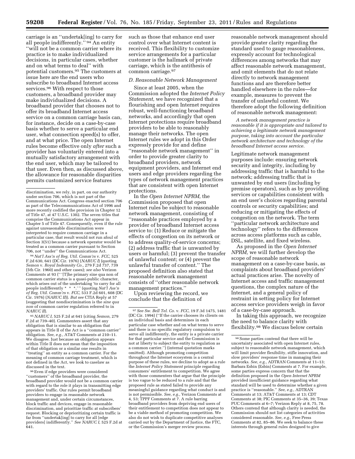carriage is an ''undertak[ing] to carry for all people indifferently.'' 94 An entity ''will not be a common carrier where its practice is to make individualized decisions, in particular cases, whether and on what terms to deal'' with potential customers.95 The customers at issue here are the end users who subscribe to broadband Internet access services.96 With respect to those customers, a broadband provider may make individualized decisions. A broadband provider that chooses not to offer its broadband Internet access service on a common carriage basis can, for instance, decide on a case-by-case basis whether to serve a particular end user, what connection speed(s) to offer, and at what price. The open Internet rules become effective only *after* such a provider has voluntarily entered into a mutually satisfactory arrangement with the end user, which may be tailored to that user. Even then, as discussed above, the allowance for reasonable disparities permits customized service features

94*Nat'l Ass'n of Reg. Util. Comm'rs* v. *FCC,* 525 F.2d 630, 641 (DC Cir. 1976) (*NARUC I*) (quoting *Semon* v. *Royal Indemnity Co.,* 279 F.2d 737, 739 (5th Cir. 1960) and other cases); *see also* Verizon Comments at 93 ('' '[T]he primary sine qua non of common carrier status is a quasi-public character, which arises out of the undertaking 'to carry for all people indifferently \* \* \*.' '' (quoting *Nat'l Ass'n of Reg. Util. Comm'rs* v. *FCC,* 533 F.2d 601, 608 (DC Cir. 1976) (*NARUC II*)). *But see* CTIA Reply at 57 (suggesting that nondiscrimination is the *sine qua non* of common carrier regulation referred to in *NARUC II*).

95*NARUC I,* 525 F.2d at 641 (citing *Semon,* 279 F.2d at 739–40). Commenters assert that any obligation that is similar to an obligation that appears in Title II of the Act is a ''common carrier'' obligation. *See, e.g.,* AT&T Comments at 210–11. We disagree. Just because an obligation appears within Title II does not mean that the imposition of that obligation or a similar one results in ''treating'' an entity as a common carrier. For the meaning of common carriage treatment, which is not defined in the Act, we look to caselaw as discussed in the text.

96Even if edge providers were considered ''customers'' of the broadband provider, the broadband provider would not be a common carrier with regard to the role it plays in transmitting edge providers' traffic. Our rules permit broadband providers to engage in reasonable network management and, under certain circumstances, block traffic and devices, engage in reasonable discrimination, and prioritize traffic at subscribers' request. Blocking or deprioritizing certain traffic is far from ''undertak[ing] to carry for all [edge providers] indifferently.'' *See NARUC I,* 525 F.2d at 641.

such as those that enhance end user control over what Internet content is received. This flexibility to customize service arrangements for a particular customer is the hallmark of private carriage, which is the antithesis of common carriage.97

#### *D. Reasonable Network Management*

Since at least 2005, when the Commission adopted the *Internet Policy Statement,* we have recognized that a flourishing and open Internet requires robust, well-functioning broadband networks, and accordingly that open Internet protections require broadband providers to be able to reasonably manage their networks. The open Internet rules we adopt in this Order expressly provide for and define ''reasonable network management'' in order to provide greater clarity to broadband providers, network equipment providers, and Internet end users and edge providers regarding the types of network management practices that are consistent with open Internet protections.

In the *Open Internet NPRM,* the Commission proposed that open Internet rules be subject to reasonable network management, consisting of ''reasonable practices employed by a provider of broadband Internet access service to: (1) Reduce or mitigate the effects of congestion on its network or to address quality-of-service concerns; (2) address traffic that is unwanted by users or harmful; (3) prevent the transfer of unlawful content; or (4) prevent the unlawful transfer of content.'' The proposed definition also stated that reasonable network management consists of ''other reasonable network management practices.''

Upon reviewing the record, we conclude that the definition of

reasonable network management should provide greater clarity regarding the standard used to gauge reasonableness, expressly account for technological differences among networks that may affect reasonable network management, and omit elements that do not relate directly to network management functions and are therefore better handled elsewhere in the rules—for example, measures to prevent the transfer of unlawful content. We therefore adopt the following definition of reasonable network management:

*A network management practice is reasonable if it is appropriate and tailored to achieving a legitimate network management purpose, taking into account the particular network architecture and technology of the broadband Internet access service.* 

Legitimate network management purposes include: ensuring network security and integrity, including by addressing traffic that is harmful to the network; addressing traffic that is unwanted by end users (including by premise operators), such as by providing services or capabilities consistent with an end user's choices regarding parental controls or security capabilities; and reducing or mitigating the effects of congestion on the network. The term ''particular network architecture and technology'' refers to the differences across access platforms such as cable, DSL, satellite, and fixed wireless.

As proposed in the *Open Internet NPRM,* we will further develop the scope of reasonable network management on a case-by-case basis, as complaints about broadband providers' actual practices arise. The novelty of Internet access and traffic management questions, the complex nature of the Internet, and a general policy of restraint in setting policy for Internet access service providers weigh in favor of a case-by-case approach.

In taking this approach, we recognize the need to balance clarity with flexibility.98 We discuss below certain

discrimination, we rely, in part, on our authority under section 706, which is not part of the Communications Act. Congress enacted section 706 as part of the Telecommunications Act of 1996 and more recently codified the provision in Chapter 12 of Title 47, at 47 U.S.C. 1302. The seven titles that comprise the Communications Act appear in Chapter 5 of Title 47. Consequently, even if the rule against unreasonable discrimination were interpreted to require common carriage in a particular case, that result would not run afoul of Section 3(51) because a network operator would be treated as a common carrier pursuant to Section 706, not ''under'' the Communications Act.

<sup>97</sup>*See Sw. Bell Tel. Co.* v. *FCC,* 19 F.3d 1475, 1481 (DC Cir. 1994) (''If the carrier chooses its clients on an individual basis and determines in each particular case whether and on what terms to serve and there is no specific regulatory compulsion to serve all indifferently, the entity is a private carrier for that particular service and the Commission is not at liberty to subject the entity to regulation as a common carrier.'') (internal quotation marks omitted). Although promoting competition throughout the Internet ecosystem is a central purpose of these rules, we decline to adopt as a rule the *Internet Policy Statement* principle regarding consumers' entitlement to competition. We agree with those commenters that argue that the principle is too vague to be reduced to a rule and that the proposed rule as stated failed to provide any meaningful guidance regarding what conduct is and is not permissible. *See, e.g.,* Verizon Comments at 4, 53; TPPF Comments at 7. A rule barring broadband providers from depriving end users of their entitlement to competition does not appear to be a viable method of promoting competition. We also do not wish to duplicate competitive analyses carried out by the Department of Justice, the FTC, or the Commission's merger review process.

 $^{98}\!\!$  Some parties contend that there will be uncertainty associated with open Internet rules, subject to reasonable network management, which will limit provider flexibility, stifle innovation, and slow providers' response time in managing their networks. *See, e.g.,* ADTRAN Comments at 11–13; Barbara Esbin (Esbin) Comments at 7. For example, some parties express concern that that the definition proposed in the *Open Internet NPRM*  provided insufficient guidance regarding what standard will be used to determine whether a given practice is ''reasonable.'' *See, e.g.,* ADTRAN Comments at 13; AT&T Comments at 13; CDT Comments at 38; PIC Comments at 35–36, 39; Texas PUC Comments at 6–7; Verizon Reply at 8, 75, 78. Others contend that although clarity is needed, the Commission should not list categories of activities considered reasonable. *See, e.g.,* Free Press Comments at 82, 85–86. We seek to balance these interests through general rules designed to give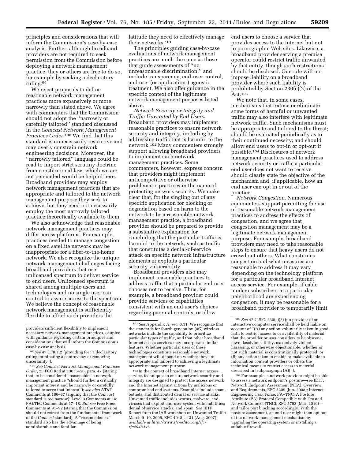principles and considerations that will inform the Commission's case-by-case analysis. Further, although broadband providers are not required to seek permission from the Commission before deploying a network management practice, they or others are free to do so, for example by seeking a declaratory ruling.99

We reject proposals to define reasonable network management practices more expansively or more narrowly than stated above. We agree with commenters that the Commission should not adopt the ''narrowly or carefully tailored'' standard discussed in the *Comcast Network Management Practices Order.*100 We find that this standard is unnecessarily restrictive and may overly constrain network engineering decisions. Moreover, the ''narrowly tailored'' language could be read to import strict scrutiny doctrine from constitutional law, which we are not persuaded would be helpful here. Broadband providers may employ network management practices that are appropriate and tailored to the network management purpose they seek to achieve, but they need not necessarily employ the most narrowly tailored practice theoretically available to them.

We also acknowledge that reasonable network management practices may differ across platforms. For example, practices needed to manage congestion on a fixed satellite network may be inappropriate for a fiber-to-the-home network. We also recognize the unique network management challenges facing broadband providers that use unlicensed spectrum to deliver service to end users. Unlicensed spectrum is shared among multiple users and technologies and no single user can control or assure access to the spectrum. We believe the concept of reasonable network management is sufficiently flexible to afford such providers the

100*See Comcast Network Management Practices Order,* 23 FCC Rcd at 13055–56, para. 47 (stating that, to be considered ''reasonable'' a network management practice ''should further a critically important interest and be narrowly or carefully tailored to serve that interest''); *see also* AT&T Comments at 186–87 (arguing that the *Comcast*  standard is too narrow); Level 3 Comments at 14; PAETEC Comments at 17–18. *But see* Free Press Comments at 91–92 (stating that the Commission should not retreat from the fundamental framework of the *Comcast* standard). A ''reasonableness'' standard also has the advantage of being administrable and familiar.

latitude they need to effectively manage their networks.101

The principles guiding case-by-case evaluations of network management practices are much the same as those that guide assessments of ''no unreasonable discrimination,'' and include transparency, end-user control, and use- (or application-) agnostic treatment. We also offer guidance in the specific context of the legitimate network management purposes listed above.

*Network Security or Integrity and Traffic Unwanted by End Users.*  Broadband providers may implement reasonable practices to ensure network security and integrity, including by addressing traffic that is harmful to the network.102 Many commenters strongly support allowing broadband providers to implement such network management practices. Some commenters, however, express concern that providers might implement anticompetitive or otherwise problematic practices in the name of protecting network security. We make clear that, for the singling out of any specific application for blocking or degradation based on harm to the network to be a reasonable network management practice, a broadband provider should be prepared to provide a substantive explanation for concluding that the particular traffic is harmful to the network, such as traffic that constitutes a denial-of-service attack on specific network infrastructure elements or exploits a particular security vulnerability.

Broadband providers also may implement reasonable practices to address traffic that a particular end user chooses not to receive. Thus, for example, a broadband provider could provide services or capabilities consistent with an end user's choices regarding parental controls, or allow

102 In the context of broadband Internet access service, techniques to ensure network security and integrity are designed to protect the access network and the Internet against actions by malicious or compromised end systems. Examples include spam, botnets, and distributed denial of service attacks. Unwanted traffic includes worms, malware, and viruses that exploit end-user system vulnerabilities; denial of service attacks; and spam. *See* IETF, Report from the IAB workshop on Unwanted Traffic March 9–10, 2006, RFC 4948, at 31 (Aug. 2007), *available at http://www.rfc-editor.org/rfc/ rfc4948.txt.* 

end users to choose a service that provides access to the Internet but not to pornographic Web sites. Likewise, a broadband provider serving a premise operator could restrict traffic unwanted by that entity, though such restrictions should be disclosed. Our rule will not impose liability on a broadband provider where such liability is prohibited by Section  $230(c)(2)$  of the Act.103

We note that, in some cases, mechanisms that reduce or eliminate some forms of harmful or unwanted traffic may also interfere with legitimate network traffic. Such mechanisms must be appropriate and tailored to the threat; should be evaluated periodically as to their continued necessity; and should allow end users to opt-in or opt-out if possible.104 Disclosures of network management practices used to address network security or traffic a particular end user does not want to receive should clearly state the objective of the mechanism and, if applicable, how an end user can opt in or out of the practice.

*Network Congestion.* Numerous commenters support permitting the use of reasonable network management practices to address the effects of congestion, and we agree that congestion management may be a legitimate network management purpose. For example, broadband providers may need to take reasonable steps to ensure that heavy users do not crowd out others. What constitutes congestion and what measures are reasonable to address it may vary depending on the technology platform for a particular broadband Internet access service. For example, if cable modem subscribers in a particular neighborhood are experiencing congestion, it may be reasonable for a broadband provider to temporarily limit

104For example, a network provider might be able to assess a network endpoint's posture—see IETF, Network Endpoint Assessment (NEA): Overview and Requirements, RFC 5209 (Jun. 2008); Internet Engineering Task Force, PA–TNC: A Posture Attribute (PA) Protocol Compatible with Trusted Network Connect (TNC), RFC 5792 (Mar. 2010) and tailor port blocking accordingly. With the posture assessment, an end user might then opt out of the network management mechanism by upgrading the operating system or installing a suitable firewall.

providers sufficient flexibility to implement necessary network management practices, coupled with guidance regarding certain principles and considerations that will inform the Commission's case-by-case analysis.

<sup>99</sup>*See* 47 CFR 1.2 (providing for ''a declaratory ruling terminating a controversy or removing uncertainty'').

<sup>101</sup>*See* Appendix A, sec. 8.11. We recognize that the standards for fourth-generation (4G) wireless networks include the capability to prioritize particular types of traffic, and that other broadband Internet access services may incorporate similar features. Whether particular uses of these technologies constitute reasonable network management will depend on whether they are appropriate and tailored to achieving a legitimate network management purpose.

<sup>103</sup>*See* 47 U.S.C. 230(c)(2) (no provider of an interactive computer service shall be held liable on account of ''(A) any action voluntarily taken in good faith to restrict access to or availability of material that the provider or user considers to be obscene, lewd, lascivious, filthy, excessively violent, harassing, or otherwise objectionable, whether or not such material is constitutionally protected; or (B) any action taken to enable or make available to information content providers or others the technical means to restrict access to material described in [subparagraph (A)]'').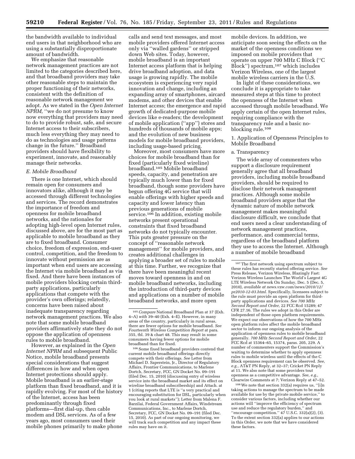the bandwidth available to individual end users in that neighborhood who are using a substantially disproportionate amount of bandwidth.

We emphasize that reasonable network management practices are not limited to the categories described here, and that broadband providers may take other reasonable steps to maintain the proper functioning of their networks, consistent with the definition of reasonable network management we adopt. As we stated in the *Open Internet NPRM,* ''we do not presume to know now everything that providers may need to do to provide robust, safe, and secure Internet access to their subscribers, much less everything they may need to do as technologies and usage patterns change in the future.'' Broadband providers should have flexibility to experiment, innovate, and reasonably manage their networks.

#### *E. Mobile Broadband*

There is one Internet, which should remain open for consumers and innovators alike, although it may be accessed through different technologies and services. The record demonstrates the importance of freedom and openness for mobile broadband networks, and the rationales for adopting high-level open Internet rules, discussed above, are for the most part as applicable to mobile broadband as they are to fixed broadband. Consumer choice, freedom of expression, end-user control, competition, and the freedom to innovate without permission are as important when end users are accessing the Internet via mobile broadband as via fixed. And there have been instances of mobile providers blocking certain thirdparty applications, particularly applications that compete with the provider's own offerings; relatedly, concerns have been raised about inadequate transparency regarding network management practices. We also note that some mobile broadband providers affirmatively state they do not oppose the application of openness rules to mobile broadband.

However, as explained in the *Open Internet NPRM* and subsequent Public Notice, mobile broadband presents special considerations that suggest differences in how and when open Internet protections should apply. Mobile broadband is an earlier-stage platform than fixed broadband, and it is rapidly evolving. For most of the history of the Internet, access has been predominantly through fixed platforms—first dial-up, then cable modem and DSL services. As of a few years ago, most consumers used their mobile phones primarily to make phone

calls and send text messages, and most mobile providers offered Internet access only via ''walled gardens'' or stripped down Web sites. Today, however, mobile broadband is an important Internet access platform that is helping drive broadband adoption, and data usage is growing rapidly. The mobile ecosystem is experiencing very rapid innovation and change, including an expanding array of smartphones, aircard modems, and other devices that enable Internet access; the emergence and rapid growth of dedicated-purpose mobile devices like e-readers; the development of mobile application (''app'') stores and hundreds of thousands of mobile apps; and the evolution of new business models for mobile broadband providers, including usage-based pricing.

Moreover, most consumers have more choices for mobile broadband than for fixed (particularly fixed wireline) broadband.105 Mobile broadband speeds, capacity, and penetration are typically much lower than for fixed broadband, though some providers have begun offering 4G service that will enable offerings with higher speeds and capacity and lower latency than previous generations of mobile service.<sup>106</sup> In addition, existing mobile networks present operational constraints that fixed broadband networks do not typically encounter. This puts greater pressure on the concept of ''reasonable network management'' for mobile providers, and creates additional challenges in applying a broader set of rules to mobile at this time. Further, we recognize that there have been meaningful recent moves toward openness in and on mobile broadband networks, including the introduction of third-party devices and applications on a number of mobile broadband networks, and more open

106Some fixed broadband providers contend that current mobile broadband offerings directly compete with their offerings. *See* Letter from Michael D. Saperstein, Jr., Director of Regulatory Affairs, Frontier Communications, to Marlene Dortch, Secretary, FCC, GN Docket No. 09–191 (filed Dec. 15, 2010) (discussing entry of wireless service into the broadband market and its effect on wireline broadband subscribership) and Attach. at 1 (citing reports that LTE is ''a very practical and encouraging substitution for DSL, particularly when you look at rural markets''); Letter from Malena F. Barzilai, Federal Government Affairs, Windstream Communications, Inc., to Marlene Dortch, Secretary, FCC, GN Docket No. 09–191 (filed Dec. 15, 2010). As part of our ongoing monitoring, we will track such competition and any impact these rules may have on it.

mobile devices. In addition, we anticipate soon seeing the effects on the market of the openness conditions we imposed on mobile providers that operate on upper 700 MHz C Block (''C Block'') spectrum,107 which includes Verizon Wireless, one of the largest mobile wireless carriers in the U.S.

In light of these considerations, we conclude it is appropriate to take measured steps at this time to protect the openness of the Internet when accessed through mobile broadband. We apply certain of the open Internet rules, requiring compliance with the transparency rule and a basic noblocking rule.108

1. Application of Openness Principles to Mobile Broadband

#### a. Transparency

The wide array of commenters who support a disclosure requirement generally agree that all broadband providers, including mobile broadband providers, should be required to disclose their network management practices. Although some mobile broadband providers argue that the dynamic nature of mobile network management makes meaningful disclosure difficult, we conclude that end users need a clear understanding of network management practices, performance, and commercial terms, regardless of the broadband platform they use to access the Internet. Although a number of mobile broadband

108We note that section 332(a) requires us, ''[i]n taking actions to manage the spectrum to be made available for use by the private mobile service,'' to consider various factors, including whether our actions will ''improve the efficiency of spectrum use and reduce the regulatory burden,'' and ''encourage competition.'' 47 U.S.C. 332(a)(2), (3). To the extent section 332(a) applies to our actions in this Order, we note that we have considered these factors.

<sup>105</sup>*Compare* National Broadband Plan at 37 (Exh. 4–A) *with* 39–40 (Exh. 4–E). However, in many areas of the country, particularly in rural areas, there are fewer options for mobile broadband. *See Fourteenth Wireless Competition Report* at para. 355, tbl. 39 & chart 48. This may result in some consumers having fewer options for mobile broadband than for fixed.

<sup>107</sup>The first network using spectrum subject to these rules has recently started offering service. *See*  Press Release, Verizon Wireless, Blazingly Fast: Verizon Wireless Launches The World's Largest 4G LTE Wireless Network On Sunday, Dec. 5 (Dec. 5, 2010), *available at news.vzw.com/news/2010/12/ pr2010-12-03.html.* Specifically, licensees subject to the rule must provide an open platform for thirdparty applications and devices. *See 700 MHz Second Report and Order,* 22 FCC Rcd 15289; 47 CFR 27.16. The rules we adopt in this Order are independent of those open platform requirements. We expect our observations of how the 700 MHz open platform rules affect the mobile broadband sector to inform our ongoing analysis of the application of openness rules to mobile broadband generally. *700 MHz Second Report and Order,* 22 FCC Rcd at 15364–65, 15374, paras. 205, 229. A number of commenters support the Commission's waiting to determine whether to apply openness rules to mobile wireless until the effects of the C Block openness requirement can be observed. *See, e.g.,* AT&T PN Reply, at 32–37; Cricket PN Reply at 11. We also note that some providers tout openness as a competitive advantage. *See, e.g.,*  Clearwire Comments at 7; Verizon Reply at 47–52.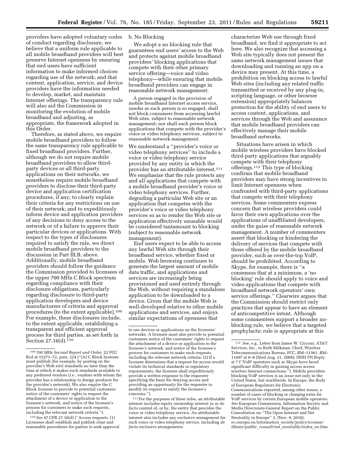providers have adopted voluntary codes of conduct regarding disclosure, we believe that a uniform rule applicable to all mobile broadband providers will best preserve Internet openness by ensuring that end users have sufficient information to make informed choices regarding use of the network; and that content, application, service, and device providers have the information needed to develop, market, and maintain Internet offerings. The transparency rule will also aid the Commission in monitoring the evolution of mobile broadband and adjusting, as appropriate, the framework adopted in this Order.

Therefore, as stated above, we require mobile broadband providers to follow the same transparency rule applicable to fixed broadband providers. Further, although we do not require mobile broadband providers to allow thirdparty devices or all third-party applications on their networks, we nonetheless require mobile broadband providers to disclose their third-party device and application certification procedures, if any; to clearly explain their criteria for any restrictions on use of their network; and to expeditiously inform device and application providers of any decisions to deny access to the network or of a failure to approve their particular devices or applications. With respect to the types of disclosures required to satisfy the rule, we direct mobile broadband providers to the discussion in Part III.B, above. Additionally, mobile broadband providers should follow the guidance the Commission provided to licensees of the upper 700 MHz C Block spectrum regarding compliance with their disclosure obligations, particularly regarding disclosure to third-party application developers and device manufacturers of criteria and approval procedures (to the extent applicable).109 For example, these disclosures include, to the extent applicable, establishing a transparent and efficient approval process for third parties, as set forth in Section 27.16(d).<sup>110</sup>

110*See* 47 CFR 27.16(d) (''Access requests. (1) Licensees shall establish and publish clear and reasonable procedures for parties to seek approval

#### b. No Blocking

We adopt a no blocking rule that guarantees end users' access to the Web and protects against mobile broadband providers' blocking applications that compete with their other primary service offering—voice and video telephony—while ensuring that mobile broadband providers can engage in reasonable network management:

A person engaged in the provision of mobile broadband Internet access service, insofar as such person is so engaged, shall not block consumers from accessing lawful Web sites, subject to reasonable network management; nor shall such person block applications that compete with the provider's voice or video telephony services, subject to reasonable network management.

We understand a ''provider's voice or video telephony services'' to include a voice or video telephony service provided by any entity in which the provider has an attributable interest.111 We emphasize that the rule protects any and all applications that compete with a mobile broadband provider's voice or video telephony services. Further, degrading a particular Web site or an application that competes with the provider's voice or video telephony services so as to render the Web site or application effectively unusable would be considered tantamount to blocking (subject to reasonable network management).

End users expect to be able to access any lawful Web site through their broadband service, whether fixed or mobile. Web browsing continues to generate the largest amount of mobile data traffic, and applications and services are increasingly being provisioned and used entirely through the Web, without requiring a standalone application to be downloaded to a device. Given that the mobile Web is well-developed relative to other mobile applications and services, and enjoys similar expectations of openness that

characterize Web use through fixed broadband, we find it appropriate to act here. We also recognize that accessing a Web site typically does not present the same network management issues that downloading and running an app on a device may present. At this time, a prohibition on blocking access to lawful Web sites (including any related traffic transmitted or received by any plug-in, scripting language, or other browser extension) appropriately balances protection for the ability of end users to access content, applications, and services through the Web and assurance that mobile broadband providers can effectively manage their mobile broadband networks.

Situations have arisen in which mobile wireless providers have blocked third-party applications that arguably compete with their telephony offerings.112 This type of blocking confirms that mobile broadband providers may have strong incentives to limit Internet openness when confronted with third-party applications that compete with their telephony services. Some commenters express concern that wireless providers could favor their own applications over the applications of unaffiliated developers, under the guise of reasonable network management. A number of commenters assert that blocking or hindering the delivery of services that compete with those offered by the mobile broadband provider, such as over-the-top VoIP, should be prohibited. According to Skype, for example, there is ''a consensus that at a minimum, a 'no blocking' rule should apply to voice and video applications that compete with broadband network operators' own service offerings.'' Clearwire argues that the Commission should restrict only practices that appear to have an element of anticompetitive intent. Although some commenters support a broader noblocking rule, we believe that a targeted prophylactic rule is appropriate at this

<sup>109</sup> *700 MHz Second Report and Order,* 22 FCC Rcd at 15371–72, para. 224 (''[A] C Block licensee must publish [for example, by posting on the provider's Web site] standards no later than the time at which it makes such standards available to any preferred vendors (*i.e.,* vendors with whom the provider has a relationship to design products for the provider's network). We also require the C Block licensee to provide to potential customers notice of the customers' rights to request the attachment of a device or application to the licensee's network, and notice of the licensee's process for customers to make such requests, including the relevant network criteria.'').

to use devices or applications on the licensees' networks. A licensee must also provide to potential customers notice of the customers' rights to request the attachment of a device or application to the licensee's network, and notice of the licensee's process for customers to make such requests, including the relevant network criteria. (2) If a licensee determines that a request for access would violate its technical standards or regulatory requirements, the licensee shall expeditiously provide a written response to the requester specifying the basis for denying access and providing an opportunity for the requester to modify its request to satisfy the licensee's concerns.'').

<sup>&</sup>lt;sup>111</sup> For the purposes of these rules, an attributable interest includes equity ownership interest in or *de facto* control of, or by, the entity that provides the voice or video telephony service. An attributable interest also includes any exclusive arrangement for such voice or video telephony service, including *de facto* exclusive arrangements.

<sup>112</sup> *See, e.g.,* Letter from James W. Cicconi, AT&T Services, Inc., to Ruth Milkman, Chief, Wireless Telecommunications Bureau, FCC, RM–11361, RM– 11497 at 6–8 (filed Aug. 21, 2009); DISH PN Reply at 7 (''VoIP operators such as Skype have faced significant difficulty in gaining access across wireless Internet connections.''). Mobile providers blocking VoIP services is an issue not only in the United States, but worldwide. In Europe, the Body of European Regulators for Electronic Communications reported, among other issues, a number of cases of blocking or charging extra for VoIP services by certain European mobile operators. *See* European Commission, Information Society and Media Directorate-General Report on the Public Consultation on ''The Open Internet and Net Neutrality in Europe'' 2, (Nov. 9, 2010), *ec.europa.eu/information*\_*society/policy/ecomm/ library/public*\_*consult/net*\_*neutrality/index*\_*en.htm.*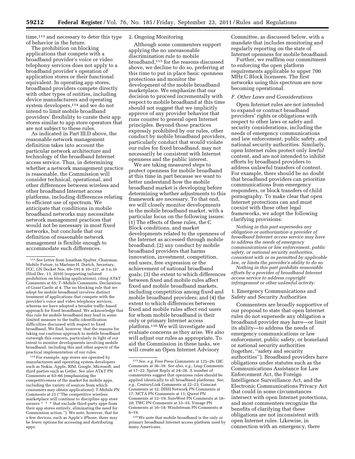time,<sup>113</sup> and necessary to deter this type of behavior in the future.

The prohibition on blocking applications that compete with a broadband provider's voice or video telephony services does not apply to a broadband provider's operation of application stores or their functional equivalent. In operating app stores, broadband providers compete directly with other types of entities, including device manufacturers and operating system developers,<sup>114</sup> and we do not intend to limit mobile broadband providers' flexibility to curate their app stores similar to app store operators that are not subject to these rules.

As indicated in Part III.D above, the reasonable network management definition takes into account the particular network architecture and technology of the broadband Internet access service. Thus, in determining whether a network management practice is reasonable, the Commission will consider technical, operational, and other differences between wireless and other broadband Internet access platforms, including differences relating to efficient use of spectrum. We anticipate that conditions in mobile broadband networks may necessitate network management practices that would not be necessary in most fixed networks, but conclude that our definition of reasonable network management is flexible enough to accommodate such differences.

114For example, app stores are operated by manufacturers and operating system developers such as Nokia, Apple, RIM, Google, Microsoft, and third parties such as GetJar. *See also* AT&T PN Comments at 63–66 (emphasizing the competitiveness of the market for mobile apps, including the variety of sources from which consumers may obtain applications); T-Mobile PN Comments at 21 (''The competitive wireless marketplace will continue to discipline app store owners \* \* \* that exclude third-party apps from their app stores entirely, eliminating the need for Commission action.''). We note, however, that for a few devices, such as Apple's iPhone, there may be fewer options for accessing and distributing apps.

#### 2. Ongoing Monitoring

Although some commenters support applying the no unreasonable discrimination rule to mobile broadband,115 for the reasons discussed above, we decline to do so, preferring at this time to put in place basic openness protections and monitor the development of the mobile broadband marketplace. We emphasize that our decision to proceed incrementally with respect to mobile broadband at this time should not suggest that we implicitly approve of any provider behavior that runs counter to general open Internet principles. Beyond those practices expressly prohibited by our rules, other conduct by mobile broadband providers, particularly conduct that would violate our rules for fixed broadband, may not necessarily be consistent with Internet openness and the public interest.

We are taking measured steps to protect openness for mobile broadband at this time in part because we want to better understand how the mobile broadband market is developing before determining whether adjustments to this framework are necessary. To that end, we will closely monitor developments in the mobile broadband market, with a particular focus on the following issues: (1) The effects of these rules, the C Block conditions, and market developments related to the openness of the Internet as accessed through mobile broadband; (2) any conduct by mobile broadband providers that harms innovation, investment, competition, end users, free expression or the achievement of national broadband goals; (3) the extent to which differences between fixed and mobile rules affect fixed and mobile broadband markets, including competition among fixed and mobile broadband providers; and (4) the extent to which differences between fixed and mobile rules affect end users for whom mobile broadband is their only or primary Internet access platform.116 We will investigate and evaluate concerns as they arise. We also will adjust our rules as appropriate. To aid the Commission in these tasks, we will create an Open Internet Advisory

Committee, as discussed below, with a mandate that includes monitoring and regularly reporting on the state of Internet openness for mobile broadband.

Further, we reaffirm our commitment to enforcing the open platform requirements applicable to upper 700 MHz C Block licensees. The first networks using this spectrum are now becoming operational.

#### *F. Other Laws and Considerations*

Open Internet rules are not intended to expand or contract broadband providers' rights or obligations with respect to other laws or safety and security considerations, including the needs of emergency communications and law enforcement, public safety, and national security authorities. Similarly, open Internet rules protect only *lawful*  content, and are not intended to inhibit efforts by broadband providers to address unlawful transfers of content. For example, there should be no doubt that broadband providers can prioritize communications from emergency responders, or block transfers of child pornography. To make clear that open Internet protections can and must coexist with these other legal frameworks, we adopt the following clarifying provisions:

*Nothing in this part supersedes any obligation or authorization a provider of broadband Internet access service may have to address the needs of emergency communications or law enforcement, public safety, or national security authorities, consistent with or as permitted by applicable law, or limits the provider's ability to do so*.

*Nothing in this part prohibits reasonable efforts by a provider of broadband Internet access service to address copyright infringement or other unlawful activity*.

1. Emergency Communications and Safety and Security Authorities

Commenters are broadly supportive of our proposal to state that open Internet rules do not supersede any obligation a broadband provider may have—or limit its ability—to address the needs of emergency communications or law enforcement, public safety, or homeland or national security authorities (together, ''safety and security authorities''). Broadband providers have obligations under statutes such as the Communications Assistance for Law Enforcement Act, the Foreign Intelligence Surveillance Act, and the Electronic Communications Privacy Act that could in some circumstances intersect with open Internet protections, and most commenters recognize the benefits of clarifying that these obligations are not inconsistent with open Internet rules. Likewise, in connection with an emergency, there

<sup>113</sup>*See* Letter from Jonathan Spalter, Chairman, Mobile Future, to Marlene H. Dortch, Secretary, FCC, GN Docket Nos. 09–191 & 10–127, at 3 n.16 (filed Dec. 13, 2010) (supporting tailored prohibition on blocking applications), *citing* AT&T Comments at 65; T–Mobile Comments, Declaration of Grant Castle at 4. The no blocking rule that we adopt for mobile broadband involves distinct treatment of applications that compete with the provider's voice and video telephony services, whereas we have adopted a broader traffic-based approach for fixed broadband. We acknowledge that this rule for mobile broadband may lead in some limited measure to the traffic-identification difficulties discussed with respect to fixed broadband. We find, however, that the reasons for taking our cautious approach to mobile broadband outweigh this concern, particularly in light of our intent to monitor developments involving mobile broadband, including this and other aspects of the practical implementation of our rules.

<sup>115</sup>*See, e.g,* Free Press Comments at 125–26; OIC Comments at 36–39. *See also, e.g.,* Leap Comments at 17–22; Sprint Reply at 24–26. A number of commenters suggest that openness rules should be applied identically to all broadband platforms. *See, e.g.,* CenturyLink Comments at 22–23; Comcast Comments at 32; DISH Network PN Comments at 17; NCTA PN Comments at 11; Qwest PN Comments at 12–19; SureWest PN Comments at 18– 20; TWC PN Comments at 33–35; Vonage PN Comments at 10–18; Windstream PN Comments at 6–19.

<sup>116</sup>We note that mobile broadband is the only or primary broadband Internet access platform used by many Americans.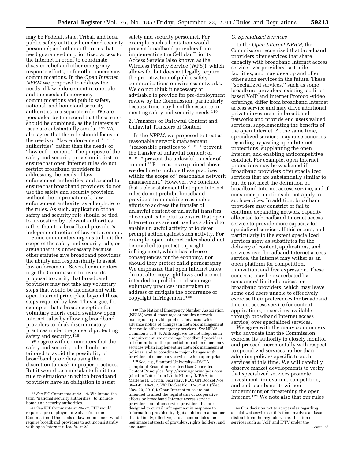may be Federal, state, Tribal, and local public safety entities; homeland security personnel; and other authorities that need guaranteed or prioritized access to the Internet in order to coordinate disaster relief and other emergency response efforts, or for other emergency communications. In the *Open Internet NPRM* we proposed to address the needs of law enforcement in one rule and the needs of emergency communications and public safety, national, and homeland security authorities in a separate rule. We are persuaded by the record that these rules should be combined, as the interests at issue are substantially similar.117 We also agree that the rule should focus on the needs of ''law enforcement \* \* \* authorities'' rather than the needs of ''law enforcement.'' The purpose of the safety and security provision is first to ensure that open Internet rules do not restrict broadband providers in addressing the needs of law enforcement authorities, and second to ensure that broadband providers do not use the safety and security provision without the imprimatur of a law enforcement authority, as a loophole to the rules. As such, application of the safety and security rule should be tied to invocation by relevant authorities rather than to a broadband provider's independent notion of law enforcement.

Some commenters urge us to limit the scope of the safety and security rule, or argue that it is unnecessary because other statutes give broadband providers the ability and responsibility to assist law enforcement. Several commenters urge the Commission to revise its proposal to clarify that broadband providers may not take any voluntary steps that would be inconsistent with open Internet principles, beyond those steps required by law. They argue, for example, that a broad exception for voluntary efforts could swallow open Internet rules by allowing broadband providers to cloak discriminatory practices under the guise of protecting safety and security.<sup>118</sup>

We agree with commenters that the safety and security rule should be tailored to avoid the possibility of broadband providers using their discretion to mask improper practices. But it would be a mistake to limit the rule to situations in which broadband providers have an obligation to assist

safety and security personnel. For example, such a limitation would prevent broadband providers from implementing the Cellular Priority Access Service (also known as the Wireless Priority Service (WPS)), which allows for but does not legally require the prioritization of public safety communications on wireless networks. We do not think it necessary or advisable to provide for pre-deployment review by the Commission, particularly because time may be of the essence in meeting safety and security needs.<sup>119</sup>

#### 2. Transfers of Unlawful Content and Unlawful Transfers of Content

In the *NPRM,* we proposed to treat as reasonable network management ''reasonable practices to \* \* \* prevent the transfer of unlawful content; or \* \* \* prevent the unlawful transfer of content.'' For reasons explained above we decline to include these practices within the scope of ''reasonable network management.'' However, we conclude that a clear statement that open Internet rules do not prohibit broadband providers from making reasonable efforts to address the transfer of unlawful content or unlawful transfers of content is helpful to ensure that open Internet rules are not used as a shield to enable unlawful activity or to deter prompt action against such activity. For example, open Internet rules should not be invoked to protect copyright infringement, which has adverse consequences for the economy, nor should they protect child pornography. We emphasize that open Internet rules do not alter copyright laws and are not intended to prohibit or discourage voluntary practices undertaken to address or mitigate the occurrence of copyright infringement.120

120*See, e.g.,* Stanford University—DMCA Complaint Resolution Center; User Generated Content Principles, *http://www.ugcprinciples.com*  (cited in Letter from Linda Kinney, MPAA, to Marlene H. Dortch, Secretary, FCC, GN Docket Nos. 09–191, 10–137, WC Docket No. 07–52 at 1 (filed Nov. 29, 2010)). Open Internet rules are not intended to affect the legal status of cooperative efforts by broadband Internet access service providers and other service providers that are designed to curtail infringement in response to information provided by rights holders in a manner that is timely, effective, and accommodates the legitimate interests of providers, rights holders, and end users.

#### *G. Specialized Services*

In the *Open Internet NPRM,* the Commission recognized that broadband providers offer services that share capacity with broadband Internet access service over providers' last-mile facilities, and may develop and offer other such services in the future. These ''specialized services,'' such as some broadband providers' existing facilitiesbased VoIP and Internet Protocol-video offerings, differ from broadband Internet access service and may drive additional private investment in broadband networks and provide end users valued services, supplementing the benefits of the open Internet. At the same time, specialized services may raise concerns regarding bypassing open Internet protections, supplanting the open Internet, and enabling anticompetitive conduct. For example, open Internet protections may be weakened if broadband providers offer specialized services that are substantially similar to, but do not meet the definition of, broadband Internet access service, and if consumer protections do not apply to such services. In addition, broadband providers may constrict or fail to continue expanding network capacity allocated to broadband Internet access service to provide more capacity for specialized services. If this occurs, and particularly to the extent specialized services grow as substitutes for the delivery of content, applications, and services over broadband Internet access service, the Internet may wither as an open platform for competition, innovation, and free expression. These concerns may be exacerbated by consumers' limited choices for broadband providers, which may leave some end users unable to effectively exercise their preferences for broadband Internet access service (or content, applications, or services available through broadband Internet access service) over specialized services.

We agree with the many commenters who advocate that the Commission exercise its authority to closely monitor and proceed incrementally with respect to specialized services, rather than adopting policies specific to such services at this time. We will carefully observe market developments to verify that specialized services promote investment, innovation, competition, and end-user benefits without undermining or threatening the open Internet.121 We note also that our rules

<sup>117</sup>*See* PIC Comments at 42–44. We intend the term ''national security authorities'' to include homeland security authorities.

<sup>118</sup>*See* EFF Comments at 20–22. EFF would require a pre-deployment waiver from the Commission if the needs of law enforcement would require broadband providers to act inconsistently with open Internet rules. *Id.* at 22.

<sup>119</sup>The National Emergency Number Association (NENA) would encourage or require network managers to provide public safety users with advance notice of changes in network management that could affect emergency services. *See* NENA Comments at 5–6. Although we do not adopt such a requirement, we encourage broadband providers to be mindful of the potential impact on emergency services when implementing network management policies, and to coordinate major changes with providers of emergency services when appropriate.

<sup>121</sup>Our decision not to adopt rules regarding specialized services at this time involves an issue distinct from the regulatory classification of services such as VoIP and IPTV under the Continued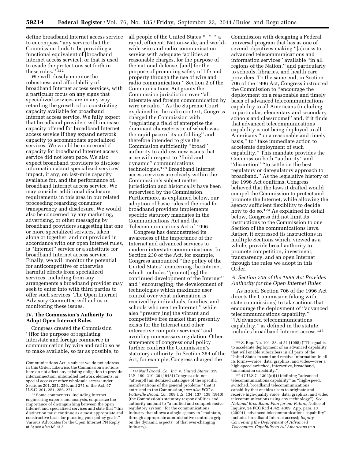define broadband Internet access service to encompass ''any service that the Commission finds to be providing a functional equivalent of [broadband Internet access service], or that is used to evade the protections set forth in these rules.'' 122

We will closely monitor the robustness and affordability of broadband Internet access services, with a particular focus on any signs that specialized services are in any way retarding the growth of or constricting capacity available for broadband Internet access service. We fully expect that broadband providers will increase capacity offered for broadband Internet access service if they expand network capacity to accommodate specialized services. We would be concerned if capacity for broadband Internet access service did not keep pace. We also expect broadband providers to disclose information about specialized services' impact, if any, on last-mile capacity available for, and the performance of, broadband Internet access service. We may consider additional disclosure requirements in this area in our related proceeding regarding consumer transparency and disclosure. We would also be concerned by any marketing, advertising, or other messaging by broadband providers suggesting that one or more specialized services, taken alone or together, and not provided in accordance with our open Internet rules, is ''Internet'' service or a substitute for broadband Internet access service. Finally, we will monitor the potential for anticompetitive or otherwise harmful effects from specialized services, including from any arrangements a broadband provider may seek to enter into with third parties to offer such services. The Open Internet Advisory Committee will aid us in monitoring these issues.

#### **IV. The Commission's Authority To Adopt Open Internet Rules**

Congress created the Commission ''[f]or the purpose of regulating interstate and foreign commerce in communication by wire and radio so as to make available, so far as possible, to

all people of the United States \* \* \* a rapid, efficient, Nation-wide, and worldwide wire and radio communication service with adequate facilities at reasonable charges, for the purpose of the national defense, [and] for the purpose of promoting safety of life and property through the use of wire and radio communication.'' Section 2 of the Communications Act grants the Commission jurisdiction over ''all interstate and foreign communication by wire or radio.'' As the Supreme Court explained in the radio context, Congress charged the Commission with ''regulating a field of enterprise the dominant characteristic of which was the rapid pace of its unfolding'' and therefore intended to give the Commission sufficiently ''broad'' authority to address new issues that arise with respect to ''fluid and dynamic'' communications technologies.123 Broadband Internet access services are clearly within the Commission's subject matter jurisdiction and historically have been supervised by the Commission. Furthermore, as explained below, our adoption of basic rules of the road for broadband providers implements specific statutory mandates in the Communications Act and the Telecommunications Act of 1996.

Congress has demonstrated its awareness of the importance of the Internet and advanced services to modern interstate communications. In Section 230 of the Act, for example, Congress announced ''the policy of the United States'' concerning the Internet, which includes ''promot[ing] the continued development of the Internet'' and ''encourag[ing] the development of technologies which maximize user control over what information is received by individuals, families, and schools who use the Internet,'' while also ''preserv[ing] the vibrant and competitive free market that presently exists for the Internet and other interactive computer services'' and avoiding unnecessary regulation. Other statements of congressional policy further confirm the Commission's statutory authority. In Section 254 of the Act, for example, Congress charged the

Commission with designing a Federal universal program that has as one of several objectives making ''[a]ccess to advanced telecommunications and information services'' available ''in all regions of the Nation,'' and particularly to schools, libraries, and health care providers. To the same end, in Section 706 of the 1996 Act, Congress instructed the Commission to ''encourage the deployment on a reasonable and timely basis of advanced telecommunications capability to all Americans (including, in particular, elementary and secondary schools and classrooms)'' and, if it finds that advanced telecommunications capability is not being deployed to all Americans ''on a reasonable and timely basis,'' to ''take immediate action to accelerate deployment of such capability.'' This mandate provides the Commission both ''authority'' and ''discretion'' ''to settle on the best regulatory or deregulatory approach to broadband.'' As the legislative history of the 1996 Act confirms, Congress believed that the laws it drafted would compel the Commission to protect and promote the Internet, while allowing the agency sufficient flexibility to decide how to do so.124 As explained in detail below, Congress did not limit its instructions to the Commission to one Section of the communications laws. Rather, it expressed its instructions in multiple Sections which, viewed as a whole, provide broad authority to promote competition, investment, transparency, and an open Internet through the rules we adopt in this Order.

#### *A. Section 706 of the 1996 Act Provides Authority for the Open Internet Rules*

As noted, Section 706 of the 1996 Act directs the Commission (along with state commissions) to take actions that encourage the deployment of ''advanced telecommunications capability.'' ''[A]dvanced telecommunications capability,'' as defined in the statute, includes broadband Internet access.125

125 47 U.S.C. 1302(d)(1) (defining ''advanced telecommunications capability'' as ''high-speed, switched, broadband telecommunications capability that enables users to originate and receive high-quality voice, data, graphics, and video telecommunications using any technology''). *See National Broadband Plan for our Future,* Notice of Inquiry, 24 FCC Rcd 4342, 4309, App. para. 13 (2009) (''advanced telecommunications capability'' includes broadband Internet access); *Inquiry Concerning the Deployment of Advanced Telecomms. Capability to All Americans in a* 

Communications Act, a subject we do not address in this Order. Likewise, the Commission's actions here do not affect any existing obligation to provide interconnection, unbundled network elements, or special access or other wholesale access under Sections 201, 251, 256, and 271 of the Act. 47

<sup>&</sup>lt;sup>122</sup> Some commenters, including Internet engineering experts and analysts, emphasize the importance of distinguishing between the open Internet and specialized services and state that ''this distinction must continue as a most appropriate and constructive basis for pursuing your policy goals.'' Various Advocates for the Open Internet PN Reply at 3; *see also id.* at 2.

<sup>123</sup>*Nat'l Broad. Co., Inc.* v. *United States,* 319 U.S. 190, 219–20 (1943) (Congress did not ''attempt[] an itemized catalogue of the specific manifestations of the general problems'' that it entrusted to the Commission); *see also FCC* v. *Pottsville Broad. Co.,* 309 U.S. 134, 137, 138 (1940) (the Commission's statutory responsibilities and authority amount to ''a unified and comprehensive regulatory system'' for the communications industry that allows a single agency to ''maintain, through appropriate administrative control, a grip on the dynamic aspects'' of that ever-changing industry).

<sup>124</sup>S. Rep. No. 104–23, at 51 (1995) (''The goal is to accelerate deployment of an advanced capability that will enable subscribers in all parts of the United States to send and receive information in all its forms—voice, data, graphics, and video—over a high-speed switched, interactive, broadband, transmission capability.'').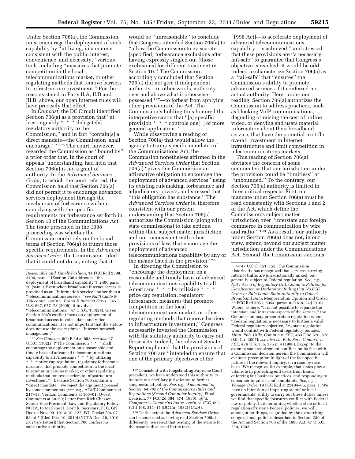Under Section 706(a), the Commission must encourage the deployment of such capability by ''utilizing, in a manner consistent with the public interest, convenience, and necessity,'' various tools including ''measures that promote competition in the local telecommunications market, or other regulating methods that remove barriers to infrastructure investment.'' For the reasons stated in Parts II.A, II.D and III.B, above, our open Internet rules will have precisely that effect.

In *Comcast,* the DC Circuit identified Section 706(a) as a provision that ''at least arguably  $* * * \text{delegate}[s]$ regulatory authority to the Commission,'' and in fact ''contain[s] a direct mandate—the Commission 'shall encourage.'"<sup>126</sup> The court, however, regarded the Commission as ''bound by'' a prior order that, in the court of appeals' understanding, had held that Section 706(a) is not a grant of authority. In the *Advanced Services Order,* to which the court referred, the Commission held that Section 706(a) did not permit it to encourage advanced services deployment through the mechanism of forbearance without complying with the specific requirements for forbearance set forth in Section 10 of the Communications Act. The issue presented in the 1998 proceeding was whether the Commission could rely on the broad terms of Section 706(a) to trump those specific requirements. In the *Advanced Services Order,* the Commission ruled that it could not do so, noting that it

126*See Comcast,* 600 F.3d at 658; *see also* 47 U.S.C. 1302(a) (''The Commission \* \* \* shall encourage the deployment on a reasonable and timely basis of advanced telecommunications capability to all Americans \* \* \* by utilizing \* \* \* price cap regulation, regulatory forbearance, measures that promote competition in the local telecommunications market, or other regulating methods that remove barriers to infrastructure investment.''). Because Section 706 contains a ''direct mandate,'' we reject the argument pressed by some commenters (*see, e.g.,* AT&T Comments at 217–18; Verizon Comments at 100–01; Qwest Comments at 58–59; Letter from Rick Chessen, Senior Vice President, Law and Regulatory Policy, NCTA, to Marlene H. Dortch, Secretary, FCC, GN Docket Nos. 09–191 & 10–127, WC Docket No. 07– 52, at 7 (filed Dec. 10, 2010) (NCTA Dec. 10, 2010 *Ex Parte* Letter)) that Section 706 confers no substantive authority.

would be ''unreasonable'' to conclude that Congress intended Section 706(a) to ''allow the Commission to eviscerate [specified] forbearance exclusions after having expressly singled out [those exclusions] for different treatment in Section 10.'' The Commission accordingly concluded that Section 706(a) did not give it independent authority—in other words, authority over and above what it otherwise possessed 127—to forbear from applying other provisions of the Act. The Commission's holding thus honored the interpretive canon that ''[a] specific provision \* \* \* controls one[ ] of more general application.''

While disavowing a reading of Section 706(a) that would allow the agency to trump specific mandates of the Communications Act, the Commission nonetheless affirmed in the *Advanced Services Order* that Section 706(a) ''gives this Commission an affirmative obligation to encourage the deployment of advanced services'' using its existing rulemaking, forbearance and adjudicatory powers, and stressed that ''this obligation has substance.'' The *Advanced Services Order* is, therefore, consistent with our present understanding that Section 706(a) authorizes the Commission (along with state commissions) to take actions, within their subject matter jurisdiction and not inconsistent with other provisions of law, that encourage the deployment of advanced telecommunications capability by any of the means listed in the provision.<sup>128</sup>

In directing the Commission to ''encourage the deployment on a reasonable and timely basis of advanced telecommunications capability to all Americans \* \* \* by utilizing \* price cap regulation, regulatory forbearance, measures that promote competition in the local telecommunications market, or other regulating methods that remove barriers to infrastructure investment,'' Congress necessarily invested the Commission with the statutory authority to carry out those acts. Indeed, the relevant Senate Report explained that the provisions of Section 706 are ''intended to ensure that one of the primary objectives of the

[1996 Act]—to accelerate deployment of advanced telecommunications capability—is achieved,'' and stressed that these provisions are ''a necessary fail-safe'' to guarantee that Congress's objective is reached. It would be odd indeed to characterize Section 706(a) as a ''fail-safe'' that ''ensures'' the Commission's ability to promote advanced services if it conferred no actual authority. Here, under our reading, Section 706(a) authorizes the Commission to address practices, such as blocking VoIP communications, degrading or raising the cost of online video, or denying end users material information about their broadband service, that have the potential to stifle overall investment in Internet infrastructure and limit competition in telecommunications markets.

This reading of Section 706(a) obviates the concern of some commenters that our jurisdiction under the provision could be ''limitless'' or ''unbounded.'' To the contrary, our Section 706(a) authority is limited in three critical respects. First, our mandate under Section 706(a) must be read consistently with Sections 1 and 2 of the Act, which define the Commission's subject matter jurisdiction over ''interstate and foreign commerce in communication by wire and radio.'' 129 As a result, our authority under Section 706(a) does not, in our view, extend beyond our subject matter jurisdiction under the Communications Act. Second, the Commission's actions

*Reasonable and Timely Fashion,* 14 FCC Rcd 2398, 2400, para. 1 (Section 706 addresses ''the deployment of broadband capability''), 2406 para. 20 (same). Even when broadband Internet access is provided as an ''information service'' rather than a ''telecommunications service,'' *see Nat'l Cable & Telecomm. Ass'n* v. *Brand X Internet Servs.,* 545 U.S. 967, 977–78 (2005), it involves ''telecommunications.'' 47 U.S.C. 153(24). Given Section 706's explicit focus on deployment of broadband access to voice, data, and video communications, it is not important that the statute does not use the exact phrase ''Internet network management.''

<sup>127</sup>Consistent with longstanding Supreme Court precedent, we have understood this authority to include our ancillary jurisdiction to further congressional policy. *See, e.g., Amendment of Section 64.702 of the Commission's Rules and Regulations (Second Computer Inquiry),* Final Decision, 77 FCC 2d 384, 474 (1980), *aff'd, Computer & Commc'ns Indus. Ass'n.* v. *FCC,* 693 F.2d 198, 211–14 (DC Cir. 1982) (*CCIA*).

<sup>128</sup>To the extent the *Advanced Services Order*  can be construed as having read Section 706(a) differently, we reject that reading of the statute for the reasons discussed in the text.

<sup>129</sup> 47 U.S.C. 151, 152. The Commission historically has recognized that services carrying Internet traffic are jurisdictionally mixed, but generally subject to Federal regulation. *See, e.g., Nat'l Ass'n of Regulatory Util. Comm'rs Petition for Clarification or Declaratory Ruling that No FCC Order or Rule Limits State Authority to Collect Broadband Data,* Memorandum Opinion and Order, 25 FCC Rcd 5051, 5054, paras. 8–9 & n. 24 (2010). Where, as here, ''it is not possible to separate the interstate and intrastate aspects of the service,'' the Commission may preempt state regulation where ''Federal regulation is necessary to further a valid Federal regulatory objective, *i.e.,* state regulation would conflict with Federal regulatory policies.'' *Minn. Pub. Utils. Comm'n* v. *FCC,* 483 F.3d 570, 578 (8th Cir. 2007); *see also La. Pub. Serv. Comm'n* v. *FCC,* 476 U.S. 355, 375 n. 4 (1986). Except to the extent a state requirement conflicts on its face with a Commission decision herein, the Commission will evaluate preemption in light of the fact-specific nature of the relevant inquiry, on a case-by-case basis. We recognize, for example, that states play a vital role in protecting end users from fraud, enforcing fair business practices, and responding to consumer inquiries and complaints. *See, e.g., Vonage Order,* 19 FCC Rcd at 22404–05, para. 1. We have no intention of impairing states' or local governments' ability to carry out these duties unless we find that specific measures conflict with Federal law or policy. In determining whether state or local regulations frustrate Federal policies, we will, among other things, be guided by the overarching congressional policies described in Section 230 of the Act and Section 706 of the 1996 Act. 47 U.S.C. 230, 1302.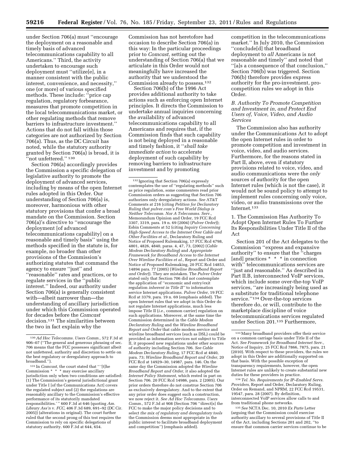under Section 706(a) must ''encourage the deployment on a reasonable and timely basis of advanced telecommunications capability to all Americans.'' Third, the activity undertaken to encourage such deployment must ''utilize[e], in a manner consistent with the public interest, convenience, and necessity,'' one (or more) of various specified methods. These include: ''price cap regulation, regulatory forbearance, measures that promote competition in the local telecommunications market, or other regulating methods that remove barriers to infrastructure investment.'' Actions that do not fall within those categories are not authorized by Section 706(a). Thus, as the DC Circuit has noted, while the statutory authority granted by Section 706(a) is broad, it is 'not unfettered."<sup>130</sup>

Section 706(a) accordingly provides the Commission a specific delegation of legislative authority to promote the deployment of advanced services, including by means of the open Internet rules adopted in this Order. Our understanding of Section 706(a) is, moreover, harmonious with other statutory provisions that confer a broad mandate on the Commission. Section 706(a)'s directive to ''encourage the deployment [of advanced telecommunications capability] on a reasonable and timely basis'' using the methods specified in the statute is, for example, no broader than other provisions of the Commission's authorizing statutes that command the agency to ensure ''just'' and ''reasonable'' rates and practices, or to regulate services in the ''public interest.'' Indeed, our authority under Section 706(a) is generally consistent with—albeit narrower than—the understanding of ancillary jurisdiction under which this Commission operated for decades before the *Comcast*  decision.131 The similarities between the two in fact explain why the

131 In *Comcast,* the court stated that '' '[t]he Commission \* \* \* may exercise ancillary jurisdiction only when two conditions are satisfied: (1) The Commission's general jurisdictional grant under Title I [of the Communications Act] covers the regulated subject and (2) the regulations are reasonably ancillary to the Commission's effective performance of its statutorily mandated responsibilities.' '' 600 F.3d at 646 (quoting *Am. Library Ass'n* v. *FCC,* 406 F.3d 689, 691–92 (DC Cir. 2005)) (alterations in original). The court further ruled that the second prong of this test requires the Commission to rely on specific delegations of statutory authority. 600 F.3d at 644, 654.

Commission has not heretofore had occasion to describe Section 706(a) in this way: In the particular proceedings prior to *Comcast,* setting out the understanding of Section 706(a) that we articulate in this Order would not meaningfully have increased the authority that we understood the Commission already to possess.132

Section 706(b) of the 1996 Act provides additional authority to take actions such as enforcing open Internet principles. It directs the Commission to undertake annual inquiries concerning the availability of advanced telecommunications capability to all Americans and requires that, if the Commission finds that such capability is not being deployed in a reasonable and timely fashion, it ''*shall take immediate action* to accelerate deployment of such capability by removing barriers to infrastructure investment and by promoting

132 Ignoring that Section 706(a) expressly contemplates the use of ''regulating methods'' such as price regulation, some commenters read prior Commission orders as suggesting that Section 706 authorizes only deregulatory actions. *See* AT&T Comments at 216 (citing *Petition for Declaratory Ruling that pulver.com's Free World Dialup is Neither Telecomm. Nor A Telecomms. Serv.,*  Memorandum Opinion and Order, 19 FCC Rcd 3307, 3319, para. 19 n. 69 (2004) (*Pulver Order*)); Esbin Comments at 52 (citing *Inquiry Concerning High-Speed Access to the Internet Over Cable and Other Facilities et al.,* Declaratory Ruling and Notice of Proposed Rulemaking, 17 FCC Rcd 4798, 4801, 4826, 4840, paras. 4, 47, 73, (2002) (*Cable Modem Declaratory Ruling*) and *Appropriate Framework for Broadband Access to the Internet Over Wireline Facilities et al.,* Report and Order and Notice of Proposed Rulemaking, 20 FCC Rcd 14853, 14894 para. 77 (2005) (*Wireline Broadband Report and Order*)). They are mistaken. The *Pulver Order*  stated only that Section 706 did not contemplate the application of ''economic and entry/exit regulation *inherent in Title II''* to information service Internet applications. *Pulver Order,* 19 FCC Rcd at 3379, para. 19 n. 69 (emphasis added). The open Internet rules that we adopt in this Order do not regulate Internet applications, much less impose Title II (*i.e.,* common carrier) regulation on such applications. Moreover, at the same time the Commission determined in the *Cable Modem Declaratory Ruling* and the *Wireline Broadband Report and Order* that cable modem service and wireline broadband services (such as DSL) could be provided as information services not subject to Title II, it proposed new regulations under other sources of authority including Section 706. *See Cable Modem Declaratory Ruling,* 17 FCC Rcd at 4840, para. 73; *Wireline Broadband Report and Order,* 20 FCC Rcd at 14929–30, 14987, para. 146. On the same day the Commission adopted the *Wireline Broadband Report and Order,* it also adopted the *Internet Policy Statement,* which rested in part on Section 706. 20 FCC Rcd 14986, para. 2 (2005). Our prior orders therefore do not construe Section 706 as exclusively deregulatory. And to the extent that any prior order does suggest such a construction, we now reject it. *See Ad Hoc Telecomms. Users Comm.,* 572 F.3d at 908 (Section 706 ''direct[s] the FCC to make the major policy decisions and to select *the mix of regulatory and deregulatory tools*  the Commission deems most appropriate in the public interest to facilitate broadband deployment and competition'') (emphasis added).

competition in the telecommunications market.'' In July 2010, the Commission ''conclude[d] that broadband deployment to *all* Americans is not reasonable and timely'' and noted that ''[a]s a consequence of that conclusion,'' Section 706(b) was triggered. Section 706(b) therefore provides express authority for the pro-investment, procompetition rules we adopt in this Order.

#### *B. Authority To Promote Competition and Investment in, and Protect End Users of, Voice, Video, and Audio Services*

The Commission also has authority under the Communications Act to adopt the open Internet rules in order to promote competition and investment in voice, video, and audio services. Furthermore, for the reasons stated in Part II, above, even if statutory provisions related to voice, video, and audio communications were the *only*  sources of authority for the open Internet rules (which is not the case), it would not be sound policy to attempt to implement rules concerning only voice, video, or audio transmissions over the Internet.133

1. The Commission Has Authority To Adopt Open Internet Rules To Further Its Responsibilities Under Title II of the Act

Section 201 of the Act delegates to the Commission ''express and expansive authority'' to ensure that the ''charges [and] practices \* \* \* in connection with'' telecommunications services are ''just and reasonable.'' As described in Part II.B, interconnected VoIP services, which include some over-the-top VoIP services, ''are increasingly being used as a substitute for traditional telephone service.''134 Over-the-top services therefore do, or will, contribute to the marketplace discipline of voice telecommunications services regulated under Section 201.135 Furthermore,

134*Tel. No. Requirements for IP–Enabled Servs. Providers,* Report and Order, Declaratory Ruling, Order on Remand, and NPRM, 22 FCC Rcd 19531, 19547, para. 28 (2007). By definition, interconnected VoIP services allow calls to and from traditional phone networks.

135*See* NCTA Dec. 10, 2010 *Ex Parte* Letter (arguing that the Commission could exercise authority ancillary to several provisions of Title II of the Act, including Sections 201 and 202, ''to ensure that common carrier services continue to be

<sup>130</sup>*Ad Hoc Telecomms. Users Comm.,* 572 F.3d at 906–07 (''The general and generous phrasing of sec. 706 means that the FCC possesses significant albeit not unfettered, authority and discretion to settle on the best regulatory or deregulatory approach to broadband.'').

<sup>133</sup>Many broadband providers offer their service on a common carriage basis under Title II of the Act. See Framework for Broadband Internet Serv. Notice of Inquiry, 25 FCC Rcd 7866, 7875, para. 21 (2010). With respect to these providers, the rules we adopt in this Order are additionally supported on that basis. With the possible exception of transparency requirements, however, the open Internet rules are unlikely to create substantial new duties for these providers in practice.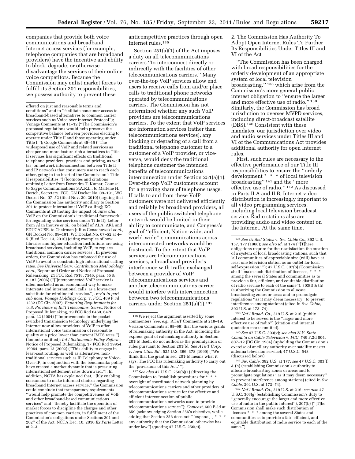companies that provide both voice communications and broadband Internet access services (for example, telephone companies that are broadband providers) have the incentive and ability to block, degrade, or otherwise disadvantage the services of their online voice competitors. Because the Commission may enlist market forces to fulfill its Section 201 responsibilities, we possess authority to prevent these

anticompetitive practices through open Internet rules.136

Section 251(a)(1) of the Act imposes a duty on all telecommunications carriers ''to interconnect directly or indirectly with the facilities of other telecommunications carriers.'' Many over-the-top VoIP services allow end users to receive calls from and/or place calls to traditional phone networks operated by telecommunications carriers. The Commission has not determined whether any such VoIP providers are telecommunications carriers. To the extent that VoIP services are information services (rather than telecommunications services), any blocking or degrading of a call from a traditional telephone customer to a customer of a VoIP provider, or viceversa, would deny the traditional telephone customer the intended benefits of telecommunications interconnection under Section 251(a)(1). Over-the-top VoIP customers account for a growing share of telephone usage. If calls to and from these VoIP customers were not delivered efficiently and reliably by broadband providers, all users of the public switched telephone network would be limited in their ability to communicate, and Congress's goal of ''efficient, Nation-wide, and world-wide'' communications across interconnected networks would be frustrated. To the extent that VoIP services are telecommunications services, a broadband provider's interference with traffic exchanged between a provider of VoIP telecommunications services and another telecommunications carrier would interfere with interconnection between two telecommunications carriers under Section 251(a)(1).137

137*See also* 47 U.S.C. 256(b)(1) (directing the Commission to ''establish procedures for  $^\star$  ' oversight of coordinated network planning by telecommunications carriers and other providers of telecommunications service for the effective and efficient interconnection of public telecommunications networks used to provide telecommunications service''); *Comcast,* 600 F.3d at 659 (acknowledging Section 256's objective, while adding that Section 256 does not "'expand[] \* any authority that the Commission' otherwise has under law'') (quoting 47 U.S.C. 256(c)).

2. The Commission Has Authority To Adopt Open Internet Rules To Further Its Responsibilities Under Titles III and VI of the Act

''The Commission has been charged with broad responsibilities for the orderly development of an appropriate system of local television broadcasting,'' 138 which arise from the Commission's more general public interest obligation to ''ensure the larger and more effective use of radio.'' 139 Similarly, the Commission has broad jurisdiction to oversee MVPD services, including direct-broadcast satellite (DBS).140 Consistent with these mandates, our jurisdiction over video and audio services under Titles III and VI of the Communications Act provides additional authority for open Internet rules.

First, such rules are necessary to the effective performance of our Title III responsibilities to ensure the ''orderly development \* \* \* of local television broadcasting'' 141 and the ''more effective use of radio."<sup>142</sup> As discussed in Parts II.A and II.B, Internet video distribution is increasingly important to all video programming services, including local television broadcast service. Radio stations also are providing audio and video content on the Internet. At the same time,

139*Nat'l Broad. Co.,* 319 U.S. at 216 (public interest to be served is the ''larger and more effective use of radio'') (citation and internal quotation marks omitted).

140*See* 47 U.S.C. 303(v); *see also N.Y. State Comm'n on Cable Television* v. *FCC,* 749 F.2d 804, 807–12 (DC Cir. 1984) (upholding the Commission's exercise of ancillary authority over satellite master antenna television service); 47 U.S.C. 548 (discussed below).

141*Sw. Cable,* 392 U.S. at 177; *see* 47 U.S.C. 303(f) & (h) (establishing Commission's authority to allocate broadcasting zones or areas and to promulgate regulations ''as it may deem necessary'' to prevent interference among stations) (cited in *Sw. Cable,* 392 U.S. at 173–74).

offered on just and reasonable terms and conditions'' and to ''facilitate consumer access to broadband-based alternatives to common carrier services such as Voice over Internet Protocol''); Vonage Comments at 11–12 (''The Commission's proposed regulations would help preserve the competitive balance between providers electing to operate under Title II and those operating under Title I.''); Google Comments at 45–46 (''The widespread use of VoIP and related services as cheaper and more feature-rich alternatives to Title II services has significant effects on traditional telephone providers' practices and pricing, as well [as] on network interconnection between Title II and IP networks that consumers use to reach each other, going to the heart of the Commission's Title II responsibilities.'') (footnotes and citations omitted); Letter from Devendra T. Kumar, Counsel to Skype Communications S.A.R.L., to Marlene H. Dortch, Secretary, FCC, GN Docket No. 09–191, WC Docket No. 07–52 (filed Nov. 30, 2010) (arguing that the Commission has authority ancillary to Section 201 to protect international VoIP calling);  $XO$ Comments at 20 (noting the impact of, *inter alia,*  VoIP on the Commission's ''traditional framework'' for regulating voice services under Title II); Letter from Alan Inouye *et al.,* on behalf of ALA, ARL and EDUCAUSE, to Chairman Julius Genachowski *et al.,*  GN Docket No. 09–191, WC Docket No. 07–52 at 4– 5 (filed Dec. 13, 2010) (citing examples of how libraries and higher education institutions are using broadband services, including VoIP, to replace traditional common carrier services). In previous orders, the Commission has embraced the use of VoIP to avoid or constrain high international calling rates. *See Universal Serv. Contribution Methodology et al.,* Report and Order and Notice of Proposed Rulemaking, 21 FCC Rcd 7518, 7546, para. 55 & n.187 (2006) (''[I]nterconnected VoIP service is often marketed as an economical way to make interstate and international calls, as a lower-cost substitute for wireline toll service.''), *rev'd in part sub nom. Vonage Holdings Corp.* v. *FCC,* 489 F.3d 1232 (DC Cir. 2007); *Reporting Requirements for U.S. Providers of Int'l Telecomms. Servs.,* Notice of Proposed Rulemaking, 19 FCC Rcd 6460, 6470, para. 22 (2004) (''Improvements in the packetswitched transmission technology underlying the Internet now allow providers of VoIP to offer international voice transmission of reasonable quality at a price lower than current IMTS rates.'') (footnote omitted); *Int'l Settlements Policy Reform,*  Notice of Proposed Rulemaking, 17 FCC Rcd 19954, 19964, para. 13 (2002) (''This ability to engage in least-cost routing, as well as alternative, nontraditional services such as IP Telephony or Voice-Over-IP, in conjunction with the benchmarks policy have created a market dynamic that is pressuring international settlement rates downward.''). In addition, NCTA has explained that, ''[b]y enabling consumers to make informed choices regarding broadband Internet access service,'' the Commission could conclude that transparency requirements ''would help promote the competitiveness of VoIP and other broadband-based communications services'' and ''thereby facilitate the operation of market forces to discipline the charges and other practices of common carriers, in fulfillment of the Commission's obligations under Sections 201 and 202'' of the Act. NCTA Dec. 10, 2010 *Ex Parte* Letter at 2–3.

<sup>136</sup>We reject the argument asserted by some commenters (*see, e.g.,* AT&T Comments at 218–19; Verizon Comments at 98–99) that the various grants of rulemaking authority in the Act, including the express grant of rulemaking authority in Section 201(b) itself, do not authorize the promulgation of rules pursuant to Section 201(b). *See AT&T Corp.*  v. *Iowa Utils. Bd.,* 525 U.S. 366, 378 (1999) (''We think that the grant in sec. 201(b) means what it says: The FCC has rulemaking authority to carry out the 'provisions of this Act.' '').

<sup>138</sup>*See United States* v. *Sw. Cable Co.,* 392 U.S. 157, 177 (1968); *see also id.* at 174 (''[T]hese obligations require for their satisfaction the creation of a system of local broadcasting stations, such that 'all communities of appreciable size (will) have at least one television station as an outlet for local self-expression.' ''); 47 U.S.C. 307(b) (Commission shall "make such distribution of licenses, \* \* among the several States and communities as to provide a fair, efficient, and equitable distribution of radio service to each of the same''), 303(f) & (h) (authorizing the Commission to allocate broadcasting zones or areas and to promulgate regulations ''as it may deem necessary'' to prevent interference among stations) (cited in *Sw. Cable,*  392 U.S. at 173–74).

<sup>142</sup>*Nat'l Broad. Co.,* 319 U.S. at 216; *see also* 47 U.S.C. 303(g) (establishing Commission's duty to ''generally encourage the larger and more effective use of radio in the public interest''), 307(b) (''[T]he Commission shall make such distribution of licenses \* \* \* among the several States and communities as to provide a fair, efficient, and equitable distribution of radio service to each of the same.'').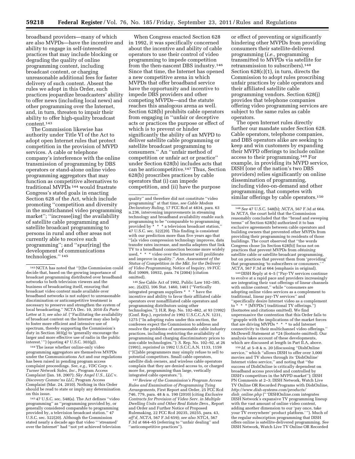broadband providers—many of which are also MVPDs—have the incentive and ability to engage in self-interested practices that may include blocking or degrading the quality of online programming content, including broadcast content, or charging unreasonable additional fees for faster delivery of such content. Absent the rules we adopt in this Order, such practices jeopardize broadcasters' ability to offer news (including local news) and other programming over the Internet, and, in turn, threaten to impair their ability to offer high-quality broadcast content.143

The Commission likewise has authority under Title VI of the Act to adopt open Internet rules that protect competition in the provision of MVPD services. A cable or telephone company's interference with the online transmission of programming by DBS operators or stand-alone online video programming aggregators that may function as competitive alternatives to traditional MVPDs 144 would frustrate Congress's stated goals in enacting Section 628 of the Act, which include promoting ''competition and diversity in the multichannel video programming market''; ''increase[ing] the availability of satellite cable programming and satellite broadcast programming to persons in rural and other areas not currently able to receive such programming''; and ''spur[ring] the development of communications technologies.'' 145

144The issue whether online-only video programming aggregators are themselves MVPDs under the Communications Act and our regulations has been raised in pending program access complaint proceedings. *See, e.g., VDC Corp.* v. *Turner Network Sales, Inc.,* Program Access Complaint (Jan. 18, 2007); *Sky Angel U.S., LLC* v. *Discovery Commc'ns LLC,* Program Access Complaint (Mar. 24, 2010). Nothing in this Order should be read to state or imply any determination on this issue.

145 47 U*.*S.C. sec. 548(a). The Act defines ''video programming'' as ''programming provided by, or generally considered comparable to programming provided by, a television broadcast station.'' 47 U.S.C. sec. 522(20). Although the Commission stated nearly a decade ago that video '' 'streamed' over the Internet'' had ''not yet achieved television

When Congress enacted Section 628 in 1992, it was specifically concerned about the incentive and ability of cable operators to use their control of video programming to impede competition from the then-nascent DBS industry.146 Since that time, the Internet has opened a new competitive arena in which MVPDs that offer broadband service have the opportunity and incentive to impede DBS providers and other competing MVPDs—and the statute reaches this analogous arena as well. Section 628(b) prohibits cable operators from engaging in ''unfair or deceptive acts or practices the purpose or effect of which is to prevent or hinder significantly the ability of an MVPD to deliver satellite cable programming or satellite broadcast programming to consumers.'' An ''unfair method of competition or unfair act or practice'' under Section 628(b) includes acts that can be anticompetitive.147 Thus, Section 628(b) proscribes practices by cable operators that (i) can impede competition, and (ii) have the purpose

146*See* Cable Act of 1992, Public Law 102–385, sec. 2(a)(5), 106 Stat. 1460, 1461 (''Vertically integrated program suppliers \* \* \* have the incentive and ability to favor their affiliated cable operators over nonaffiliated cable operators and programming distributors using other technologies.''); H.R. Rep. No. 102–862, at 93 (1992) (Conf. Rep.), *reprinted in* 1992 U.S.C.C.A.N. 1231, 1275 (''In adopting rules under this section, the conferees expect the Commission to address and resolve the problems of unreasonable cable industry practices, including restricting the availability of programming and charging discriminatory prices to non-cable technologies.''); S. Rep. No. 102–92, at 26 (1991), *reprinted in* 1992 U.S.C.C.A.N. 1133, 1159 (''[C]able programmers may simply refuse to sell to potential competitors. Small cable operators, satellite dish owners, and wireless cable operators complain that they are denied access to, or charged more for, programming than large, vertically integrated cable operators.'').

147*Review of the Commission's Program Access Rules and Examination of Programming Tying Arrangements,* First Report and Order, 25 FCC Rcd 746, 779, para. 48 & n. 190 (2010) (citing *Exclusive Contracts for Provision of Video Serv. in Multiple Dwelling Units and Other Real Estate Devs.,* Report and Order and Further Notice of Proposed Rulemaking, 22 FCC Rcd 20235, 20255, para. 43, *aff'd, NCTA,* 567 F.3d 659); *see also NTCA,* 567 F.3d at 664–65 (referring to ''unfair dealing'' and ''anticompetitive practices'').

or effect of preventing or significantly hindering other MVPDs from providing consumers their satellite-delivered programming (*i.e.,* programming transmitted to MVPDs via satellite for retransmission to subscribers).148 Section 628(c)(1), in turn, directs the Commission to adopt rules proscribing unfair practices by cable operators and their affiliated satellite cable programming vendors. Section 628(j) provides that telephone companies offering video programming services are subject to the same rules as cable operators.

The open Internet rules directly further our mandate under Section 628. Cable operators, telephone companies, and DBS operators alike are seeking to keep and win customers by expanding their MVPD offerings to include online access to their programming.149 For example, in providing its MVPD service, DISH (one of the nation's two DBS providers) relies significantly on online dissemination of programming, including video-on-demand and other programming, that competes with similar offerings by cable operators.<sup>150</sup>

149 DISH Reply at 4–5 (''Pay-TV services continue to evolve at a rapid pace and providers increasingly are integrating their vast offerings of linear channels with online content,'' while ''consumers are adopting online video services as a complement to traditional, linear pay-TV services'' and ''specifically desire Internet video as a complement \* \* \* [MVPDs'] traditional TV offerings.") (footnotes and citations omitted). We find unpersuasive the contention that this Order fails to ''grapple with the implications of the market forces that are driving MVPDs \* \* \* to add Internet connectivity to their multichannel video offerings.'' McDowell Statement at \*24 (footnote omitted). Our analysis takes account of these developments, which are discussed at length in Part II.A, above.

150 *Id.* at 5–8 & n. 20 (discussing ''DishOnline service,'' which ''allows DISH to offer over 3,000 movies and TV shows through its 'DishOnline' Internet video service,'' and noting that ''the success of DishOnline is critically dependent on broadband access provided and controlled by DISH's competitors in the MVPD market''); DISH PN Comments at 2–3; DISH Network, Watch Live TV Online OR Recorded Programs with DishOnline, *http://www.dish-systems.com/products/ dish*\_*online.php* ('' 'DISHOnline.com integrates DISH Network's expansive TV programming lineup with the vast amount of online video content, adding another dimension to our 'pay once, take your TV everywhere' product platform.' ''). Much of the regular subscription programming that DISH offers online is satellite-delivered programming. *See*  DISH Network, Watch Live TV Online OR Recorded

<sup>143</sup>NCTA has noted that ''[t]he Commission could decide that, based on the growing importance of broadcast programming distributed over broadband networks to both television viewers and the business of broadcasting itself, ensuring that broadcast video content made available over broadband networks is not subject to unreasonable discrimination or anticompetitive treatment is necessary to preserve and strengthen the system of local broadcasting.'' NCTA Dec. 10, 2010 *Ex Parte*  Letter at 3; see also id. ("Facilitating the availability of broadcast content on the Internet may also help to foster more efficient and intensive use of spectrum, thereby supporting the Commission's duty in Section 303(g) to 'generally encourage the larger and more effective use of radio in the public interest.' '') (quoting 47 U.S.C. 303(g)).

quality'' and therefore did not constitute ''video programming'' at that time, *see Cable Modem Declaratory Ruling,* 17 FCC Rcd at 4834, para. 63 n.236, intervening improvements in streaming technology and broadband availability enable such programming to be ''comparable to programming provided by \* \* \* a television broadcast station,'' 47 U.S.C. sec. 522(20). This finding is consistent with our prediction more than five years ago that ''[a]s video compression technology improves, data transfer rates increase, and media adapters that link TV to a broadband connection become more widely used, \* \* \* video over the Internet will proliferate and improve in quality.'' *Ann. Assessment of the Status of Competition in the Mkt. for the Delivery of Video Programming,* Notice of Inquiry, 19 FCC Rcd 10909, 10932, para. 74 (2004) (citation omitted).

<sup>148</sup>*See* 47 U.S.C. 548(b); *NCTA,* 567 F.3d at 664. In *NCTA,* the court held that the Commission reasonably concluded that the ''broad and sweeping terms'' of Section 628(b) authorized it to ban exclusive agreements between cable operators and building owners that prevented other MVPDs from providing their programming to residents of those buildings. The court observed that ''the words Congress chose [in Section 628(b)] focus not on practices that prevent MVPDs from *obtaining*  satellite cable or satellite broadcast programming, but on practices that prevent them from 'providing' that programming 'to subscribers or consumers.' *NCTA,* 567 F.3d at 664 (emphasis in original).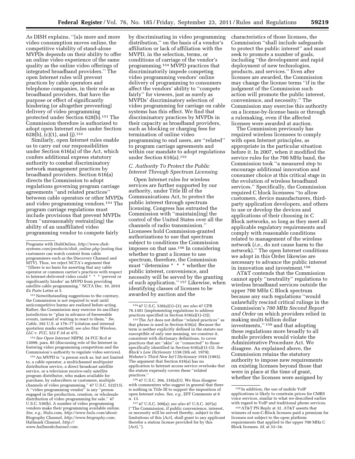As DISH explains, ''[a]s more and more video consumption moves online, the competitive viability of stand-alone MVPDs depends on their ability to offer an online video experience of the same quality as the online video offerings of integrated broadband providers.'' The open Internet rules will prevent practices by cable operators and telephone companies, in their role as broadband providers, that have the purpose or effect of significantly hindering (or altogether preventing) delivery of video programming protected under Section 628(b).151 The Commission therefore is authorized to adopt open Internet rules under Section 628(b), (c)(1), and (j).<sup>152</sup>

Similarly, open Internet rules enable us to carry out our responsibilities under Section 616(a) of the Act, which confers additional express statutory authority to combat discriminatory network management practices by broadband providers. Section 616(a) directs the Commission to adopt regulations governing program carriage agreements ''and related practices'' between cable operators or other MVPDs and video programming vendors.153 The program carriage regulations must include provisions that prevent MVPDs from ''unreasonably restrain[ing] the ability of an unaffiliated video programming vendor to compete fairly

 $^{151}\,$  Notwithstanding suggestions to the contrary, the Commission is not required to wait until anticompetitive harms are realized before acting. Rather, the Commission may exercise its ancillary jurisdiction to ''plan in advance of foreseeable events, instead of waiting to react to them.'' *Sw. Cable,* 392 U.S. at 176–77 (citation and internal quotation marks omitted); *see also Star Wireless, LLC* v. *FCC,* 522 F.3d at 475.

152*See Open Internet NRPM,* 24 FCC Rcd at 13099, para. 85 (discussing role of the Internet in fostering video programming competition and the Commission's authority to regulate video services).

153An MVPD is ''a person such as, but not limited to, a cable operator, a multichannel multipoint distribution service, a direct broadcast satellite service, or a television receive-only satellite program distributor, who makes available for purchase, by subscribers or customers, multiple channels of video programming.'' 47 U.S.C. 522(13). A ''video programming vendor'' is any ''person engaged in the production, creation, or wholesale distribution of video programming for sale.'' 47 U.S.C*.* 536(b). A number of video programming vendors make their programming available online. *See, e.g.,* Hulu.com, *http://www.hulu.com/about*; Biography Channel, *http://www.biography.com;*  Hallmark Channel, *http:// www.hallmarkchannel.com.* 

by discriminating in video programming distribution,'' on the basis of a vendor's affiliation or lack of affiliation with the MVPD, in the selection, terms, or conditions of carriage of the vendor's programming.154 MVPD practices that discriminatorily impede competing video programming vendors' online delivery of programming to consumers affect the vendors' ability to ''compete fairly'' for viewers, just as surely as MVPDs' discriminatory selection of video programming for carriage on cable systems has this effect. We find that discriminatory practices by MVPDs in their capacity as broadband providers, such as blocking or charging fees for termination of online video programming to end users, are ''related'' to program carriage agreements and within our mandate to adopt regulations under Section 616(a).155

#### *C. Authority To Protect the Public Interest Through Spectrum Licensing*

Open Internet rules for wireless services are further supported by our authority, under Title III of the Communications Act, to protect the public interest through spectrum licensing. Congress has entrusted the Commission with ''maintain[ing] the control of the United States over all the channels of radio transmission.'' Licensees hold Commission-granted authorizations to use that spectrum subject to conditions the Commission imposes on that use.156 In considering whether to grant a license to use spectrum, therefore, the Commission must ''determine \* \* \* whether the public interest, convenience, and necessity will be served by the granting of such application.'' 157 Likewise, when identifying classes of licenses to be awarded by auction and the

154 47 U.S.C. 536(a)(1)–(3); *see also* 47 CFR 76.1301 (implementing regulations to address practices specified in Section 616(a)(1)–(3)).

155The Act does not define ''related practices'' as that phrase is used in Section 616(a). Because the term is neither explicitly defined in the statute nor susceptible of only one meaning, we construe it, consistent with dictionary definitions, to cover practices that are ''akin'' or ''connected'' to those specifically identified in Section 616(a)(1)–(3). *See Black's Law Dictionary* 1158 (5th ed. 1979); *Webster's Third New Int'l Dictionary* 1916 (1993). The argument that Section 616(a) has no application to Internet access service overlooks that the statute expressly covers these ''related practices.''

156 47 U.S.C. 304, 316(a)(1). We thus disagree with commenters who suggest in general that there is nothing in Title III to support the imposition of open Internet rules. *See, e.g.,* EFF Comments at 6 n. 13.

157 47 U.S.C. 309(a); *see also* 47 U.S.C. 307(a) (''The Commission, if public convenience, interest, or necessity will be served thereby, subject to the limitations of this [Act], shall grant to any applicant therefor a station license provided for by this [Act].'').

characteristics of those licenses, the Commission ''shall include safeguards to protect the public interest'' and must seek to promote a number of goals, including ''the development and rapid deployment of new technologies, products, and services.'' Even after licenses are awarded, the Commission may change the license terms ''if in the judgment of the Commission such action will promote the public interest, convenience, and necessity.'' The Commission may exercise this authority on a license-by-license basis or through a rulemaking, even if the affected licenses were awarded at auction.

The Commission previously has required wireless licensees to comply with open Internet principles, as appropriate in the particular situation before it. In 2007, when it modified the service rules for the 700 MHz band, the Commission took ''a measured step to encourage additional innovation and consumer choice at this critical stage in the evolution of wireless broadband services.'' Specifically, the Commission required C block licensees ''to allow customers, device manufacturers, thirdparty application developers, and others to use or develop the devices and applications of their choosing in C Block networks, so long as they meet all applicable regulatory requirements and comply with reasonable conditions related to management of the wireless network (*i.e.,* do not cause harm to the network).'' The open Internet conditions we adopt in this Order likewise are necessary to advance the public interest in innovation and investment.158

AT&T contends that the Commission cannot apply ''neutrality'' regulations to wireless broadband services outside the upper 700 MHz C Block spectrum because any such regulations ''would unlawfully rescind critical rulings in the Commission's *700 MHz Second Report and Order* on which providers relied in making multi-billion dollar investments,'' 159 and that adopting these regulations more broadly to all mobile providers would violate the Administrative Procedure Act. We disagree. As explained above, the Commission retains the statutory authority to impose new requirements on existing licenses beyond those that were in place at the time of grant, whether the licenses were assigned by

Programs with DishOnline, *http://www.dishsystems.com/products/dish*\_*online.php* (noting that customers can watch content from cable programmers such as the Discovery Channel and MTV). Thus, we reject NCTA's argument that ''[t]here is no basis for asserting that any cable operator or common carrier's practices with respect to Internet-delivered video could \* \* \* 'prevent or significantly hinder' an MVPD from providing satellite cable programming.'' NCTA Dec. 10, 2010 *Ex Parte* Letter at 5.

<sup>158</sup> In addition, the use of mobile VoIP applications is likely to constrain prices for CMRS voice services, similar to what we described earlier with regard to VoIP and traditional phone services.

<sup>159</sup>AT&T PN Reply at 32. AT&T asserts that winners of non-C-Block licenses paid a premium for licenses not subject to the open platform requirements that applied to the upper 700 MHz C Block licenses. *Id.* at 33–34.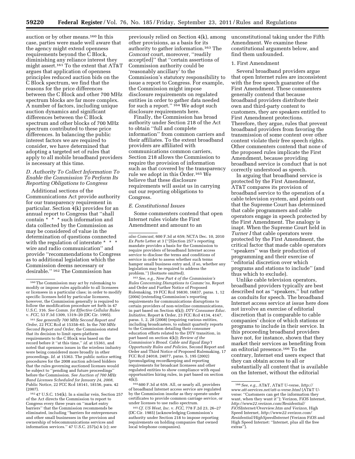auction or by other means.160 In this case, parties were made well aware that the agency might extend openness requirements beyond the C Block, diminishing any reliance interest they might assert.161 To the extent that AT&T argues that application of openness principles reduced auction bids on the C Block spectrum, we find that the reasons for the price differences between the C Block and other 700 MHz spectrum blocks are far more complex. A number of factors, including unique auction dynamics and significant differences between the C Block spectrum and other blocks of 700 MHz spectrum contributed to these price differences. In balancing the public interest factors we are required to consider, we have determined that adopting a targeted set of rules that apply to all mobile broadband providers is necessary at this time.

#### *D. Authority To Collect Information To Enable the Commission To Perform Its Reporting Obligations to Congress*

Additional sections of the Communications Act provide authority for our transparency requirement in particular. Section 4(k) provides for an annual report to Congress that ''shall contain \* \* \* such information and data collected by the Commission as may be considered of value in the determination of questions connected with the regulation of interstate \* \* wire and radio communication'' and provide ''recommendations to Congress as to additional legislation which the Commission deems necessary or desirable.'' 162 The Commission has

161*See generally 700 MHz Second Report and Order,* 22 FCC Rcd at 15358–65. In the *700 MHz Second Report and Order,* the Commission stated that its decision to limit open-platform requirements to the C Block was based on the record before it ''at this time,'' *id.* at 15361, and noted that openness issues in the wireless industry were being considered more broadly in other proceedings. *Id.* at 15363. The public notice setting procedures for the 2008 auction advised bidders that the rules governing auctioned licenses would be subject to ''pending and future proceedings'' before the Commission. *See Auction of 700 MHz Band Licenses Scheduled for January 24, 2008,*  Public Notice, 22 FCC Rcd 18141, 18156, para. 42 (2007).

162 47 U.S.C. 154(k). In a similar vein, Section 257 of the Act directs the Commission to report to Congress every three years on ''market entry barriers'' that the Commission recommends be eliminated, including ''barriers for entrepreneurs and other small businesses in the provision and ownership of telecommunications services and information services.'' 47 U.S.C. 257(a) & (c); *see* 

previously relied on Section 4(k), among other provisions, as a basis for its authority to gather information.163 The *Comcast* court, moreover, ''readily accept[ed]'' that ''certain assertions of Commission authority could be 'reasonably ancillary' to the Commission's statutory responsibility to issue a report to Congress. For example, the Commission might impose disclosure requirements on regulated entities in order to gather data needed for such a report.'' 164 We adopt such disclosure requirements here.

Finally, the Commission has broad authority under Section 218 of the Act to obtain ''full and complete information'' from common carriers and their affiliates. To the extent broadband providers are affiliated with communications common carriers, Section 218 allows the Commission to require the provision of information such as that covered by the transparency rule we adopt in this Order.165 We believe that these disclosure requirements will assist us in carrying out our reporting obligations to Congress.

#### *E. Constitutional Issues*

Some commenters contend that open Internet rules violate the First Amendment and amount to an

163*See, e.g., New Part 4 of the Commission's Rules Concerning Disruptions to Commc'ns,* Report and Order and Further Notice of Proposed Rulemaking, 19 FCC Rcd 16830, 16837, paras. 1, 12 (2004) (extending Commission's reporting requirements for communications disruptions to certain providers of non-wireline communications, in part based on Section 4(k)); *DTV Consumer Educ. Initiative,* Report & Order, 23 FCC Rcd 4134, 4147, paras.  $1, 2, 28$  (2008) (requiring various entities, including broadcasters, to submit quarterly reports to the Commission detailing their consumer education efforts related to the DTV transition, in part based on section 4(k)); *Review of the Commission's Broad. Cable and Equal Emp't Opportunity Rules and Policies,* Second Report and Order and Third Notice of Proposed Rulemaking, 17 FCC Rcd 24018, 24077, paras. 5, 195 (2002) (promulgating recordkeeping and reporting requirements for broadcast licensees and other regulated entities to show compliance with equal opportunities hiring rules, in part based on section  $4(k)$ ).

164 600 F.3d at 659. All, or nearly all, providers of broadband Internet access service are regulated by the Commission insofar as they operate under certificates to provide common carriage service, or under licenses to use radio spectrum.

165*Cf. US West, Inc.* v. *FCC,* 778 F.2d 23, 26–27 (DC Cir. 1985) (acknowledging Commission's authority under Section 218 to impose reporting requirements on holding companies that owned local telephone companies).

unconstitutional taking under the Fifth Amendment. We examine these constitutional arguments below, and find them unfounded.

#### 1. First Amendment

Several broadband providers argue that open Internet rules are inconsistent with the free speech guarantee of the First Amendment. These commenters generally contend that because broadband providers distribute their own and third-party content to customers, they are speakers entitled to First Amendment protections. Therefore, they argue, rules that prevent broadband providers from favoring the transmission of some content over other content violate their free speech rights. Other commenters contend that none of the proposed rules implicate the First Amendment, because providing broadband service is conduct that is not correctly understood as speech.

In arguing that broadband service is protected by the First Amendment, AT&T compares its provision of broadband service to the operation of a cable television system, and points out that the Supreme Court has determined that cable programmers and cable operators engage in speech protected by the First Amendment. The analogy is inapt. When the Supreme Court held in *Turner I* that cable operators were protected by the First Amendment, the critical factor that made cable operators ''speakers'' was their production of programming and their exercise of ''editorial discretion over which programs and stations to include'' (and thus which to exclude).

Unlike cable television operators, broadband providers typically are best described not as ''speakers,'' but rather as conduits for speech. The broadband Internet access service at issue here does not involve an exercise of editorial discretion that is comparable to cable companies' choice of which stations or programs to include in their service. In this proceeding broadband providers have not, for instance, shown that they market their services as benefiting from an editorial presence.166 To the contrary, Internet end users expect that they can obtain access to all or substantially all content that is available on the Internet, without the editorial

<sup>160</sup>The Commission may act by rulemaking to modify or impose rules applicable to all licensees or licensees in a particular class; in order to modify specific licenses held by particular licensees, however, the Commission generally is required to follow the modification procedure set forth in 47 U.S.C. 316. *See Comm. for Effective Cellular Rules*  v. *FCC,* 53 F.3d 1309, 1319–20 (DC Cir. 1995).

*also Comcast,* 600 F.3d at 659; NCTA Dec. 10, 2010 *Ex Parte* Letter at 3 (''[S]ection 257's reporting mandate provides a basis for the Commission to require providers of broadband Internet access service to disclose the terms and conditions of service in order to assess whether such terms hamper small business entry and, if so, whether any legislation may be required to address the problem.'') (footnote omitted).

<sup>166</sup>*See, e.g.,* AT&T, AT&T U-verse, *http:// www.att-services.net/att-u-verse.html* (AT&T Uverse: ''Customers can get the information they want, when they want it''); Verizon, FiOS Internet, *http://www22.verizon.com/Residential/ FiOSInternet/Overview.htm and Verizon,* High Speed Internet, *http://www22.verizon.com/ Residential/HighSpeedInternet* (Verizon FiOS and High Speed Internet: ''Internet, plus all the free extras'').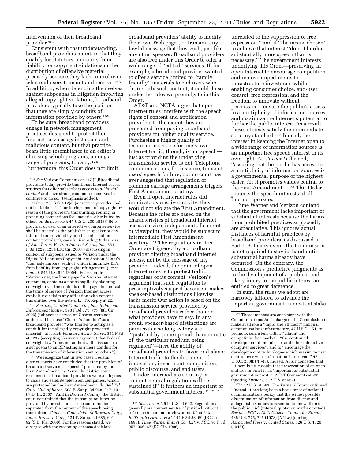intervention of their broadband provider.167

Consistent with that understanding, broadband providers maintain that they qualify for statutory immunity from liability for copyright violations or the distribution of offensive material precisely because they lack control over what end users transmit and receive.168 In addition, when defending themselves against subpoenas in litigation involving alleged copyright violations, broadband providers typically take the position that they are simply conduits of information provided by others.169

To be sure, broadband providers engage in network management practices designed to protect their Internet services against spam and malicious content, but that practice bears little resemblance to an editor's choosing which programs, among a range of programs, to carry.170 Furthermore, this Order does not limit

<sup>168</sup> *See* 17 U.S.C. 512(a) (a "service provider shall not be liable \* \* \* for infringement of copyright by reason of the provider's transmitting, routing, or providing connections for'' material distributed by others on its network);  $47 \text{ U.S.C. } 230(c)(1)$  ("[N]o] provider or user of an interactive computer service shall be treated as the publisher or speaker of any information provided by another information content provider''); *see also Recording Indus. Ass'n of Am., Inc.* v. *Verizon Internet Servs., Inc.,* 351 F.3d 1229, 1234 (DC Cir. 2003) (discussing in context of subpoena issued to Verizon under the Digital Millennium Copyright Act Section 512(a)'s ''four safe harbors, each of which immunizes ISPs from liability from copyright infringement''), *cert. denied,* 543 U.S. 924 (2004). For example ''Verizon.net, the home page for Verizon Internet customers, contains a notice explicitly claiming copyright over the contents of the page. In contrast, the terms of service of Verizon Internet access explicitly disclaim any affiliation with content transmitted over the network.'' PK Reply at 22.

169*See, e.g., Charter Commc'ns, Inc., Subpoena Enforcement Matter,* 393 F.3d 771, 777 (8th Cir. 2005) (subpoenas served on Charter were not authorized because ''Charter's function'' as a broadband provider ''was limited to acting as a conduit for the allegedly copyright protected material'' at issue); *Verizon Internet Servs.,* 351 F.3d at 1237 (accepting Verizon's argument that Federal copyright law ''does not authorize the issuance of a subpoena to an ISP acting as a mere conduit for the transmission of information sent by others'').

170We recognize that in two cases, Federal district courts have concluded that the provision of broadband service is ''speech'' protected by the First Amendment. In *Itasca,* the district court reasoned that broadband providers were analogous to cable and satellite television companies, which are protected by the First Amendment. *Ill. Bell Tel. Co.* v. *Vill. of Itasca,* 503 F. Supp. 2d 928, 947–49 (N.D. Ill. 2007). And in *Broward County,* the district court determined that the transmission function provided by broadband service could not be separated from the content of the speech being transmitted. *Comcast Cablevision of Broward Cnty., Inc.* v. *Broward Cnty.,* 124 F. Supp. 2d 685, 691– 92 (S.D. Fla. 2000). For the reasons stated, we disagree with the reasoning of those decisions.

broadband providers' ability to modify their own Web pages, or transmit any lawful message that they wish, just like any other speaker. Broadband providers are also free under this Order to offer a wide range of ''edited'' services. If, for example, a broadband provider wanted to offer a service limited to ''family friendly'' materials to end users who desire only such content, it could do so under the rules we promulgate in this Order.

AT&T and NCTA argue that open Internet rules interfere with the speech rights of content and application providers to the extent they are prevented from paying broadband providers for higher quality service. Purchasing a higher quality of termination service for one's own Internet traffic, though, is not speech just as providing the underlying transmission service is not. Telephone common carriers, for instance, transmit users' speech for hire, but no court has ever suggested that regulation of common carriage arrangements triggers First Amendment scrutiny.

Even if open Internet rules did implicate expressive activity, they would not violate the First Amendment. Because the rules are based on the characteristics of broadband Internet access service, independent of content or viewpoint, they would be subject to intermediate First Amendment scrutiny.<sup>171</sup> The regulations in this Order are triggered by a broadband provider offering broadband Internet access, not by the message of any provider. Indeed, the point of open Internet rules is to protect traffic regardless of its content. Verizon's argument that such regulation is presumptively suspect because it makes speaker-based distinctions likewise lacks merit: Our action is based on the transmission service provided by broadband providers rather than on what providers have to say. In any event, speaker-based distinctions are permissible so long as they are

'justified by some special characteristic of' the particular medium being regulated''—here the ability of broadband providers to favor or disfavor Internet traffic to the detriment of innovation, investment, competition, public discourse, and end users.

Under intermediate scrutiny, a content-neutral regulation will be sustained if ''it furthers an important or substantial government interest \* \* \*

unrelated to the suppression of free expression,'' and if ''the means chosen'' to achieve that interest ''do not burden substantially more speech than is necessary.'' The government interests underlying this Order—preserving an open Internet to encourage competition and remove impediments to infrastructure investment while enabling consumer choice, end-user control, free expression, and the freedom to innovate without permission—ensure the public's access to a multiplicity of information sources and maximize the Internet's potential to further the public interest. As a result, these interests satisfy the intermediatescrutiny standard.<sup>172</sup> Indeed, the interest in keeping the Internet open to a wide range of information sources is an important free speech interest in its own right. As *Turner I* affirmed, ''assuring that the public has access to a multiplicity of information sources is a governmental purpose of the highest order, for it promotes values central to the First Amendment.'' 173 This Order protects the speech interests of all Internet speakers.

Time Warner and Verizon contend that the government lacks important or substantial interests because the harms from prohibited practices supposedly are speculative. This ignores actual instances of harmful practices by broadband providers, as discussed in Part II.B. In any event, the Commission is not required to stay its hand until substantial harms already have occurred. On the contrary, the Commission's predictive judgments as to the development of a problem and likely injury to the public interest are entitled to great deference.

In sum, the rules we adopt are narrowly tailored to advance the important government interests at stake.

173 512 U.S. at 663. The *Turner I* Court continued: ''Indeed, it has long been a basic tenet of national communications policy that the widest possible dissemination of information from diverse and antagonistic sources is essential to the welfare of the public.'' *Id.* (internal quotation marks omitted). *See also FCC* v. *Nat'l Citizens Comm. for Broad.,*  436 U.S. 775, 795 (1978) (*NCCB*) (quoting *Associated Press* v. *United States,* 326 U.S. 1, 20 (1945)).

<sup>167</sup>*See* Verizon Comments at 117 (''[B]roadband providers today provide traditional Internet access services that offer subscribers access to *all lawful content* and have strong economic incentives to continue to do so.'') (emphasis added).

<sup>171</sup>*See Turner I,* 512 U.S. at 642. Regulations generally are content neutral if justified without reference to content or viewpoint. *Id.* at 643; *BellSouth Corp.* v. *FCC,* 144 F.3d 58, 69 (DC Cir. 1998); *Time Warner Entm't Co., L.P.* v. *FCC,* 93 F.3d 957, 966–67 (DC Cir. 1996).

 $^{\rm 172}$  These interests are consistent with the Communications Act's charge to the Commission to make available a ''rapid and efficient'' national communications infrastructure, 47 U.S.C. 151; to promote, consistent with a ''vibrant and competitive free market,'' ''the continued development of the Internet and other interactive computer services''; and to ''encourage the development of technologies which maximize user control over what information is received,'' 47 U.S.C. 230(b)(1)–(3). Indeed, AT&T concedes that ''[t]here is little doubt that preservation of an open and free Internet is an 'important or substantial government interest.' '' AT&T Comments at 237 (quoting *Turner I,* 512 U.S. at 662).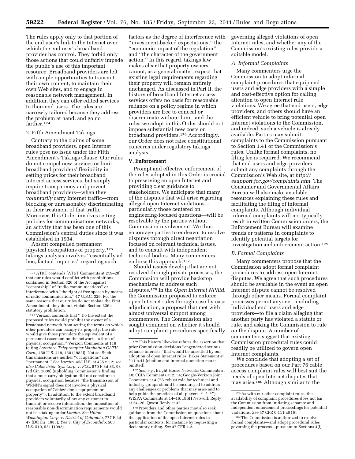The rules apply only to that portion of the end user's link to the Internet over which the end user's broadband provider has control. They forbid only those actions that could unfairly impede the public's use of this important resource. Broadband providers are left with ample opportunities to transmit their own content, to maintain their own Web sites, and to engage in reasonable network management. In addition, they can offer edited services to their end users. The rules are narrowly tailored because they address the problem at hand, and go no farther.<sup>174</sup>

#### 2. Fifth Amendment Takings

Contrary to the claims of some broadband providers, open Internet rules pose no issue under the Fifth Amendment's Takings Clause. Our rules do not compel new services or limit broadband providers' flexibility in setting prices for their broadband Internet access services, but simply require transparency and prevent broadband providers—when they *voluntarily* carry Internet traffic—from blocking or unreasonably discriminating in their treatment of that traffic. Moreover, this Order involves setting policies for communications networks, an activity that has been one of this Commission's central duties since it was established in 1934.

Absent compelled permanent physical occupations of property,175 takings analysis involves ''essentially ad hoc, factual inquiries'' regarding such

175 Verizon contends that ''[t]o the extent the proposed rules would prohibit the owner of a broadband network from setting the terms on which other providers can occupy its property, the rule would give those providers the equivalent of a permanent easement on the network—a form of physical occupation.'' Verizon Comments at 119 (citing *Loretto* v. *Teleprompter Manhattan CATV Corp.,* 458 U.S. 419, 430 (1982)). Not so. Such transmissions are neither ''occupations'' nor ''permanent.'' *See Loretto,* 458 U.S. at 435 n.12; *see also Cablevision Sys. Corp.* v. *FCC,* 570 F.3d 83, 98 (2d Cir. 2009) (upholding Commission's finding that a must-carry obligation did not constitute a physical occupation because ''the transmission of WRNN's signal does not involve a physical occupation of Cablevision's equipment or property''). In addition, to the extent broadband providers voluntarily allow any customer to transmit or receive information, the imposition of reasonable non-discrimination requirements would not be a taking under *Loretto. See Hilton Washington Corp.* v. *District of Columbia,* 777 F.2d 47 (DC Cir. 1985); *Yee* v. *City of Escondido,* 503 U.S. 519, 531 (1992).

factors as the degree of interference with ''investment-backed expectations,'' the ''economic impact of the regulation'' and ''the character of the government action.'' In this regard, takings law makes clear that property owners cannot, as a general matter, expect that existing legal requirements regarding their property will remain entirely unchanged. As discussed in Part II, the history of broadband Internet access services offers no basis for reasonable reliance on a policy regime in which providers are free to conceal or discriminate without limit, and the rules we adopt in this Order should not impose substantial new costs on broadband providers.176 Accordingly, our Order does not raise constitutional concerns under regulatory takings analysis.

#### **V. Enforcement**

Prompt and effective enforcement of the rules adopted in this Order is crucial to preserving an open Internet and providing clear guidance to stakeholders. We anticipate that many of the disputes that will arise regarding alleged open Internet violations particularly those centered on engineering-focused questions—will be resolvable by the parties without Commission involvement. We thus encourage parties to endeavor to resolve disputes through direct negotiation focused on relevant technical issues, and to consult with independent technical bodies. Many commenters endorse this approach.<sup>177</sup>

Should issues develop that are not resolved through private processes, the Commission will provide backstop mechanisms to address such disputes.178 In the *Open Internet NPRM,*  the Commission proposed to enforce open Internet rules through case-by-case adjudication, a proposal that met with almost universal support among commenters. The Commission also sought comment on whether it should adopt complaint procedures specifically

177*See, e.g.,* Bright House Networks Comments at 10; CCIA Comments at 2, 34; Google-Verizon Joint Comments at 4 (''A robust role for technical and industry groups should be encouraged to address any challenges or problems that may arise and to help guide the practices of all players. \* \* \*''); WISPA Comments at 14–16; DISH Network Reply at 24–26; Qwest Reply at 32.

<sup>178</sup> Providers and other parties may also seek guidance from the Commission on questions about the application of the open Internet rules in particular contexts, for instance by requesting a declaratory ruling. *See* 47 CFR 1.2.

governing alleged violations of open Internet rules, and whether any of the Commission's existing rules provide a suitable model.

#### *A. Informal Complaints*

Many commenters urge the Commission to adopt informal complaint procedures that equip end users and edge providers with a simple and cost-effective option for calling attention to open Internet rule violations. We agree that end users, edge providers, and others should have an efficient vehicle to bring potential open Internet violations to the Commission, and indeed, such a vehicle is already available. Parties may submit complaints to the Commission pursuant to Section 1.41 of the Commission's rules. Unlike formal complaints, no filing fee is required. We recommend that end users and edge providers submit any complaints through the Commission's Web site, at *http:// esupport.fcc.gov/complaints.htm.* The Consumer and Governmental Affairs Bureau will also make available resources explaining these rules and facilitating the filing of informal complaints. Although individual informal complaints will not typically result in written Commission orders, the Enforcement Bureau will examine trends or patterns in complaints to identify potential targets for investigation and enforcement action.179

#### *B. Formal Complaints*

Many commenters propose that the Commission adopt formal complaint procedures to address open Internet disputes. We agree that such procedures should be available in the event an open Internet dispute cannot be resolved through other means. Formal complaint processes permit anyone—including individual end users and edge providers—to file a claim alleging that another party has violated a statute or rule, and asking the Commission to rule on the dispute. A number of commenters suggest that existing Commission procedural rules could readily be utilized to govern open Internet complaints.

We conclude that adopting a set of procedures based on our Part 76 cable access complaint rules will best suit the needs of open Internet disputes that may arise.180 Although similar to the

<sup>174</sup>AT&T contends (AT&T Comments at 219–20) that our rules would conflict with prohibitions contained in Section 326 of the Act against ''censorship'' of ''radio communications'' or interference with ''the right of free speech by means of radio communication.'' 47 U.S.C. 326. For the same reasons that our rules do not violate the First Amendment, they do not violate Section 326's statutory prohibition.

<sup>176</sup>This history likewise refutes the assertion that prior Commission decisions ''engendered serious reliance interests'' that would be unsettled by our adoption of open Internet rules. Baker Statement at \*11 n.41 (citation and internal quotation marks omitted).

<sup>179</sup>As with our other complaint rules, the availability of complaint procedures does not bar the Commission from initiating separate and independent enforcement proceedings for potential violations. *See* 47 CFR 0.111(a)(16).

<sup>180</sup>The Commission is authorized to resolve formal complaints—and adopt procedural rules governing the process—pursuant to Sections 4(i)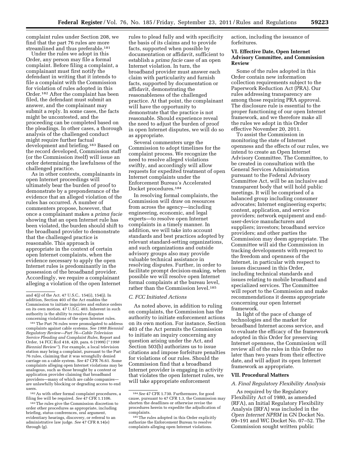complaint rules under Section 208, we find that the part 76 rules are more streamlined and thus preferable.181

Under the rules we adopt in this Order, any person may file a formal complaint. Before filing a complaint, a complainant must first notify the defendant in writing that it intends to file a complaint with the Commission for violation of rules adopted in this Order.182 After the complaint has been filed, the defendant must submit an answer, and the complainant may submit a reply. In some cases, the facts might be uncontested, and the proceeding can be completed based on the pleadings. In other cases, a thorough analysis of the challenged conduct might require further factual development and briefing.183 Based on the record developed, Commission staff (or the Commission itself) will issue an order determining the lawfulness of the challenged practice.

As in other contexts, complainants in open Internet proceedings will ultimately bear the burden of proof to demonstrate by a preponderance of the evidence that an alleged violation of the rules has occurred. A number of commenters propose, however, that once a complainant makes a *prima facie*  showing that an open Internet rule has been violated, the burden should shift to the broadband provider to demonstrate that the challenged practice is reasonable. This approach is appropriate in the context of certain open Internet complaints, when the evidence necessary to apply the open Internet rules is predominantly in the possession of the broadband provider. Accordingly, we require a complainant alleging a violation of the open Internet

rules to plead fully and with specificity the basis of its claims and to provide facts, supported when possible by documentation or affidavit, sufficient to establish a *prima facie* case of an open Internet violation. In turn, the broadband provider must answer each claim with particularity and furnish facts, supported by documentation or affidavit, demonstrating the reasonableness of the challenged practice. At that point, the complainant will have the opportunity to demonstrate that the practice is not reasonable. Should experience reveal the need to adjust the burden of proof in open Internet disputes, we will do so as appropriate.

Several commenters urge the Commission to adopt timelines for the complaint process. We recognize the need to resolve alleged violations swiftly, and accordingly will allow requests for expedited treatment of open Internet complaints under the Enforcement Bureau's Accelerated Docket procedures.184

In resolving formal complaints, the Commission will draw on resources from across the agency—including engineering, economic, and legal experts—to resolve open Internet complaints in a timely manner. In addition, we will take into account standards and best practices adopted by relevant standard-setting organizations, and such organizations and outside advisory groups also may provide valuable technical assistance in resolving disputes. Further, in order to facilitate prompt decision-making, when possible we will resolve open Internet formal complaints at the bureau level, rather than the Commission level.185

#### *C. FCC Initiated Actions*

As noted above, in addition to ruling on complaints, the Commission has the authority to initiate enforcement actions on its own motion. For instance, Section 403 of the Act permits the Commission to initiate an inquiry concerning any question arising under the Act, and Section 503(b) authorizes us to issue citations and impose forfeiture penalties for violations of our rules. Should the Commission find that a broadband Internet provider is engaging in activity that violates the open Internet rules, we will take appropriate enforcement

action, including the issuance of forfeitures.

#### **VI. Effective Date, Open Internet Advisory Committee, and Commission Review**

Some of the rules adopted in this Order contain new information collection requirements subject to the Paperwork Reduction Act (PRA). Our rules addressing transparency are among those requiring PRA approval. The disclosure rule is essential to the proper functioning of our open Internet framework, and we therefore make all the rules we adopt in this Order effective November 20, 2011.

To assist the Commission in monitoring the state of Internet openness and the effects of our rules, we intend to create an Open Internet Advisory Committee. The Committee, to be created in consultation with the General Services Administration pursuant to the Federal Advisory Committee Act, will be an inclusive and transparent body that will hold public meetings. It will be comprised of a balanced group including consumer advocates; Internet engineering experts; content, application, and service providers; network equipment and enduser-device manufacturers and suppliers; investors; broadband service providers; and other parties the Commission may deem appropriate. The Committee will aid the Commission in tracking developments with respect to the freedom and openness of the Internet, in particular with respect to issues discussed in this Order, including technical standards and issues relating to mobile broadband and specialized services. The Committee will report to the Commission and make recommendations it deems appropriate concerning our open Internet framework.

In light of the pace of change of technologies and the market for broadband Internet access service, and to evaluate the efficacy of the framework adopted in this Order for preserving Internet openness, the Commission will review all of the rules in this Order no later than two years from their effective date, and will adjust its open Internet framework as appropriate.

#### **VII. Procedural Matters**

#### *A. Final Regulatory Flexibility Analysis*

As required by the Regulatory Flexibility Act of 1980, as amended (RFA), an Initial Regulatory Flexibility Analysis (IRFA) was included in the *Open Internet NPRM* in GN Docket No. 09–191 and WC Docket No. 07–52. The Commission sought written public

and 4(j) of the Act. 47 U.S.C.. 154(i), 154(j). In addition, Section 403 of the Act enables the Commission to initiate inquiries and enforce orders on its own motion. 47 U.S.C. 403. Inherent in such authority is the ability to resolve disputes concerning violations of the open Internet rules.

<sup>181</sup>The Part 76 rules were promulgated to address complaints against cable systems. *See 1998 Biennial Regulatory Review—Part 76—Cable Television Service Pleading and Complaint Rules,* Report and Order, 14 FCC Rcd 418, 420, para. 6 (1999) (''*1998 Biennial Review''*). For example, a local television station may bring a complaint, pursuant to the Part 76 rules, claiming that it was wrongfully denied carriage on a cable system. *See* 47 CFR 76.61. Some complaints alleging open Internet violations may be analogous, such as those brought by a content or application provider claiming that broadband providers—many of which are cable companies are unlawfully blocking or degrading access to end users.

<sup>182</sup>As with other formal complaint procedures, a filing fee will be required. *See* 47 CFR 1.1106.

<sup>183</sup>The rules give the Commission discretion to order other procedures as appropriate, including briefing, status conferences, oral argument, evidentiary hearings, discovery, or referral to an administrative law judge. *See* 47 CFR 8.14(e) through (g).

<sup>184</sup>*See* 47 CFR 1.730. Furthermore, for good cause, pursuant to 47 CFR 1.3, the Commission may shorten the deadlines or otherwise revise the procedures herein to expedite the adjudication of complaints.

<sup>185</sup> The rules adopted in this Order explicitly authorize the Enforcement Bureau to resolve complaints alleging open Internet violations.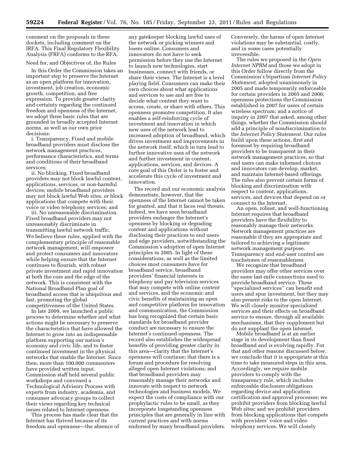comment on the proposals in these dockets, including comment on the IRFA. This Final Regulatory Flexibility Analysis (FRFA) conforms to the RFA.

#### Need for, and Objectives of, the Rules

In this Order the Commission takes an important step to preserve the Internet as an open platform for innovation, investment, job creation, economic growth, competition, and free expression. To provide greater clarity and certainty regarding the continued freedom and openness of the Internet, we adopt three basic rules that are grounded in broadly accepted Internet norms, as well as our own prior decisions:

i. Transparency. Fixed and mobile broadband providers must disclose the network management practices, performance characteristics, and terms and conditions of their broadband services;

ii. No blocking. Fixed broadband providers may not block lawful content, applications, services, or non-harmful devices; mobile broadband providers may not block lawful Web sites, or block applications that compete with their voice or video telephony services; and

iii. No unreasonable discrimination. Fixed broadband providers may not unreasonably discriminate in transmitting lawful network traffic. We believe these rules, applied with the complementary principle of reasonable network management, will empower and protect consumers and innovators while helping ensure that the Internet continues to flourish, with robust private investment and rapid innovation at both the core and the edge of the network. This is consistent with the National Broadband Plan goal of broadband access that is ubiquitous and fast, promoting the global competitiveness of the United States.

In late 2009, we launched a public process to determine whether and what actions might be necessary to preserve the characteristics that have allowed the Internet to grow into an indispensable platform supporting our nation's economy and civic life, and to foster continued investment in the physical networks that enable the Internet. Since then, more than 100,000 commenters have provided written input. Commission staff held several public workshops and convened a Technological Advisory Process with experts from industry, academia, and consumer advocacy groups to collect their views regarding key technical issues related to Internet openness.

This process has made clear that the Internet has thrived because of its freedom and openness—the absence of

any gatekeeper blocking lawful uses of the network or picking winners and losers online. Consumers and innovators do not have to seek permission before they use the Internet to launch new technologies, start businesses, connect with friends, or share their views. The Internet is a level playing field. Consumers can make their own choices about what applications and services to use and are free to decide what content they want to access, create, or share with others. This openness promotes competition. It also enables a self-reinforcing cycle of investment and innovation in which new uses of the network lead to increased adoption of broadband, which drives investment and improvements in the network itself, which in turn lead to further innovative uses of the network and further investment in content, applications, services, and devices. A core goal of this Order is to foster and accelerate this cycle of investment and innovation.

The record and our economic analysis demonstrate, however, that the openness of the Internet cannot be taken for granted, and that it faces real threats. Indeed, we have seen broadband providers endanger the Internet's openness by blocking or degrading content and applications without disclosing their practices to end users and edge providers, notwithstanding the Commission's adoption of open Internet principles in 2005. In light of these considerations, as well as the limited choices most consumers have for broadband service, broadband providers' financial interests in telephony and pay television services that may compete with online content and services, and the economic and civic benefits of maintaining an open and competitive platform for innovation and communication, the Commission has long recognized that certain basic standards for broadband provider conduct are necessary to ensure the Internet's continued openness. The record also establishes the widespread benefits of providing greater clarity in this area—clarity that the Internet's openness will continue; that there is a forum and procedure for resolving alleged open Internet violations; and that broadband providers may reasonably manage their networks and innovate with respect to network technologies and business models. We expect the costs of compliance with our prophylactic rules to be small, as they incorporate longstanding openness principles that are generally in line with current practices and with norms endorsed by many broadband providers.

Conversely, the harms of open Internet violations may be substantial, costly, and in some cases potentially irreversible.

The rules we proposed in the *Open Internet NPRM* and those we adopt in this Order follow directly from the Commission's bipartisan *Internet Policy Statement,* adopted unanimously in 2005 and made temporarily enforceable for certain providers in 2005 and 2006; openness protections the Commission established in 2007 for users of certain wireless spectrum; and a notice of inquiry in 2007 that asked, among other things, whether the Commission should add a principle of nondiscrimination to the *Internet Policy Statement.* Our rules build upon these actions, first and foremost by requiring broadband providers to be transparent in their network management practices, so that end users can make informed choices and innovators can develop, market, and maintain Internet-based offerings. The rules also prevent certain forms of blocking and discrimination with respect to content, applications, services, and devices that depend on or connect to the Internet.

An open, robust, and well-functioning Internet requires that broadband providers have the flexibility to reasonably manage their networks. Network management practices are reasonable if they are appropriate and tailored to achieving a legitimate network management purpose. Transparency and end-user control are touchstones of reasonableness.

We recognize that broadband providers may offer other services over the same last-mile connections used to provide broadband service. These ''specialized services'' can benefit end users and spur investment, but they may also present risks to the open Internet. We will closely monitor specialized services and their effects on broadband service to ensure, through all available mechanisms, that they supplement but do not supplant the open Internet.

Mobile broadband is at an earlier stage in its development than fixed broadband and is evolving rapidly. For that and other reasons discussed below, we conclude that it is appropriate at this time to take measured steps in this area. Accordingly, we require mobile providers to comply with the transparency rule, which includes enforceable disclosure obligations regarding device and application certification and approval processes; we prohibit providers from blocking lawful Web sites; and we prohibit providers from blocking applications that compete with providers' voice and video telephony services. We will closely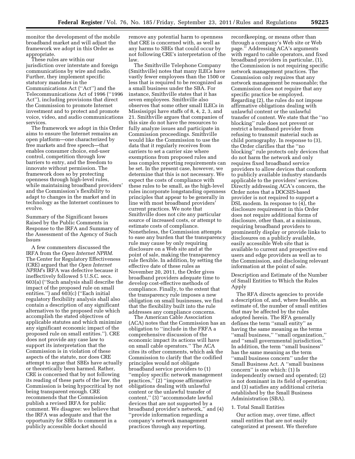monitor the development of the mobile broadband market and will adjust the framework we adopt in this Order as appropriate.

These rules are within our jurisdiction over interstate and foreign communications by wire and radio. Further, they implement specific statutory mandates in the Communications Act (''Act'') and the Telecommunications Act of 1996 (''1996 Act''), including provisions that direct the Commission to promote Internet investment and to protect and promote voice, video, and audio communications services.

The framework we adopt in this Order aims to ensure the Internet remains an open platform—one characterized by free markets and free speech—that enables consumer choice, end-user control, competition through low barriers to entry, and the freedom to innovate without permission. The framework does so by protecting openness through high-level rules, while maintaining broadband providers' and the Commission's flexibility to adapt to changes in the market and in technology as the Internet continues to evolve.

Summary of the Significant Issues Raised by the Public Comments in Response to the IRFA and Summary of the Assessment of the Agency of Such Issues

A few commenters discussed the IRFA from the *Open Internet NPRM.*  The Center for Regulatory Effectiveness (CRE) argued that the *Open Internet NPRM'*s IRFA was defective because it ineffectively followed 5 U.S.C. secs. 603(a) (''Such analysis shall describe the impact of the proposed rule on small entities.'') and 603(c) (''Each initial regulatory flexibility analysis shall also contain a description of any significant alternatives to the proposed rule which accomplish the stated objectives of applicable statutes and which minimize any significant economic impact of the proposed rule on small entities.''). CRE does not provide any case law to support its interpretation that the Commission is in violation of these aspects of the statute, nor does CRE attempt to argue that SBEs have actually or theoretically been harmed. Rather, CRE is concerned that by not following its reading of these parts of the law, the Commission is being hypocritical by not being transparent enough. CRE recommends that the Commission publish a revised IRFA for public comment. We disagree: we believe that the IRFA was adequate and that the opportunity for SBEs to comment in a publicly accessible docket should

remove any potential harm to openness that CRE is concerned with, as well as any harms to SBEs that could occur by not following CRE's interpretation of the law.

The Smithville Telephone Company (Smithville) notes that many ILECs have vastly fewer employees than the 1500 or less that is required to be recognized as a small business under the SBA. For instance, Smithville states that it has seven employees. Smithville also observes that some other small ILECs in Mississippi have staffs of 8, 4, 2, 3, and 21. Smithville argues that companies of this size do not have the resources to fully analyze issues and participate in Commission proceedings. Smithville would like the Commission to use the data that it regularly receives from carriers to set a carrier size where exemptions from proposed rules and less complex reporting requirements can be set. In the present case, however, we determine that this is not necessary. We expect the costs of compliance with these rules to be small, as the high-level rules incorporate longstanding openness principles that appear to be generally in line with most broadband providers' current practices. We note that Smithville does not cite any particular source of increased costs, or attempt to estimate costs of compliance. Nonetheless, the Commission attempts to ease any burden that the transparency rule may cause by only requiring disclosure on a Web site and at the point of sale, making the transparency rule flexible. In addition, by setting the effective date of these rules as November 20, 2011, the Order gives broadband providers adequate time to develop cost-effective methods of compliance. Finally, to the extent that the transparency rule imposes a new obligation on small businesses, we find that the flexibility built into the rule addresses any compliance concerns.

The American Cable Association (ACA) notes that the Commission has an obligation to ''include in the FRFA a comprehensive discussion of the economic impact its actions will have on small cable operators.'' The ACA cites its other comments, which ask the Commission to clarify that the codified principles would not obligate broadband service providers to (1) ''employ specific network management practices,'' (2) ''impose affirmative obligations dealing with unlawful content or the unlawful transfer of content,'' (3) ''accommodate lawful devices that are not supported by a broadband provider's network,'' and (4) ''provide information regarding a company's network management practices through any reporting,

recordkeeping, or means other than through a company's Web site or Web page.'' Addressing ACA's arguments with regard to cable operators, and fixed broadband providers in particular, (1), the Commission is not requiring specific network management practices. The Commission only requires that any network management be reasonable; the Commission does not require that any specific practice be employed. Regarding (2), the rules do not impose affirmative obligations dealing with unlawful content or the unlawful transfer of content. We state that the ''no blocking'' rule does not prevent or restrict a broadband provider from refusing to transmit material such as child pornography. In response to (3), the Order clarifies that the ''no blocking'' rule protects only devices that do not harm the network and only requires fixed broadband service providers to allow devices that conform to publicly available industry standards applicable to the providers' services. Directly addressing ACA's concern, the Order notes that a DOCSIS-based provider is not required to support a DSL modem. In response to (4), the disclosure requirement in this Order does not require additional forms of disclosure, other than, at a minimum, requiring broadband providers to prominently display or provide links to disclosures on a publicly available, easily accessible Web site that is available to current and prospective end users and edge providers as well as to the Commission, and disclosing relevant information at the point of sale.

Description and Estimate of the Number of Small Entities to Which the Rules Apply

The RFA directs agencies to provide a description of, and, where feasible, an estimate of, the number of small entities that may be affected by the rules adopted herein. The RFA generally defines the term ''small entity'' as having the same meaning as the terms ''small business,'' ''small organization,'' and ''small governmental jurisdiction.'' In addition, the term ''small business'' has the same meaning as the term ''small business concern'' under the Small Business Act. A ''small business concern'' is one which: (1) Is independently owned and operated; (2) is not dominant in its field of operation; and (3) satisfies any additional criteria established by the Small Business Administration (SBA).

#### 1. Total Small Entities

Our action may, over time, affect small entities that are not easily categorized at present. We therefore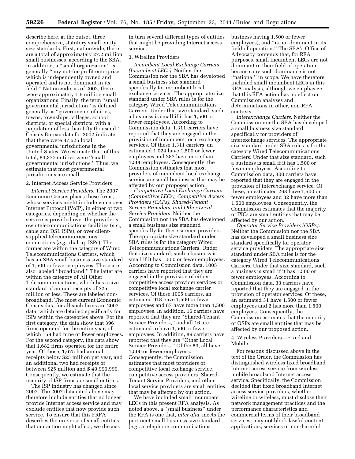describe here, at the outset, three comprehensive, statutory small entity size standards. First, nationwide, there are a total of approximately 27.2 million small businesses, according to the SBA. In addition, a ''small organization'' is generally ''any not-for-profit enterprise which is independently owned and operated and is not dominant in its field.'' Nationwide, as of 2002, there were approximately 1.6 million small organizations. Finally, the term ''small governmental jurisdiction'' is defined generally as ''governments of cities, towns, townships, villages, school districts, or special districts, with a population of less than fifty thousand.'' Census Bureau data for 2002 indicate that there were 87,525 local governmental jurisdictions in the United States. We estimate that, of this total, 84,377 entities were ''small governmental jurisdictions.'' Thus, we estimate that most governmental jurisdictions are small.

#### 2. Internet Access Service Providers

*Internet Service Providers.* The 2007 Economic Census places these firms, whose services might include voice over Internet Protocol (VoIP), in either of two categories, depending on whether the service is provided over the provider's own telecommunications facilities (*e.g.,*  cable and DSL ISPs), or over clientsupplied telecommunications connections (*e.g.,* dial-up ISPs). The former are within the category of Wired Telecommunications Carriers, which has an SBA small business size standard of 1,500 or fewer employees. These are also labeled ''broadband.'' The latter are within the category of All Other Telecommunications, which has a size standard of annual receipts of \$25 million or less. These are labeled nonbroadband. The most current Economic Census data for all such firms are 2007 data, which are detailed specifically for ISPs within the categories above. For the first category, the data show that 396 firms operated for the entire year, of which 159 had nine or fewer employees. For the second category, the data show that 1,682 firms operated for the entire year. Of those, 1,675 had annual receipts below \$25 million per year, and an additional two had receipts of between \$25 million and \$ 49,999,999. Consequently, we estimate that the majority of ISP firms are small entities.

The ISP industry has changed since 2007. The 2007 data cited above may therefore include entities that no longer provide Internet access service and may exclude entities that now provide such service. To ensure that this FRFA describes the universe of small entities that our action might affect, we discuss

in turn several different types of entities that might be providing Internet access service.

#### 3. Wireline Providers

*Incumbent Local Exchange Carriers (Incumbent LECs).* Neither the Commission nor the SBA has developed a small business size standard specifically for incumbent local exchange services. The appropriate size standard under SBA rules is for the category Wired Telecommunications Carriers. Under that size standard, such a business is small if it has 1,500 or fewer employees. According to Commission data, 1,311 carriers have reported that they are engaged in the provision of incumbent local exchange services. Of these 1,311 carriers, an estimated 1,024 have 1,500 or fewer employees and 287 have more than 1,500 employees. Consequently, the Commission estimates that most providers of incumbent local exchange service are small businesses that may be affected by our proposed action.

*Competitive Local Exchange Carriers (Competitive LECs), Competitive Access Providers (CAPs), Shared-Tenant Service Providers, and Other Local Service Providers.* Neither the Commission nor the SBA has developed a small business size standard specifically for these service providers. The appropriate size standard under SBA rules is for the category Wired Telecommunications Carriers. Under that size standard, such a business is small if it has 1,500 or fewer employees. According to Commission data, 1005 carriers have reported that they are engaged in the provision of either competitive access provider services or competitive local exchange carrier services. Of these 1005 carriers, an estimated 918 have 1,500 or fewer employees and 87 have more than 1,500 employees. In addition, 16 carriers have reported that they are ''Shared-Tenant Service Providers,'' and all 16 are estimated to have 1,500 or fewer employees. In addition, 89 carriers have reported that they are ''Other Local Service Providers.'' Of the 89, all have 1,500 or fewer employees. Consequently, the Commission estimates that most providers of competitive local exchange service, competitive access providers, Shared-Tenant Service Providers, and other local service providers are small entities that may be affected by our action.

We have included small incumbent LECs in this present RFA analysis. As noted above, a ''small business'' under the RFA is one that*, inter alia,* meets the pertinent small business size standard (*e.g.,* a telephone communications

business having 1,500 or fewer employees), and ''is not dominant in its field of operation.'' The SBA's Office of Advocacy contends that, for RFA purposes, small incumbent LECs are not dominant in their field of operation because any such dominance is not ''national'' in scope. We have therefore included small incumbent LECs in this RFA analysis, although we emphasize that this RFA action has no effect on Commission analyses and determinations in other, non-RFA contexts.

*Interexchange Carriers.* Neither the Commission nor the SBA has developed a small business size standard specifically for providers of interexchange services. The appropriate size standard under SBA rules is for the category Wired Telecommunications Carriers. Under that size standard, such a business is small if it has 1,500 or fewer employees. According to Commission data, 300 carriers have reported that they are engaged in the provision of interexchange service. Of these, an estimated 268 have 1,500 or fewer employees and 32 have more than 1,500 employees. Consequently, the Commission estimates that the majority of IXCs are small entities that may be affected by our action.

*Operator Service Providers (OSPs).*  Neither the Commission nor the SBA has developed a small business size standard specifically for operator service providers. The appropriate size standard under SBA rules is for the category Wired Telecommunications Carriers. Under that size standard, such a business is small if it has 1,500 or fewer employees. According to Commission data, 33 carriers have reported that they are engaged in the provision of operator services. Of these, an estimated 31 have 1,500 or fewer employees and 2 has more than 1,500 employees. Consequently, the Commission estimates that the majority of OSPs are small entities that may be affected by our proposed action.

#### 4. Wireless Providers—Fixed and Mobile

For reasons discussed above in the text of the Order, the Commission has distinguished wireless fixed broadband Internet access service from wireless mobile broadband Internet access service. Specifically, the Commission decided that fixed broadband Internet access service providers, whether wireline or wireless, must disclose their network management practices and the performance characteristics and commercial terms of their broadband services; may not block lawful content, applications, services or non-harmful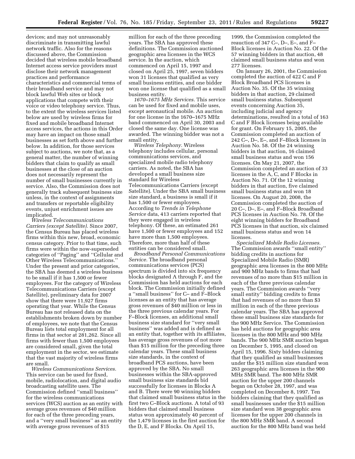devices; and may not unreasonably discriminate in transmitting lawful network traffic. Also for the reasons discussed above, the Commission decided that wireless mobile broadband Internet access service providers must disclose their network management practices and performance characteristics and commercial terms of their broadband service and may not block lawful Web sites or block applications that compete with their voice or video telephony service. Thus, to the extent the wireless services listed below are used by wireless firms for fixed and mobile broadband Internet access services, the actions in this Order may have an impact on those small businesses as set forth above and further below. In addition, for those services subject to auctions, we note that, as a general matter, the number of winning bidders that claim to qualify as small businesses at the close of an auction does not necessarily represent the number of small businesses currently in service. Also, the Commission does not generally track subsequent business size unless, in the context of assignments and transfers or reportable eligibility events, unjust enrichment issues are implicated.

*Wireless Telecommunications Carriers (except Satellite).* Since 2007, the Census Bureau has placed wireless firms within this new, broad, economic census category. Prior to that time, such firms were within the now-superseded categories of ''Paging'' and ''Cellular and Other Wireless Telecommunications.'' Under the present and prior categories, the SBA has deemed a wireless business to be small if it has 1,500 or fewer employees. For the category of Wireless Telecommunications Carriers (except Satellite), preliminary data for 2007 show that there were 11,927 firms operating that year. While the Census Bureau has not released data on the establishments broken down by number of employees, we note that the Census Bureau lists total employment for all firms in that sector at 281,262. Since all firms with fewer than 1,500 employees are considered small, given the total employment in the sector, we estimate that the vast majority of wireless firms are small.

*Wireless Communications Services.*  This service can be used for fixed, mobile, radiolocation, and digital audio broadcasting satellite uses. The Commission defined ''small business'' for the wireless communications services (WCS) auction as an entity with average gross revenues of \$40 million for each of the three preceding years, and a ''very small business'' as an entity with average gross revenues of \$15

million for each of the three preceding years. The SBA has approved these definitions. The Commission auctioned geographic area licenses in the WCS service. In the auction, which commenced on April 15, 1997 and closed on April 25, 1997, seven bidders won 31 licenses that qualified as very small business entities, and one bidder won one license that qualified as a small business entity.

*1670–1675 MHz Services.* This service can be used for fixed and mobile uses, except aeronautical mobile. An auction for one license in the 1670–1675 MHz band commenced on April 30, 2003 and closed the same day. One license was awarded. The winning bidder was not a small entity.

*Wireless Telephony.* Wireless telephony includes cellular, personal communications services, and specialized mobile radio telephony carriers. As noted, the SBA has developed a small business size standard for Wireless Telecommunications Carriers (except Satellite). Under the SBA small business size standard, a business is small if it has 1,500 or fewer employees. According to *Trends in Telephone Service* data, 413 carriers reported that they were engaged in wireless telephony. Of these, an estimated 261 have 1,500 or fewer employees and 152 have more than 1,500 employees. Therefore, more than half of these entities can be considered small.

*Broadband Personal Communications Service.* The broadband personal communications services (PCS) spectrum is divided into six frequency blocks designated A through F, and the Commission has held auctions for each block. The Commission initially defined a ''small business'' for C– and F–Block licenses as an entity that has average gross revenues of \$40 million or less in the three previous calendar years. For F–Block licenses, an additional small business size standard for ''very small business'' was added and is defined as an entity that, together with its affiliates, has average gross revenues of not more than \$15 million for the preceding three calendar years. These small business size standards, in the context of broadband PCS auctions, have been approved by the SBA. No small businesses within the SBA-approved small business size standards bid successfully for licenses in Blocks A and B. There were 90 winning bidders that claimed small business status in the first two C–Block auctions. A total of 93 bidders that claimed small business status won approximately 40 percent of the 1,479 licenses in the first auction for the D, E, and F Blocks. On April 15,

1999, the Commission completed the reauction of 347 C–, D–, E–, and F– Block licenses in Auction No. 22. Of the 57 winning bidders in that auction, 48 claimed small business status and won 277 licenses.

On January 26, 2001, the Commission completed the auction of 422 C and F Block Broadband PCS licenses in Auction No. 35. Of the 35 winning bidders in that auction, 29 claimed small business status. Subsequent events concerning Auction 35, including judicial and agency determinations, resulted in a total of 163 C and F Block licenses being available for grant. On February 15, 2005, the Commission completed an auction of 242 C–, D–, E–, and F–Block licenses in Auction No. 58. Of the 24 winning bidders in that auction, 16 claimed small business status and won 156 licenses. On May 21, 2007, the Commission completed an auction of 33 licenses in the A, C, and F Blocks in Auction No. 71. Of the 12 winning bidders in that auction, five claimed small business status and won 18 licenses. On August 20, 2008, the Commission completed the auction of 20 C–, D–, E–, and F–Block Broadband PCS licenses in Auction No. 78. Of the eight winning bidders for Broadband PCS licenses in that auction, six claimed small business status and won 14 licenses.

*Specialized Mobile Radio Licenses.*  The Commission awards ''small entity'' bidding credits in auctions for Specialized Mobile Radio (SMR) geographic area licenses in the 800 MHz and 900 MHz bands to firms that had revenues of no more than \$15 million in each of the three previous calendar years. The Commission awards ''very small entity'' bidding credits to firms that had revenues of no more than \$3 million in each of the three previous calendar years. The SBA has approved these small business size standards for the 900 MHz Service. The Commission has held auctions for geographic area licenses in the 800 MHz and 900 MHz bands. The 900 MHz SMR auction began on December 5, 1995, and closed on April 15, 1996. Sixty bidders claiming that they qualified as small businesses under the \$15 million size standard won 263 geographic area licenses in the 900 MHz SMR band. The 800 MHz SMR auction for the upper 200 channels began on October 28, 1997, and was completed on December 8, 1997. Ten bidders claiming that they qualified as small businesses under the \$15 million size standard won 38 geographic area licenses for the upper 200 channels in the 800 MHz SMR band. A second auction for the 800 MHz band was held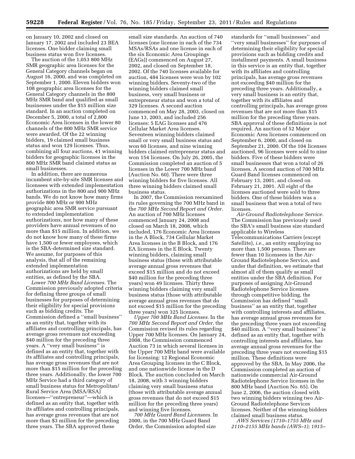on January 10, 2002 and closed on January 17, 2002 and included 23 BEA licenses. One bidder claiming small business status won five licenses.

The auction of the 1,053 800 MHz SMR geographic area licenses for the General Category channels began on August 16, 2000, and was completed on September 1, 2000. Eleven bidders won 108 geographic area licenses for the General Category channels in the 800 MHz SMR band and qualified as small businesses under the \$15 million size standard. In an auction completed on December 5, 2000, a total of 2,800 Economic Area licenses in the lower 80 channels of the 800 MHz SMR service were awarded. Of the 22 winning bidders, 19 claimed small business status and won 129 licenses. Thus, combining all four auctions, 41 winning bidders for geographic licenses in the 800 MHz SMR band claimed status as small businesses.

In addition, there are numerous incumbent site-by-site SMR licenses and licensees with extended implementation authorizations in the 800 and 900 MHz bands. We do not know how many firms provide 800 MHz or 900 MHz geographic area SMR service pursuant to extended implementation authorizations, nor how many of these providers have annual revenues of no more than \$15 million. In addition, we do not know how many of these firms have 1,500 or fewer employees, which is the SBA-determined size standard. We assume, for purposes of this analysis, that all of the remaining extended implementation authorizations are held by small entities, as defined by the SBA.

*Lower 700 MHz Band Licenses.* The Commission previously adopted criteria for defining three groups of small businesses for purposes of determining their eligibility for special provisions such as bidding credits. The Commission defined a ''small business'' as an entity that, together with its affiliates and controlling principals, has average gross revenues not exceeding \$40 million for the preceding three years. A ''very small business'' is defined as an entity that, together with its affiliates and controlling principals, has average gross revenues that are not more than \$15 million for the preceding three years. Additionally, the lower 700 MHz Service had a third category of small business status for Metropolitan/ Rural Service Area (MSA/RSA) licenses—''entrepreneur''—which is defined as an entity that, together with its affiliates and controlling principals, has average gross revenues that are not more than \$3 million for the preceding three years. The SBA approved these

small size standards. An auction of 740 licenses (one license in each of the 734 MSAs/RSAs and one license in each of the six Economic Area Groupings (EAGs)) commenced on August 27, 2002, and closed on September 18, 2002. Of the 740 licenses available for auction, 484 licenses were won by 102 winning bidders. Seventy-two of the winning bidders claimed small business, very small business or entrepreneur status and won a total of 329 licenses. A second auction commenced on May 28, 2003, closed on June 13, 2003, and included 256 licenses: 5 EAG licenses and 476 Cellular Market Area licenses. Seventeen winning bidders claimed small or very small business status and won 60 licenses, and nine winning bidders claimed entrepreneur status and won 154 licenses. On July 26, 2005, the Commission completed an auction of 5 licenses in the Lower 700 MHz band (Auction No. 60). There were three winning bidders for five licenses. All three winning bidders claimed small business status.

In 2007, the Commission reexamined its rules governing the 700 MHz band in the *700 MHz Second Report and Order.*  An auction of 700 MHz licenses commenced January 24, 2008 and closed on March 18, 2008, which included, 176 Economic Area licenses in the A Block, 734 Cellular Market Area licenses in the B Block, and 176 EA licenses in the E Block. Twenty winning bidders, claiming small business status (those with attributable average annual gross revenues that exceed \$15 million and do not exceed \$40 million for the preceding three years) won 49 licenses. Thirty three winning bidders claiming very small business status (those with attributable average annual gross revenues that do not exceed \$15 million for the preceding three years) won 325 licenses.

*Upper 700 MHz Band Licenses.* In the *700 MHz Second Report and Order,* the Commission revised its rules regarding Upper 700 MHz licenses. On January 24, 2008, the Commission commenced Auction 73 in which several licenses in the Upper 700 MHz band were available for licensing: 12 Regional Economic Area Grouping licenses in the C Block, and one nationwide license in the D Block. The auction concluded on March 18, 2008, with 3 winning bidders claiming very small business status (those with attributable average annual gross revenues that do not exceed \$15 million for the preceding three years) and winning five licenses.

*700 MHz Guard Band Licensees.* In 2000, in the 700 MHz Guard Band Order, the Commission adopted size

standards for ''small businesses'' and ''very small businesses'' for purposes of determining their eligibility for special provisions such as bidding credits and installment payments. A small business in this service is an entity that, together with its affiliates and controlling principals, has average gross revenues not exceeding \$40 million for the preceding three years. Additionally, a very small business is an entity that, together with its affiliates and controlling principals, has average gross revenues that are not more than \$15 million for the preceding three years. SBA approval of these definitions is not required. An auction of 52 Major Economic Area licenses commenced on September 6, 2000, and closed on September 21, 2000. Of the 104 licenses auctioned, 96 licenses were sold to nine bidders. Five of these bidders were small businesses that won a total of 26 licenses. A second auction of 700 MHz Guard Band licenses commenced on February 13, 2001, and closed on February 21, 2001. All eight of the licenses auctioned were sold to three bidders. One of these bidders was a small business that won a total of two licenses.

*Air-Ground Radiotelephone Service.*  The Commission has previously used the SBA's small business size standard applicable to Wireless Telecommunications Carriers (except Satellite), *i.e.,* an entity employing no more than 1,500 persons. There are fewer than 10 licensees in the Air-Ground Radiotelephone Service, and under that definition, we estimate that almost all of them qualify as small entities under the SBA definition. For purposes of assigning Air-Ground Radiotelephone Service licenses through competitive bidding, the Commission has defined ''small business'' as an entity that, together with controlling interests and affiliates, has average annual gross revenues for the preceding three years not exceeding \$40 million. A ''very small business'' is defined as an entity that, together with controlling interests and affiliates, has average annual gross revenues for the preceding three years not exceeding \$15 million. These definitions were approved by the SBA. In May 2006, the Commission completed an auction of nationwide commercial Air-Ground Radiotelephone Service licenses in the 800 MHz band (Auction No. 65). On June 2, 2006, the auction closed with two winning bidders winning two Air-Ground Radiotelephone Services licenses. Neither of the winning bidders claimed small business status.

*AWS Services (1710–1755 MHz and 2110–2155 MHz bands (AWS–1); 1915–*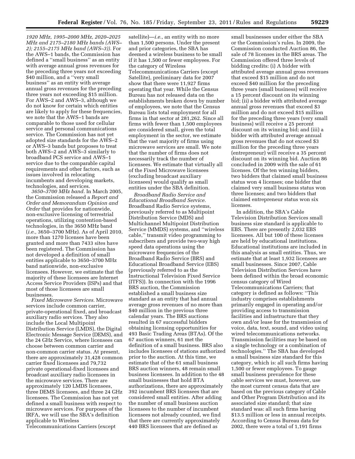*1920 MHz, 1995–2000 MHz, 2020–2025 MHz and 2175–2180 MHz bands (AWS– 2); 2155–2175 MHz band (AWS–3)).* For the AWS–1 bands, the Commission has defined a ''small business'' as an entity with average annual gross revenues for the preceding three years not exceeding \$40 million, and a ''very small business'' as an entity with average annual gross revenues for the preceding three years not exceeding \$15 million. For AWS–2 and AWS–3, although we do not know for certain which entities are likely to apply for these frequencies, we note that the AWS–1 bands are comparable to those used for cellular service and personal communications service. The Commission has not yet adopted size standards for the AWS–2 or AWS–3 bands but proposes to treat both AWS–2 and AWS–3 similarly to broadband PCS service and AWS–1 service due to the comparable capital requirements and other factors, such as issues involved in relocating incumbents and developing markets, technologies, and services.

*3650–3700 MHz band.* In March 2005, the Commission released a *Report and Order and Memorandum Opinion and Order* that provides for nationwide, non-exclusive licensing of terrestrial operations, utilizing contention-based technologies, in the 3650 MHz band (*i.e.,* 3650–3700 MHz). As of April 2010, more than 1270 licenses have been granted and more than 7433 sites have been registered. The Commission has not developed a definition of small entities applicable to 3650–3700 MHz band nationwide, non-exclusive licensees. However, we estimate that the majority of these licensees are Internet Access Service Providers (ISPs) and that most of those licensees are small businesses.

*Fixed Microwave Services.* Microwave services include common carrier, private-operational fixed, and broadcast auxiliary radio services. They also include the Local Multipoint Distribution Service (LMDS), the Digital Electronic Message Service (DEMS), and the 24 GHz Service, where licensees can choose between common carrier and non-common carrier status. At present, there are approximately 31,428 common carrier fixed licensees and 79,732 private operational-fixed licensees and broadcast auxiliary radio licensees in the microwave services. There are approximately 120 LMDS licensees, three DEMS licensees, and three 24 GHz licensees. The Commission has not yet defined a small business with respect to microwave services. For purposes of the IRFA, we will use the SBA's definition applicable to Wireless

Telecommunications Carriers (except

satellite)—*i.e.,* an entity with no more than 1,500 persons. Under the present and prior categories, the SBA has deemed a wireless business to be small if it has 1,500 or fewer employees. For the category of Wireless Telecommunications Carriers (except Satellite), preliminary data for 2007 show that there were 11,927 firms operating that year. While the Census Bureau has not released data on the establishments broken down by number of employees, we note that the Census Bureau lists total employment for all firms in that sector at 281,262. Since all firms with fewer than 1,500 employees are considered small, given the total employment in the sector, we estimate that the vast majority of firms using microwave services are small. We note that the number of firms does not necessarily track the number of licensees. We estimate that virtually all of the Fixed Microwave licensees (excluding broadcast auxiliary licensees) would qualify as small entities under the SBA definition.

*Broadband Radio Service and Educational Broadband Service.*  Broadband Radio Service systems, previously referred to as Multipoint Distribution Service (MDS) and Multichannel Multipoint Distribution Service (MMDS) systems, and ''wireless cable,'' transmit video programming to subscribers and provide two-way high speed data operations using the microwave frequencies of the Broadband Radio Service (BRS) and Educational Broadband Service (EBS) (previously referred to as the Instructional Television Fixed Service (ITFS)). In connection with the 1996 BRS auction, the Commission established a small business size standard as an entity that had annual average gross revenues of no more than \$40 million in the previous three calendar years. The BRS auctions resulted in 67 successful bidders obtaining licensing opportunities for 493 Basic Trading Areas (BTAs). Of the 67 auction winners, 61 met the definition of a small business. BRS also includes licensees of stations authorized prior to the auction. At this time, we estimate that of the 61 small business BRS auction winners, 48 remain small business licensees. In addition to the 48 small businesses that hold BTA authorizations, there are approximately 392 incumbent BRS licensees that are considered small entities. After adding the number of small business auction licensees to the number of incumbent licensees not already counted, we find that there are currently approximately 440 BRS licensees that are defined as

small businesses under either the SBA or the Commission's rules. In 2009, the Commission conducted Auction 86, the sale of 78 licenses in the BRS areas. The Commission offered three levels of bidding credits: (i) A bidder with attributed average annual gross revenues that exceed \$15 million and do not exceed \$40 million for the preceding three years (small business) will receive a 15 percent discount on its winning bid; (ii) a bidder with attributed average annual gross revenues that exceed \$3 million and do not exceed \$15 million for the preceding three years (very small business) will receive a 25 percent discount on its winning bid; and (iii) a bidder with attributed average annual gross revenues that do not exceed \$3 million for the preceding three years (entrepreneur) will receive a 35 percent discount on its winning bid. Auction 86 concluded in 2009 with the sale of 61 licenses. Of the ten winning bidders, two bidders that claimed small business status won 4 licenses; one bidder that claimed very small business status won three licenses; and two bidders that claimed entrepreneur status won six licenses.

In addition, the SBA's Cable Television Distribution Services small business size standard is applicable to EBS. There are presently 2,032 EBS licensees. All but 100 of these licenses are held by educational institutions. Educational institutions are included in this analysis as small entities. Thus, we estimate that at least 1,932 licensees are small businesses. Since 2007, Cable Television Distribution Services have been defined within the broad economic census category of Wired Telecommunications Carriers; that category is defined as follows: ''This industry comprises establishments primarily engaged in operating and/or providing access to transmission facilities and infrastructure that they own and/or lease for the transmission of voice, data, text, sound, and video using wired telecommunications networks. Transmission facilities may be based on a single technology or a combination of technologies.'' The SBA has developed a small business size standard for this category, which is: all such firms having 1,500 or fewer employees. To gauge small business prevalence for these cable services we must, however, use the most current census data that are based on the previous category of Cable and Other Program Distribution and its associated size standard; that size standard was: all such firms having \$13.5 million or less in annual receipts. According to Census Bureau data for 2002, there were a total of 1,191 firms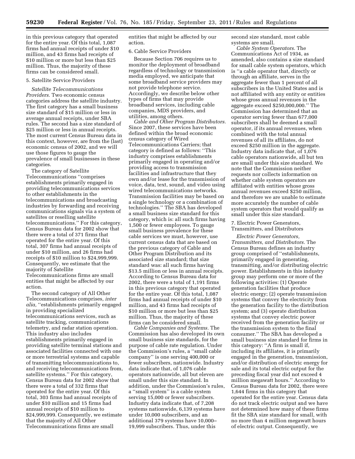in this previous category that operated for the entire year. Of this total, 1,087 firms had annual receipts of under \$10 million, and 43 firms had receipts of \$10 million or more but less than \$25 million. Thus, the majority of these firms can be considered small.

#### 5. Satellite Service Providers

*Satellite Telecommunications Providers.* Two economic census categories address the satellite industry. The first category has a small business size standard of \$15 million or less in average annual receipts, under SBA rules. The second has a size standard of \$25 million or less in annual receipts. The most current Census Bureau data in this context, however, are from the (last) economic census of 2002, and we will use those figures to gauge the prevalence of small businesses in these categories.

The category of Satellite Telecommunications ''comprises establishments primarily engaged in providing telecommunications services to other establishments in the telecommunications and broadcasting industries by forwarding and receiving communications signals via a system of satellites or reselling satellite telecommunications.'' For this category, Census Bureau data for 2002 show that there were a total of 371 firms that operated for the entire year. Of this total, 307 firms had annual receipts of under \$10 million, and 26 firms had receipts of \$10 million to \$24,999,999. Consequently, we estimate that the majority of Satellite Telecommunications firms are small entities that might be affected by our action.

The second category of All Other Telecommunications comprises*, inter alia,* ''establishments primarily engaged in providing specialized telecommunications services, such as satellite tracking, communications telemetry, and radar station operation. This industry also includes establishments primarily engaged in providing satellite terminal stations and associated facilities connected with one or more terrestrial systems and capable of transmitting telecommunications to, and receiving telecommunications from, satellite systems.'' For this category, Census Bureau data for 2002 show that there were a total of 332 firms that operated for the entire year. Of this total, 303 firms had annual receipts of under \$10 million and 15 firms had annual receipts of \$10 million to \$24,999,999. Consequently, we estimate that the majority of All Other Telecommunications firms are small

entities that might be affected by our action.

#### 6. Cable Service Providers

Because Section 706 requires us to monitor the deployment of broadband regardless of technology or transmission media employed, we anticipate that some broadband service providers may not provide telephone service. Accordingly, we describe below other types of firms that may provide broadband services, including cable companies, MDS providers, and utilities, among others.

*Cable and Other Program Distributors.*  Since 2007, these services have been defined within the broad economic census category of Wired Telecommunications Carriers; that category is defined as follows: ''This industry comprises establishments primarily engaged in operating and/or providing access to transmission facilities and infrastructure that they own and/or lease for the transmission of voice, data, text, sound, and video using wired telecommunications networks. Transmission facilities may be based on a single technology or a combination of technologies.'' The SBA has developed a small business size standard for this category, which is: all such firms having 1,500 or fewer employees. To gauge small business prevalence for these cable services we must, however, use current census data that are based on the previous category of Cable and Other Program Distribution and its associated size standard; that size standard was: all such firms having \$13.5 million or less in annual receipts. According to Census Bureau data for 2002, there were a total of 1,191 firms in this previous category that operated for the entire year. Of this total, 1,087 firms had annual receipts of under \$10 million, and 43 firms had receipts of \$10 million or more but less than \$25 million. Thus, the majority of these firms can be considered small.

*Cable Companies and Systems.* The Commission has also developed its own small business size standards, for the purpose of cable rate regulation. Under the Commission's rules, a ''small cable company'' is one serving 400,000 or fewer subscribers, nationwide. Industry data indicate that, of 1,076 cable operators nationwide, all but eleven are small under this size standard. In addition, under the Commission's rules, a ''small system'' is a cable system serving 15,000 or fewer subscribers. Industry data indicate that, of 7,208 systems nationwide, 6,139 systems have under 10,000 subscribers, and an additional 379 systems have 10,000– 19,999 subscribers. Thus, under this

second size standard, most cable systems are small.

*Cable System Operators.* The Communications Act of 1934, as amended, also contains a size standard for small cable system operators, which is ''a cable operator that, directly or through an affiliate, serves in the aggregate fewer than 1 percent of all subscribers in the United States and is not affiliated with any entity or entities whose gross annual revenues in the aggregate exceed \$250,000,000.'' The Commission has determined that an operator serving fewer than 677,000 subscribers shall be deemed a small operator, if its annual revenues, when combined with the total annual revenues of all its affiliates, do not exceed \$250 million in the aggregate. Industry data indicate that, of 1,076 cable operators nationwide, all but ten are small under this size standard. We note that the Commission neither requests nor collects information on whether cable system operators are affiliated with entities whose gross annual revenues exceed \$250 million, and therefore we are unable to estimate more accurately the number of cable system operators that would qualify as small under this size standard.

#### 7. Electric Power Generators, Transmitters, and Distributors

*Electric Power Generators, Transmitters, and Distributors.* The Census Bureau defines an industry group comprised of ''establishments, primarily engaged in generating, transmitting, and/or distributing electric power. Establishments in this industry group may perform one or more of the following activities: (1) Operate generation facilities that produce electric energy; (2) operate transmission systems that convey the electricity from the generation facility to the distribution system; and (3) operate distribution systems that convey electric power received from the generation facility or the transmission system to the final consumer.'' The SBA has developed a small business size standard for firms in this category: ''A firm is small if, including its affiliates, it is primarily engaged in the generation, transmission, and/or distribution of electric energy for sale and its total electric output for the preceding fiscal year did not exceed 4 million megawatt hours.'' According to Census Bureau data for 2002, there were 1,644 firms in this category that operated for the entire year. Census data do not track electric output and we have not determined how many of these firms fit the SBA size standard for small, with no more than 4 million megawatt hours of electric output. Consequently, we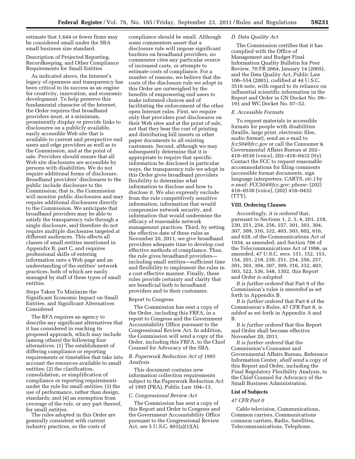estimate that 1,644 or fewer firms may be considered small under the SBA small business size standard.

Description of Projected Reporting, Recordkeeping, and Other Compliance Requirements for Small Entities

As indicated above, the Internet's legacy of openness and transparency has been critical to its success as an engine for creativity, innovation, and economic development. To help preserve this fundamental character of the Internet, the Order requires that broadband providers must, at a minimum, prominently display or provide links to disclosures on a publicly available, easily accessible Web site that is available to current and prospective end users and edge providers as well as to the Commission, and at the point of sale. Providers should ensure that all Web site disclosures are accessible by persons with disabilities. We do not require additional forms of disclosure. Broadband providers' disclosures to the public include disclosure to the Commission; that is, the Commission will monitor public disclosures and may require additional disclosures directly to the Commission. We anticipate that broadband providers may be able to satisfy the transparency rule through a single disclosure, and therefore do not require multiple disclosures targeted at different audiences. This affects all classes of small entities mentioned in Appendix B, part C, and requires professional skills of entering information onto a Web page and an understanding of the entities' network practices, both of which are easily managed by staff of these types of small entities.

Steps Taken To Minimize the Significant Economic Impact on Small Entities, and Significant Alternatives Considered

The RFA requires an agency to describe any significant alternatives that it has considered in reaching its proposed approach, which may include (among others) the following four alternatives: (1) The establishment of differing compliance or reporting requirements or timetables that take into account the resources available to small entities; (2) the clarification, consolidation, or simplification of compliance or reporting requirements under the rule for small entities; (3) the use of performance, rather than design, standards; and (4) an exemption from coverage of the rule, or any part thereof, for small entities.

The rules adopted in this Order are generally consistent with current industry practices, so the costs of

compliance should be small. Although some commenters assert that a disclosure rule will impose significant burdens on broadband providers, no commenter cites any particular source of increased costs, or attempts to estimate costs of compliance. For a number of reasons, we believe that the costs of the disclosure rule we adopt in this Order are outweighed by the benefits of empowering end users to make informed choices and of facilitating the enforcement of the other open Internet rules. First, we require only that providers post disclosures on their Web sites and at the point of sale, not that they bear the cost of printing and distributing bill inserts or other paper documents to all existing customers. Second, although we may subsequently determine that it is appropriate to require that specific information be disclosed in particular ways, the transparency rule we adopt in this Order gives broadband providers flexibility to determine what information to disclose and how to disclose it. We also expressly exclude from the rule competitively sensitive information, information that would compromise network security, and information that would undermine the efficacy of reasonable network management practices. Third, by setting the effective date of these rules as November 20, 2011, we give broadband providers adequate time to develop cost effective methods of compliance. Thus, the rule gives broadband providers including small entities—sufficient time and flexibility to implement the rules in a cost-effective manner. Finally, these rules provide certainty and clarity that are beneficial both to broadband providers and to their customers.

#### Report to Congress

The Commission has sent a copy of the Order, including this FRFA, in a report to Congress and the Government Accountability Office pursuant to the Congressional Review Act. In addition, the Commission will send a copy of the Order, including this FRFA, to the Chief Counsel for Advocacy of the SBA.

#### *B. Paperwork Reduction Act of 1995 Analysis*

This document contains new information collection requirements subject to the Paperwork Reduction Act of 1995 (PRA), Public Law 104–13.

#### *C. Congressional Review Act*

The Commission has sent a copy of this Report and Order to Congress and the Government Accountability Office pursuant to the Congressional Review Act, *see* 5 U.S.C. 801(a)(1)(A).

#### *D. Data Quality Act*

The Commission certifies that it has complied with the Office of Management and Budget Final Information Quality Bulletin for Peer Review, 70 FR 2664, January 14 (2005), and the Data Quality Act, Public Law 106–554 (2001), codified at 44 U.S.C. 3516 note, with regard to its reliance on influential scientific information in the Report and Order in GN Docket No. 09– 191 and WC Docket No. 07–52.

#### *E. Accessible Formats*

To request materials in accessible formats for people with disabilities (braille, large print, electronic files, audio format), send an e-mail to *fcc504@fcc.gov* or call the Consumer & Governmental Affairs Bureau at 202– 418–0530 (voice), 202–418–0432 (tty). Contact the FCC to request reasonable accommodations for filing comments (accessible format documents, sign language interpreters, CARTS, *etc.*) by *e-mail: FCC504@fcc.gov; phone:* (202) 418–0530 (voice), (202) 418–0432 (TTY).

#### **VIII. Ordering Clauses**

Accordingly, *it is ordered* that, pursuant to Sections 1, 2, 3, 4, 201, 218, 230, 251, 254, 256, 257, 301, 303, 304, 307, 309, 316, 332, 403, 503, 602, 616, and 628, of the Communications Act of 1934, as amended, and Section 706 of the Telecommunications Act of 1996, as amended, 47 U.S.C. secs. 151, 152, 153, 154, 201, 218, 230, 251, 254, 256, 257, 301, 303, 304, 307, 309, 316, 332, 403, 503, 522, 536, 548, 1302, this Report and Order *is adopted.* 

*It is further ordered* that Part 0 of the Commission's rules *is amended* as set forth in Appendix B.

*It is further ordered* that Part 8 of the Commission's Rules, 47 CFR Part 8, *is added* as set forth in Appendix A and B.

*It is further ordered* that this Report and Order shall become effective November 20, 2011.

*It is further ordered* that the Commission's Consumer and Governmental Affairs Bureau, Reference Information Center, *shall send* a copy of this Report and Order, including the Final Regulatory Flexibility Analysis, to the Chief Counsel for Advocacy of the Small Business Administration.

#### **List of Subjects**

#### *47 CFR Part 0*

Cable television, Communications, Common carriers, Communications common carriers, Radio, Satellites, Telecommunications, Telephone.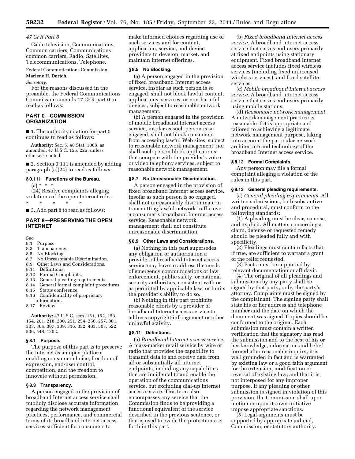#### *47 CFR Part 8*

Cable television, Communications, Common carriers, Communications common carriers, Radio, Satellites, Telecommunications, Telephone.

Federal Communications Commission.

#### **Marlene H. Dortch,**

*Secretary.* 

For the reasons discussed in the preamble, the Federal Communications Commission amends 47 CFR part 0 to read as follows:

#### **PART 0—COMMISSION ORGANIZATION**

■ 1. The authority citation for part 0 continues to read as follows:

**Authority:** Sec. 5, 48 Stat. 1068, as amended; 47 U.S.C. 155, 225, unless otherwise noted.

■ 2. Section 0.111 is amended by adding paragraph (a)(24) to read as follows:

#### **§ 0.111 Functions of the Bureau.**

 $(a) * * * *$ 

(24) Resolve complaints alleging violations of the open Internet rules. \* \* \* \* \*

■ 3. Add part 8 to read as follows:

#### **PART 8—PRESERVING THE OPEN INTERNET**

Sec.<br>8.1

## 8.1 Purpose.<br>8.3 Transpar

- 8.3 Transparency.<br>8.5 No Blocking
- 8.5 No Blocking.<br>8.7 No Unreason
- 8.7 No Unreasonable Discrimination.<br>8.9 Other Laws and Considerations
- 8.9 Other Laws and Considerations.<br>8.11 Definitions.
- Definitions.
- 8.12 Formal Complaints.<br>8.13 General pleading req
- General pleading requirements.
- 8.14 General formal complaint procedures.
- 8.15 Status conference.
- 8.16 Confidentiality of proprietary information.
- 8.17 Review.

**Authority:** 47 U.S.C. secs. 151, 152, 153, 154, 201, 218, 230, 251, 254, 256, 257, 301, 303, 304, 307, 309, 316, 332, 403, 503, 522, 536, 548, 1302.

#### **§ 8.1 Purpose.**

The purpose of this part is to preserve the Internet as an open platform enabling consumer choice, freedom of expression, end-user control, competition, and the freedom to innovate without permission.

#### **§ 8.3 Transparency.**

A person engaged in the provision of broadband Internet access service shall publicly disclose accurate information regarding the network management practices, performance, and commercial terms of its broadband Internet access services sufficient for consumers to

make informed choices regarding use of such services and for content, application, service, and device providers to develop, market, and maintain Internet offerings.

#### **§ 8.5 No Blocking.**

(a) A person engaged in the provision of fixed broadband Internet access service, insofar as such person is so engaged, shall not block lawful content, applications, services, or non-harmful devices, subject to reasonable network management.

(b) A person engaged in the provision of mobile broadband Internet access service, insofar as such person is so engaged, shall not block consumers from accessing lawful Web sites, subject to reasonable network management; nor shall such person block applications that compete with the provider's voice or video telephony services, subject to reasonable network management.

#### **§ 8.7 No Unreasonable Discrimination.**

A person engaged in the provision of fixed broadband Internet access service, insofar as such person is so engaged, shall not unreasonably discriminate in transmitting lawful network traffic over a consumer's broadband Internet access service. Reasonable network management shall not constitute unreasonable discrimination.

#### **§ 8.9 Other Laws and Considerations.**

(a) Nothing in this part supersedes any obligation or authorization a provider of broadband Internet access service may have to address the needs of emergency communications or law enforcement, public safety, or national security authorities, consistent with or as permitted by applicable law, or limits the provider's ability to do so.

(b) Nothing in this part prohibits reasonable efforts by a provider of broadband Internet access service to address copyright infringement or other unlawful activity.

#### **§ 8.11 Definitions.**

(a) *Broadband Internet access service.*  A mass-market retail service by wire or radio that provides the capability to transmit data to and receive data from all or substantially all Internet endpoints, including any capabilities that are incidental to and enable the operation of the communications service, but excluding dial-up Internet access service. This term also encompasses any service that the Commission finds to be providing a functional equivalent of the service described in the previous sentence, or that is used to evade the protections set forth in this part.

(b) *Fixed broadband Internet access service.* A broadband Internet access service that serves end users primarily at fixed endpoints using stationary equipment. Fixed broadband Internet access service includes fixed wireless services (including fixed unlicensed wireless services), and fixed satellite services.

(c) *Mobile broadband Internet access service.* A broadband Internet access service that serves end users primarily using mobile stations.

(d) *Reasonable network management.*  A network management practice is reasonable if it is appropriate and tailored to achieving a legitimate network management purpose, taking into account the particular network architecture and technology of the broadband Internet access service.

### **§ 8.12 Formal Complaints.**

Any person may file a formal complaint alleging a violation of the rules in this part.

#### **§ 8.13 General pleading requirements.**

(a) *General pleading requirements.* All written submissions, both substantive and procedural, must conform to the following standards:

(1) A pleading must be clear, concise, and explicit. All matters concerning a claim, defense or requested remedy should be pleaded fully and with specificity.

(2) Pleadings must contain facts that, if true, are sufficient to warrant a grant of the relief requested.

(3) Facts must be supported by relevant documentation or affidavit.

(4) The original of all pleadings and submissions by any party shall be signed by that party, or by the party's attorney. Complaints must be signed by the complainant. The signing party shall state his or her address and telephone number and the date on which the document was signed. Copies should be conformed to the original. Each submission must contain a written verification that the signatory has read the submission and to the best of his or her knowledge, information and belief formed after reasonable inquiry, it is well grounded in fact and is warranted by existing law or a good faith argument for the extension, modification or reversal of existing law; and that it is not interposed for any improper purpose. If any pleading or other submission is signed in violation of this provision, the Commission shall upon motion or upon its own initiative impose appropriate sanctions.

(5) Legal arguments must be supported by appropriate judicial, Commission, or statutory authority.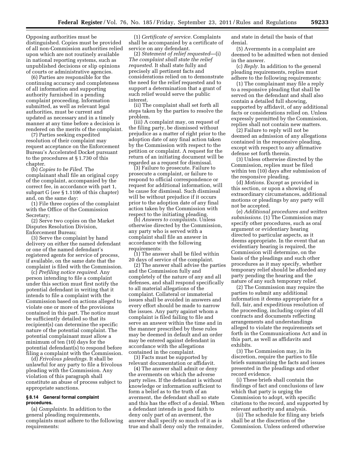Opposing authorities must be distinguished. Copies must be provided of all non-Commission authorities relied upon which are not routinely available in national reporting systems, such as unpublished decisions or slip opinions of courts or administrative agencies.

(6) Parties are responsible for the continuing accuracy and completeness of all information and supporting authority furnished in a pending complaint proceeding. Information submitted, as well as relevant legal authorities, must be current and updated as necessary and in a timely manner at any time before a decision is rendered on the merits of the complaint.

(7) Parties seeking expedited resolution of their complaint may request acceptance on the Enforcement Bureau's Accelerated Docket pursuant to the procedures at § 1.730 of this chapter.

(b) *Copies to be Filed.* The complainant shall file an original copy of the complaint, accompanied by the correct fee, in accordance with part 1, subpart G (*see* § 1.1106 of this chapter) and, on the same day:

(1) File three copies of the complaint with the Office of the Commission Secretary;

(2) Serve two copies on the Market Disputes Resolution Division, Enforcement Bureau;

(3) Serve the complaint by hand delivery on either the named defendant or one of the named defendant's registered agents for service of process, if available, on the same date that the complaint is filed with the Commission.

(c) *Prefiling notice required.* Any person intending to file a complaint under this section must first notify the potential defendant in writing that it intends to file a complaint with the Commission based on actions alleged to violate one or more of the provisions contained in this part. The notice must be sufficiently detailed so that its recipient(s) can determine the specific nature of the potential complaint. The potential complainant must allow a minimum of ten (10) days for the potential defendant(s) to respond before filing a complaint with the Commission.

(d) *Frivolous pleadings.* It shall be unlawful for any party to file a frivolous pleading with the Commission. Any violation of this paragraph shall constitute an abuse of process subject to appropriate sanctions.

#### **§ 8.14 General formal complaint procedures.**

(a) *Complaints.* In addition to the general pleading requirements, complaints must adhere to the following requirements:

(1) *Certificate of service.* Complaints shall be accompanied by a certificate of service on any defendant.

(2) *Statement of relief requested*—(i) *The complaint shall state the relief requested.* It shall state fully and precisely all pertinent facts and considerations relied on to demonstrate the need for the relief requested and to support a determination that a grant of such relief would serve the public interest.

(ii) The complaint shall set forth all steps taken by the parties to resolve the problem.

(iii) A complaint may, on request of the filing party, be dismissed without prejudice as a matter of right prior to the adoption date of any final action taken by the Commission with respect to the petition or complaint. A request for the return of an initiating document will be regarded as a request for dismissal.

(3) Failure to prosecute. Failure to prosecute a complaint, or failure to respond to official correspondence or request for additional information, will be cause for dismissal. Such dismissal will be without prejudice if it occurs prior to the adoption date of any final action taken by the Commission with respect to the initiating pleading.

(b) *Answers to complaints.* Unless otherwise directed by the Commission, any party who is served with a complaint shall file an answer in accordance with the following requirements:

(1) The answer shall be filed within 20 days of service of the complaint.

(2) The answer shall advise the parties and the Commission fully and completely of the nature of any and all defenses, and shall respond specifically to all material allegations of the complaint. Collateral or immaterial issues shall be avoided in answers and every effort should be made to narrow the issues. Any party against whom a complaint is filed failing to file and serve an answer within the time and in the manner prescribed by these rules may be deemed in default and an order may be entered against defendant in accordance with the allegations contained in the complaint.

(3) Facts must be supported by relevant documentation or affidavit.

(4) The answer shall admit or deny the averments on which the adverse party relies. If the defendant is without knowledge or information sufficient to form a belief as to the truth of an averment, the defendant shall so state and this has the effect of a denial. When a defendant intends in good faith to deny only part of an averment, the answer shall specify so much of it as is true and shall deny only the remainder,

and state in detail the basis of that denial.

(5) Averments in a complaint are deemed to be admitted when not denied in the answer.

(c) *Reply.* In addition to the general pleading requirements, replies must adhere to the following requirements:

(1) The complainant may file a reply to a responsive pleading that shall be served on the defendant and shall also contain a detailed full showing, supported by affidavit, of any additional facts or considerations relied on. Unless expressly permitted by the Commission, replies shall not contain new matters.

(2) Failure to reply will not be deemed an admission of any allegations contained in the responsive pleading, except with respect to any affirmative defense set forth therein.

(3) Unless otherwise directed by the Commission, replies must be filed within ten (10) days after submission of the responsive pleading.

(d) *Motions.* Except as provided in this section, or upon a showing of extraordinary circumstances, additional motions or pleadings by any party will not be accepted.

(e) *Additional procedures and written submissions.* (1) The Commission may specify other procedures, such as oral argument or evidentiary hearing directed to particular aspects, as it deems appropriate. In the event that an evidentiary hearing is required, the Commission will determine, on the basis of the pleadings and such other procedures as it may specify, whether temporary relief should be afforded any party pending the hearing and the nature of any such temporary relief.

(2) The Commission may require the parties to submit any additional information it deems appropriate for a full, fair, and expeditious resolution of the proceeding, including copies of all contracts and documents reflecting arrangements and understandings alleged to violate the requirements set forth in the Communications Act and in this part, as well as affidavits and exhibits.

(3) The Commission may, in its discretion, require the parties to file briefs summarizing the facts and issues presented in the pleadings and other record evidence.

(i) These briefs shall contain the findings of fact and conclusions of law which that party is urging the Commission to adopt, with specific citations to the record, and supported by relevant authority and analysis.

(ii) The schedule for filing any briefs shall be at the discretion of the Commission. Unless ordered otherwise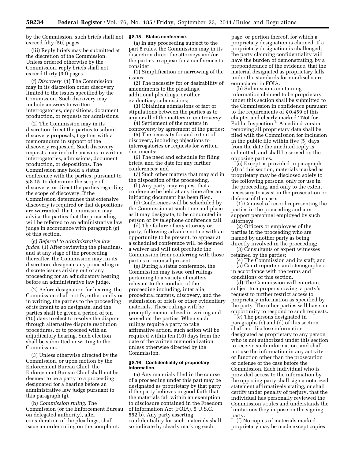by the Commission, such briefs shall not **§ 8.15 Status conference.**  exceed fifty (50) pages.

(iii) Reply briefs may be submitted at the discretion of the Commission. Unless ordered otherwise by the Commission, reply briefs shall not exceed thirty (30) pages.

(f) *Discovery.* (1) The Commission may in its discretion order discovery limited to the issues specified by the Commission. Such discovery may include answers to written interrogatories, depositions, document production, or requests for admissions.

(2) The Commission may in its discretion direct the parties to submit discovery proposals, together with a memorandum in support of the discovery requested. Such discovery requests may include answers to written interrogatories, admissions, document production, or depositions. The Commission may hold a status conference with the parties, pursuant to § 8.15, to determine the scope of discovery, or direct the parties regarding the scope of discovery. If the Commission determines that extensive discovery is required or that depositions are warranted, the Commission may advise the parties that the proceeding will be referred to an administrative law judge in accordance with paragraph (g) of this section.

(g) *Referral to administrative law judge.* (1) After reviewing the pleadings, and at any stage of the proceeding thereafter, the Commission may, in its discretion, designate any proceeding or discrete issues arising out of any proceeding for an adjudicatory hearing before an administrative law judge.

(2) Before designation for hearing, the Commission shall notify, either orally or in writing, the parties to the proceeding of its intent to so designate, and the parties shall be given a period of ten (10) days to elect to resolve the dispute through alternative dispute resolution procedures, or to proceed with an adjudicatory hearing. Such election shall be submitted in writing to the Commission.

(3) Unless otherwise directed by the Commission, or upon motion by the Enforcement Bureau Chief, the Enforcement Bureau Chief shall not be deemed to be a party to a proceeding designated for a hearing before an administrative law judge pursuant to this paragraph (g).

(h) *Commission ruling.* The Commission (or the Enforcement Bureau on delegated authority), after consideration of the pleadings, shall issue an order ruling on the complaint.

(a) In any proceeding subject to the part 8 rules, the Commission may in its discretion direct the attorneys and/or the parties to appear for a conference to consider:

(1) Simplification or narrowing of the issues;

(2) The necessity for or desirability of amendments to the pleadings, additional pleadings, or other evidentiary submissions;

(3) Obtaining admissions of fact or stipulations between the parties as to any or all of the matters in controversy;

(4) Settlement of the matters in controversy by agreement of the parties;

(5) The necessity for and extent of discovery, including objections to interrogatories or requests for written documents;

(6) The need and schedule for filing briefs, and the date for any further conferences; and

(7) Such other matters that may aid in the disposition of the proceeding.

(b) Any party may request that a conference be held at any time after an initiating document has been filed.

(c) Conferences will be scheduled by the Commission at such time and place as it may designate, to be conducted in person or by telephone conference call.

(d) The failure of any attorney or party, following advance notice with an opportunity to be present, to appear at a scheduled conference will be deemed a waiver and will not preclude the Commission from conferring with those parties or counsel present.

(e) During a status conference, the Commission may issue oral rulings pertaining to a variety of matters relevant to the conduct of the proceeding including, inter alia, procedural matters, discovery, and the submission of briefs or other evidentiary materials. These rulings will be promptly memorialized in writing and served on the parties. When such rulings require a party to take affirmative action, such action will be required within ten (10) days from the date of the written memorialization unless otherwise directed by the Commission.

#### **§ 8.16 Confidentiality of proprietary information.**

(a) Any materials filed in the course of a proceeding under this part may be designated as proprietary by that party if the party believes in good faith that the materials fall within an exemption to disclosure contained in the Freedom of Information Act (FOIA), 5 U.S.C. 552(b). Any party asserting confidentiality for such materials shall so indicate by clearly marking each

page, or portion thereof, for which a proprietary designation is claimed. If a proprietary designation is challenged, the party claiming confidentiality will have the burden of demonstrating, by a preponderance of the evidence, that the material designated as proprietary falls under the standards for nondisclosure enunciated in FOIA.

(b) Submissions containing information claimed to be proprietary under this section shall be submitted to the Commission in confidence pursuant to the requirements of § 0.459 of this chapter and clearly marked ''Not for Public Inspection.'' An edited version removing all proprietary data shall be filed with the Commission for inclusion in the public file within five (5) days from the date the unedited reply is submitted, and shall be served on the opposing parties.

(c) Except as provided in paragraph (d) of this section, materials marked as proprietary may be disclosed solely to the following persons, only for use in the proceeding, and only to the extent necessary to assist in the prosecution or defense of the case:

(1) Counsel of record representing the parties in the proceeding and any support personnel employed by such attorneys;

(2) Officers or employees of the parties in the proceeding who are named by another party as being directly involved in the proceeding;

(3) Consultants or expert witnesses retained by the parties;

(4) The Commission and its staff; and

(5) Court reporters and stenographers in accordance with the terms and conditions of this section.

(d) The Commission will entertain, subject to a proper showing, a party's request to further restrict access to proprietary information as specified by the party. The other parties will have an opportunity to respond to such requests.

(e) The persons designated in paragraphs (c) and (d) of this section shall not disclose information designated as proprietary to any person who is not authorized under this section to receive such information, and shall not use the information in any activity or function other than the prosecution or defense of the case before the Commission. Each individual who is provided access to the information by the opposing party shall sign a notarized statement affirmatively stating, or shall certify under penalty of perjury, that the individual has personally reviewed the Commission's rules and understands the limitations they impose on the signing party.

(f) No copies of materials marked proprietary may be made except copies